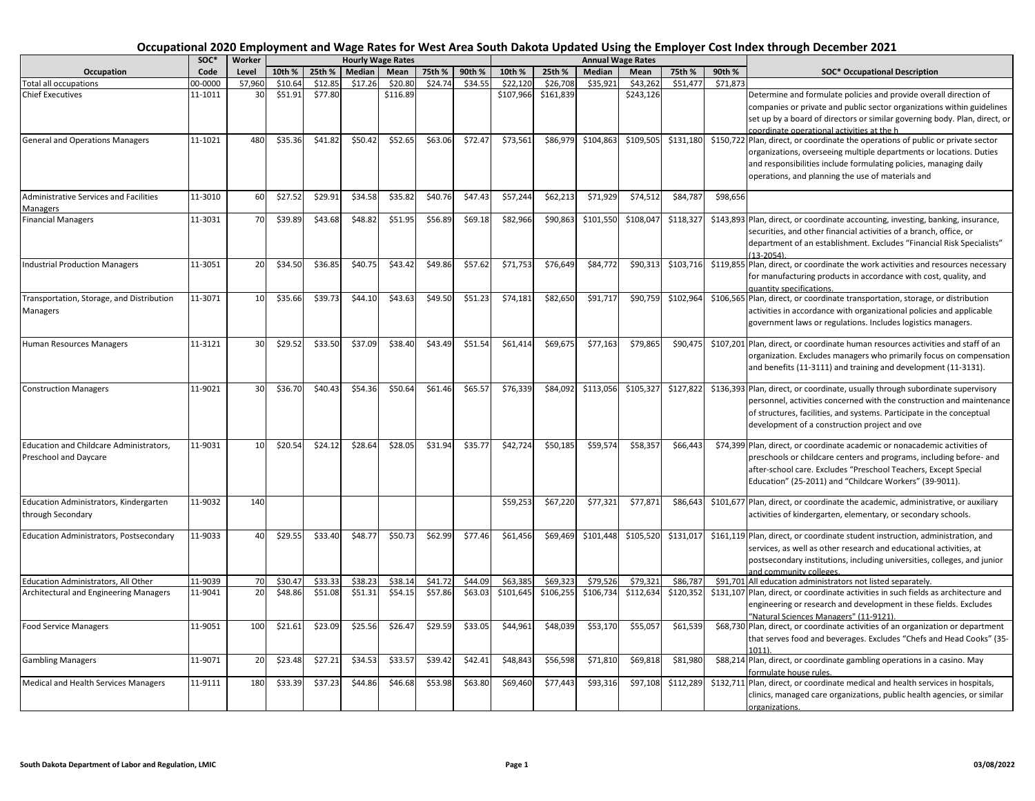|                                                                         | $SOC*$  | Worker |         |         |         | <b>Hourly Wage Rates</b> |         |         |           |           |           | <b>Annual Wage Rates</b> |           |          |                                                                                                                                                                                                                                                                                   |
|-------------------------------------------------------------------------|---------|--------|---------|---------|---------|--------------------------|---------|---------|-----------|-----------|-----------|--------------------------|-----------|----------|-----------------------------------------------------------------------------------------------------------------------------------------------------------------------------------------------------------------------------------------------------------------------------------|
| Occupation                                                              | Code    | Level  | 10th %  | 25th %  | Median  | Mean                     | 75th %  | 90th %  | 10th %    | 25th %    | Median    | Mean                     | 75th %    | 90th %   | <b>SOC* Occupational Description</b>                                                                                                                                                                                                                                              |
| Total all occupations                                                   | 0000-00 | 57,960 | \$10.64 | \$12.85 | \$17.26 | \$20.80                  | \$24.74 | \$34.55 | \$22,120  | \$26,708  | \$35,921  | \$43,262                 | \$51,477  | \$71,873 |                                                                                                                                                                                                                                                                                   |
| <b>Chief Executives</b>                                                 | 11-1011 | 30     | \$51.91 | \$77.80 |         | \$116.89                 |         |         | \$107,966 | \$161,839 |           | \$243,126                |           |          | Determine and formulate policies and provide overall direction of<br>companies or private and public sector organizations within guidelines<br>set up by a board of directors or similar governing body. Plan, direct, or<br>coordinate operational activities at the h           |
| <b>General and Operations Managers</b>                                  | 11-1021 | 480    | \$35.36 | \$41.82 | \$50.42 | \$52.65                  | \$63.06 | \$72.47 | \$73,561  | \$86,979  | \$104,863 | \$109,505                | \$131,180 |          | \$150,722 Plan, direct, or coordinate the operations of public or private sector<br>organizations, overseeing multiple departments or locations. Duties<br>and responsibilities include formulating policies, managing daily<br>operations, and planning the use of materials and |
| <b>Administrative Services and Facilities</b><br>Managers               | 11-3010 | 60     | \$27.52 | \$29.91 | \$34.58 | \$35.82                  | \$40.76 | \$47.43 | \$57,244  | \$62,213  | \$71,929  | \$74,512                 | \$84,787  | \$98,656 |                                                                                                                                                                                                                                                                                   |
| <b>Financial Managers</b>                                               | 11-3031 | 70     | \$39.89 | \$43.68 | \$48.82 | \$51.95                  | \$56.89 | \$69.18 | \$82,966  | \$90,863  | \$101,550 | \$108,047                | \$118,327 |          | \$143,893 Plan, direct, or coordinate accounting, investing, banking, insurance,<br>securities, and other financial activities of a branch, office, or<br>department of an establishment. Excludes "Financial Risk Specialists"<br>$13 - 2054$                                    |
| <b>Industrial Production Managers</b>                                   | 11-3051 | 20     | \$34.50 | \$36.85 | \$40.75 | \$43.42                  | \$49.86 | \$57.62 | \$71,753  | \$76,649  | \$84,772  | \$90,313                 | \$103,716 |          | \$119,855 Plan, direct, or coordinate the work activities and resources necessary<br>for manufacturing products in accordance with cost, quality, and<br>quantity specifications.                                                                                                 |
| Transportation, Storage, and Distribution<br>Managers                   | 11-3071 | 10     | \$35.66 | \$39.73 | \$44.10 | \$43.63                  | \$49.50 | \$51.23 | \$74,181  | \$82,650  | \$91,71   | \$90,759                 | \$102,964 |          | \$106,565 Plan, direct, or coordinate transportation, storage, or distribution<br>activities in accordance with organizational policies and applicable<br>government laws or regulations. Includes logistics managers.                                                            |
| Human Resources Managers                                                | 11-3121 | 30     | \$29.52 | \$33.50 | \$37.09 | \$38.40                  | \$43.49 | \$51.54 | \$61,414  | \$69,675  | \$77,163  | \$79,865                 | \$90,475  |          | \$107,201 Plan, direct, or coordinate human resources activities and staff of an<br>organization. Excludes managers who primarily focus on compensation<br>and benefits (11-3111) and training and development (11-3131).                                                         |
| <b>Construction Managers</b>                                            | 11-9021 | 30     | \$36.70 | \$40.43 | \$54.36 | \$50.64                  | \$61.46 | \$65.57 | \$76,339  | \$84,092  | \$113,056 | \$105,327                | \$127,822 |          | \$136,393 Plan, direct, or coordinate, usually through subordinate supervisory<br>personnel, activities concerned with the construction and maintenance<br>of structures, facilities, and systems. Participate in the conceptual<br>development of a construction project and ove |
| <b>Education and Childcare Administrators,</b><br>Preschool and Daycare | 11-9031 | 10     | \$20.54 | \$24.12 | \$28.64 | \$28.05                  | \$31.94 | \$35.77 | \$42,724  | \$50,185  | \$59,574  | \$58,357                 | \$66,443  |          | \$74,399 Plan, direct, or coordinate academic or nonacademic activities of<br>preschools or childcare centers and programs, including before- and<br>after-school care. Excludes "Preschool Teachers, Except Special<br>Education" (25-2011) and "Childcare Workers" (39-9011).   |
| Education Administrators, Kindergarten<br>through Secondary             | 11-9032 | 140    |         |         |         |                          |         |         | \$59,253  | \$67,220  | \$77,321  | \$77,871                 | \$86,643  |          | \$101,677 Plan, direct, or coordinate the academic, administrative, or auxiliary<br>activities of kindergarten, elementary, or secondary schools.                                                                                                                                 |
| Education Administrators, Postsecondary                                 | 11-9033 | 40     | \$29.55 | \$33.40 | \$48.77 | \$50.73                  | \$62.99 | \$77.46 | \$61,456  | \$69,469  | \$101,448 | \$105,520                | \$131,017 |          | \$161,119 Plan, direct, or coordinate student instruction, administration, and<br>services, as well as other research and educational activities, at<br>postsecondary institutions, including universities, colleges, and junior<br>and community colleges.                       |
| Education Administrators, All Other                                     | 11-9039 | 70     | \$30.47 | \$33.33 | \$38.23 | \$38.14                  | \$41.72 | \$44.09 | \$63,385  | \$69,323  | \$79,526  | \$79,321                 | \$86,787  |          | \$91,701 All education administrators not listed separately.                                                                                                                                                                                                                      |
| Architectural and Engineering Managers                                  | 11-9041 | 20     | \$48.86 | \$51.08 | \$51.31 | \$54.15                  | \$57.86 | \$63.03 | \$101,645 | \$106,255 | \$106,734 | \$112,634                | \$120,352 |          | \$131,107 Plan, direct, or coordinate activities in such fields as architecture and<br>engineering or research and development in these fields. Excludes<br>"Natural Sciences Managers" (11-9121).                                                                                |
| <b>Food Service Managers</b>                                            | 11-9051 | 100    | \$21.61 | \$23.09 | \$25.56 | \$26.47                  | \$29.59 | \$33.05 | \$44,961  | \$48,039  | \$53,170  | \$55,057                 | \$61,539  |          | \$68,730 Plan, direct, or coordinate activities of an organization or department<br>that serves food and beverages. Excludes "Chefs and Head Cooks" (35-<br>1011)                                                                                                                 |
| <b>Gambling Managers</b>                                                | 11-9071 | 20     | \$23.48 | \$27.21 | \$34.53 | \$33.57                  | \$39.42 | \$42.41 | \$48,843  | \$56,598  | \$71,810  | \$69,818                 | \$81,980  |          | \$88,214 Plan, direct, or coordinate gambling operations in a casino. May<br>formulate house rules.                                                                                                                                                                               |
| Medical and Health Services Managers                                    | 11-9111 | 180    | \$33.39 | \$37.23 | \$44.86 | \$46.68                  | \$53.98 | \$63.80 | \$69,460  | \$77,443  | \$93,316  | \$97,108                 | \$112,289 |          | \$132,711 Plan, direct, or coordinate medical and health services in hospitals,<br>clinics, managed care organizations, public health agencies, or similar<br>organizations.                                                                                                      |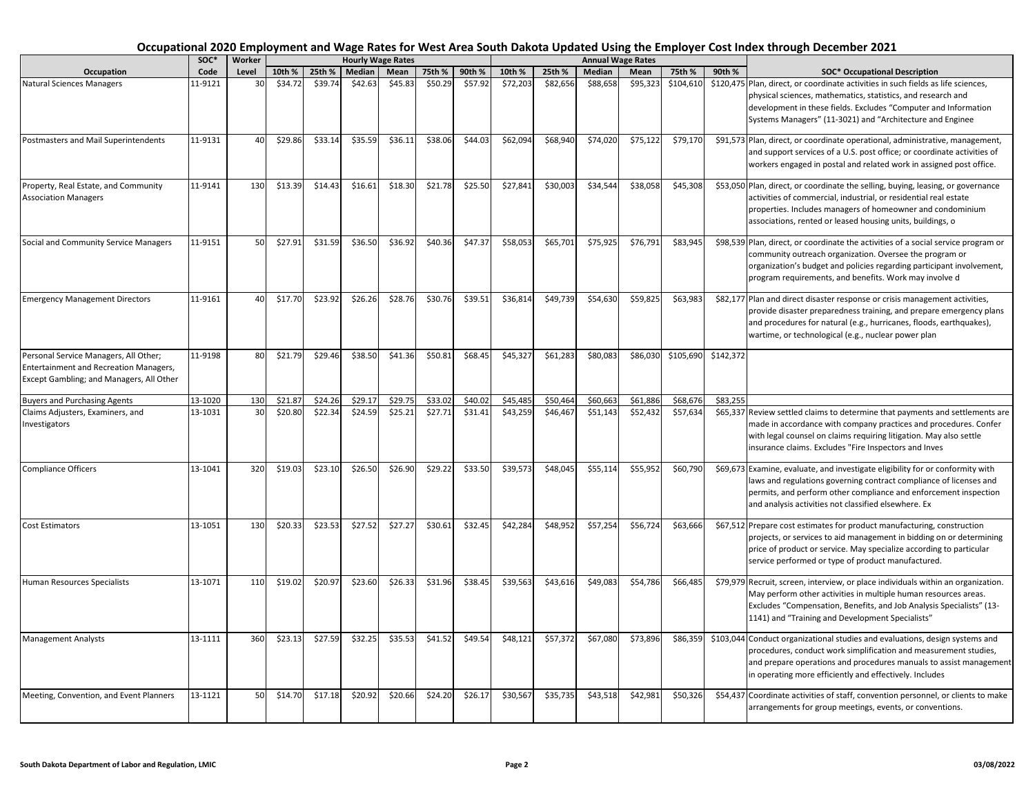|                                                                                                                                    | SOC*    | Worker |         |         | <b>Hourly Wage Rates</b> |         |         |         |          |          |          | <b>Annual Wage Rates</b> |           |           |                                                                                                                                                                                                                                                                                   |
|------------------------------------------------------------------------------------------------------------------------------------|---------|--------|---------|---------|--------------------------|---------|---------|---------|----------|----------|----------|--------------------------|-----------|-----------|-----------------------------------------------------------------------------------------------------------------------------------------------------------------------------------------------------------------------------------------------------------------------------------|
| Occupation                                                                                                                         | Code    | Level  | 10th %  | 25th %  | Median                   | Mean    | 75th %  | 90th %  | 10th %   | 25th %   | Median   | Mean                     | 75th %    | 90th %    | <b>SOC* Occupational Description</b>                                                                                                                                                                                                                                              |
| <b>Natural Sciences Managers</b>                                                                                                   | 11-9121 | 30     | \$34.72 | \$39.74 | \$42.63                  | \$45.83 | \$50.29 | \$57.92 | \$72,203 | \$82,656 | \$88,658 | \$95,323                 | \$104,610 |           | \$120,475 Plan, direct, or coordinate activities in such fields as life sciences,<br>physical sciences, mathematics, statistics, and research and<br>development in these fields. Excludes "Computer and Information<br>Systems Managers" (11-3021) and "Architecture and Enginee |
| Postmasters and Mail Superintendents                                                                                               | 11-9131 | 40     | \$29.86 | \$33.14 | \$35.59                  | \$36.11 | \$38.06 | \$44.03 | \$62,094 | \$68,940 | \$74,020 | \$75,122                 | \$79,170  |           | \$91,573 Plan, direct, or coordinate operational, administrative, management,<br>and support services of a U.S. post office; or coordinate activities of<br>workers engaged in postal and related work in assigned post office.                                                   |
| Property, Real Estate, and Community<br><b>Association Managers</b>                                                                | 11-9141 | 130    | \$13.39 | \$14.43 | \$16.61                  | \$18.30 | \$21.78 | \$25.50 | \$27,841 | \$30,003 | \$34,544 | \$38,058                 | \$45,308  |           | \$53,050 Plan, direct, or coordinate the selling, buying, leasing, or governance<br>activities of commercial, industrial, or residential real estate<br>properties. Includes managers of homeowner and condominium<br>associations, rented or leased housing units, buildings, o  |
| Social and Community Service Managers                                                                                              | 11-9151 | 50     | \$27.91 | \$31.59 | \$36.50                  | \$36.92 | \$40.36 | \$47.37 | \$58,053 | \$65,701 | \$75,925 | \$76,791                 | \$83,945  |           | \$98,539 Plan, direct, or coordinate the activities of a social service program or<br>community outreach organization. Oversee the program or<br>organization's budget and policies regarding participant involvement,<br>program requirements, and benefits. Work may involve d  |
| <b>Emergency Management Directors</b>                                                                                              | 11-9161 | 40     | \$17.70 | \$23.92 | \$26.26                  | \$28.76 | \$30.76 | \$39.51 | \$36,814 | \$49,739 | \$54,630 | \$59,825                 | \$63,983  |           | \$82,177 Plan and direct disaster response or crisis management activities,<br>provide disaster preparedness training, and prepare emergency plans<br>and procedures for natural (e.g., hurricanes, floods, earthquakes),<br>wartime, or technological (e.g., nuclear power plan  |
| Personal Service Managers, All Other;<br><b>Entertainment and Recreation Managers,</b><br>Except Gambling; and Managers, All Other | 11-9198 | 80     | \$21.79 | \$29.46 | \$38.50                  | \$41.36 | \$50.81 | \$68.45 | \$45,327 | \$61,283 | \$80,083 | \$86,030                 | \$105,690 | \$142,372 |                                                                                                                                                                                                                                                                                   |
| <b>Buyers and Purchasing Agents</b>                                                                                                | 13-1020 | 130    | \$21.87 | \$24.26 | \$29.17                  | \$29.75 | \$33.02 | \$40.02 | \$45,485 | \$50,464 | \$60,663 | \$61,886                 | \$68,676  | \$83,255  |                                                                                                                                                                                                                                                                                   |
| Claims Adjusters, Examiners, and<br>Investigators                                                                                  | 13-1031 | 30     | \$20.80 | \$22.34 | \$24.59                  | \$25.21 | \$27.71 | \$31.41 | \$43,259 | \$46,467 | \$51,143 | \$52,432                 | \$57,634  |           | \$65,337 Review settled claims to determine that payments and settlements are<br>made in accordance with company practices and procedures. Confer<br>with legal counsel on claims requiring litigation. May also settle<br>insurance claims. Excludes "Fire Inspectors and Inves  |
| <b>Compliance Officers</b>                                                                                                         | 13-1041 | 320    | \$19.03 | \$23.10 | \$26.50                  | \$26.90 | \$29.22 | \$33.50 | \$39,573 | \$48,045 | \$55,114 | \$55,952                 | \$60,790  |           | \$69,673 Examine, evaluate, and investigate eligibility for or conformity with<br>laws and regulations governing contract compliance of licenses and<br>permits, and perform other compliance and enforcement inspection<br>and analysis activities not classified elsewhere. Ex  |
| <b>Cost Estimators</b>                                                                                                             | 13-1051 | 130    | \$20.33 | \$23.53 | \$27.52                  | \$27.27 | \$30.61 | \$32.45 | \$42,284 | \$48,952 | \$57,254 | \$56,724                 | \$63,666  |           | \$67,512 Prepare cost estimates for product manufacturing, construction<br>projects, or services to aid management in bidding on or determining<br>price of product or service. May specialize according to particular<br>service performed or type of product manufactured.      |
| Human Resources Specialists                                                                                                        | 13-1071 | 110    | \$19.02 | \$20.97 | \$23.60                  | \$26.33 | \$31.96 | \$38.45 | \$39,563 | \$43,616 | \$49,083 | \$54,786                 | \$66,485  |           | \$79,979 Recruit, screen, interview, or place individuals within an organization.<br>May perform other activities in multiple human resources areas.<br>Excludes "Compensation, Benefits, and Job Analysis Specialists" (13-<br>1141) and "Training and Development Specialists"  |
| <b>Management Analysts</b>                                                                                                         | 13-1111 | 360    | \$23.13 | \$27.59 | \$32.25                  | \$35.53 | \$41.52 | \$49.54 | \$48,121 | \$57,372 | \$67,080 | \$73,896                 | \$86,359  |           | \$103,044 Conduct organizational studies and evaluations, design systems and<br>procedures, conduct work simplification and measurement studies,<br>and prepare operations and procedures manuals to assist management<br>in operating more efficiently and effectively. Includes |
| Meeting, Convention, and Event Planners                                                                                            | 13-1121 | 50     | \$14.70 | \$17.18 | \$20.92                  | \$20.66 | \$24.20 | \$26.17 | \$30,567 | \$35,735 | \$43,518 | \$42,981                 | \$50,326  |           | \$54,437 Coordinate activities of staff, convention personnel, or clients to make<br>arrangements for group meetings, events, or conventions.                                                                                                                                     |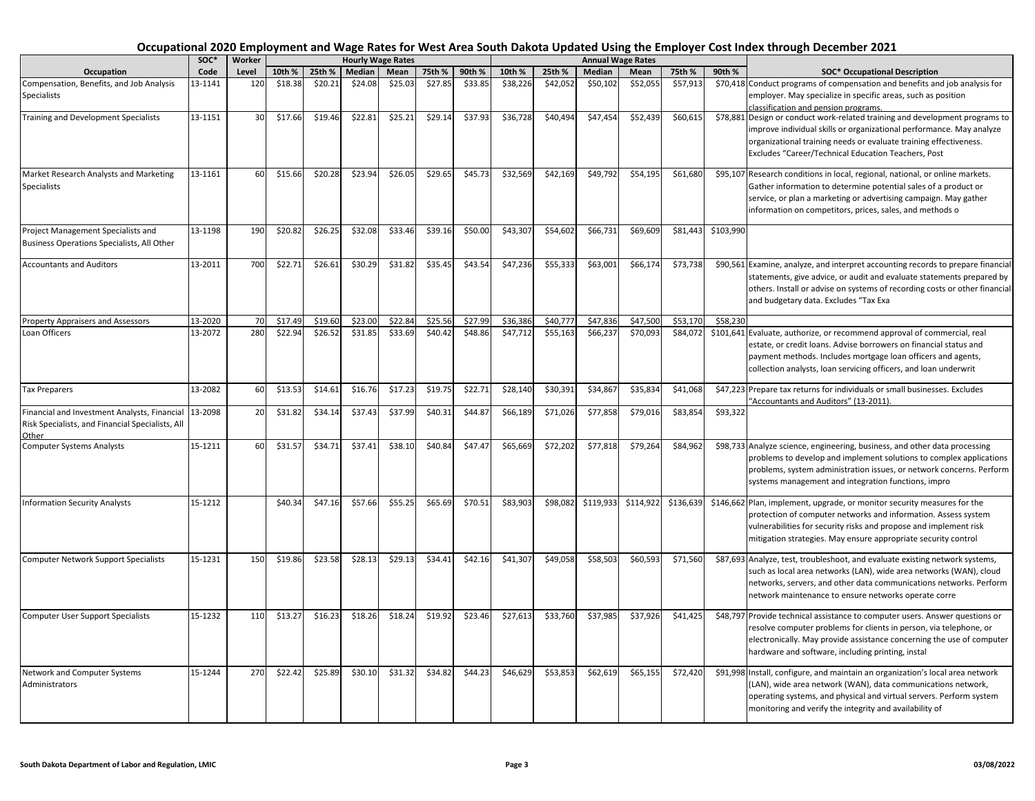|                                                                                                           | SOC*    | Worker |         |         |         | <b>Hourly Wage Rates</b> |         |         |          |          |               | <b>Annual Wage Rates</b> |           |           |                                                                                                                                                                                                                                                                                                                          |
|-----------------------------------------------------------------------------------------------------------|---------|--------|---------|---------|---------|--------------------------|---------|---------|----------|----------|---------------|--------------------------|-----------|-----------|--------------------------------------------------------------------------------------------------------------------------------------------------------------------------------------------------------------------------------------------------------------------------------------------------------------------------|
| Occupation                                                                                                | Code    | Level  | 10th %  | 25th %  | Median  | Mean                     | 75th %  | 90th %  | 10th %   | 25th %   | <b>Median</b> | Mean                     | 75th %    | 90th %    | <b>SOC* Occupational Description</b>                                                                                                                                                                                                                                                                                     |
| Compensation, Benefits, and Job Analysis<br>Specialists                                                   | 13-1141 | 120    | \$18.38 | \$20.21 | \$24.08 | \$25.03                  | \$27.85 | \$33.85 | \$38,226 | \$42,052 | \$50,102      | \$52,055                 | \$57,913  |           | \$70,418 Conduct programs of compensation and benefits and job analysis for<br>employer. May specialize in specific areas, such as position                                                                                                                                                                              |
| <b>Training and Development Specialists</b>                                                               | 13-1151 | 30     | \$17.66 | \$19.46 | \$22.81 | \$25.21                  | \$29.14 | \$37.93 | \$36,728 | \$40,494 | \$47,454      | \$52,439                 | \$60,615  |           | classification and pension programs.<br>\$78,881 Design or conduct work-related training and development programs to<br>improve individual skills or organizational performance. May analyze<br>organizational training needs or evaluate training effectiveness.<br>Excludes "Career/Technical Education Teachers, Post |
| Market Research Analysts and Marketing<br><b>Specialists</b>                                              | 13-1161 | 60     | \$15.66 | \$20.28 | \$23.94 | \$26.05                  | \$29.65 | \$45.73 | \$32,569 | \$42,169 | \$49,792      | \$54,195                 | \$61,680  |           | \$95,107 Research conditions in local, regional, national, or online markets.<br>Gather information to determine potential sales of a product or<br>service, or plan a marketing or advertising campaign. May gather<br>information on competitors, prices, sales, and methods o                                         |
| Project Management Specialists and<br>Business Operations Specialists, All Other                          | 13-1198 | 190    | \$20.82 | \$26.25 | \$32.08 | \$33.46                  | \$39.16 | \$50.00 | \$43,307 | \$54,602 | \$66,731      | \$69,609                 | \$81,443  | \$103,990 |                                                                                                                                                                                                                                                                                                                          |
| <b>Accountants and Auditors</b>                                                                           | 13-2011 | 700    | \$22.71 | \$26.61 | \$30.29 | \$31.82                  | \$35.45 | \$43.54 | \$47,236 | \$55,333 | \$63,001      | \$66,174                 | \$73,738  |           | \$90,561 Examine, analyze, and interpret accounting records to prepare financial<br>statements, give advice, or audit and evaluate statements prepared by<br>others. Install or advise on systems of recording costs or other financial<br>and budgetary data. Excludes "Tax Exa                                         |
| <b>Property Appraisers and Assessors</b>                                                                  | 13-2020 | 70     | \$17.49 | \$19.60 | \$23.00 | \$22.84                  | \$25.56 | \$27.99 | \$36,386 | \$40,777 | \$47,836      | \$47,500                 | \$53,170  | \$58,230  |                                                                                                                                                                                                                                                                                                                          |
| Loan Officers                                                                                             | 13-2072 | 280    | \$22.94 | \$26.52 | \$31.85 | \$33.69                  | \$40.42 | \$48.86 | \$47,712 | \$55,163 | \$66,237      | \$70,093                 | \$84,072  |           | \$101,641 Evaluate, authorize, or recommend approval of commercial, real<br>estate, or credit loans. Advise borrowers on financial status and<br>payment methods. Includes mortgage loan officers and agents,<br>collection analysts, loan servicing officers, and loan underwrit                                        |
| <b>Tax Preparers</b>                                                                                      | 13-2082 | 60     | \$13.53 | \$14.61 | \$16.76 | \$17.23                  | \$19.75 | \$22.71 | \$28,140 | \$30,391 | \$34,867      | \$35,834                 | \$41,068  |           | \$47,223 Prepare tax returns for individuals or small businesses. Excludes<br>'Accountants and Auditors" (13-2011).                                                                                                                                                                                                      |
| Financial and Investment Analysts, Financial<br>Risk Specialists, and Financial Specialists, All<br>Other | 13-2098 | 20     | \$31.82 | \$34.14 | \$37.43 | \$37.99                  | \$40.31 | \$44.87 | \$66,189 | \$71,026 | \$77,858      | \$79,016                 | \$83,854  | \$93,322  |                                                                                                                                                                                                                                                                                                                          |
| <b>Computer Systems Analysts</b>                                                                          | 15-1211 | 60     | \$31.57 | \$34.71 | \$37.41 | \$38.10                  | \$40.84 | \$47.47 | \$65,669 | \$72,202 | \$77,818      | \$79,264                 | \$84,962  |           | \$98,733 Analyze science, engineering, business, and other data processing<br>problems to develop and implement solutions to complex applications<br>problems, system administration issues, or network concerns. Perform<br>systems management and integration functions, impro                                         |
| <b>Information Security Analysts</b>                                                                      | 15-1212 |        | \$40.34 | \$47.16 | \$57.66 | \$55.25                  | \$65.69 | \$70.51 | \$83,903 | \$98,082 | \$119,933     | \$114,922                | \$136,639 |           | \$146,662 Plan, implement, upgrade, or monitor security measures for the<br>protection of computer networks and information. Assess system<br>vulnerabilities for security risks and propose and implement risk<br>mitigation strategies. May ensure appropriate security control                                        |
| <b>Computer Network Support Specialists</b>                                                               | 15-1231 | 150    | \$19.86 | \$23.58 | \$28.13 | \$29.13                  | \$34.41 | \$42.16 | \$41,307 | \$49,058 | \$58,503      | \$60,593                 | \$71,560  |           | \$87,693 Analyze, test, troubleshoot, and evaluate existing network systems,<br>such as local area networks (LAN), wide area networks (WAN), cloud<br>networks, servers, and other data communications networks. Perform<br>network maintenance to ensure networks operate corre                                         |
| <b>Computer User Support Specialists</b>                                                                  | 15-1232 | 110    | \$13.27 | \$16.23 | \$18.26 | \$18.24                  | \$19.92 | \$23.46 | \$27,613 | \$33,760 | \$37,985      | \$37,926                 | \$41,425  |           | \$48,797 Provide technical assistance to computer users. Answer questions or<br>resolve computer problems for clients in person, via telephone, or<br>electronically. May provide assistance concerning the use of computer<br>hardware and software, including printing, instal                                         |
| Network and Computer Systems<br>Administrators                                                            | 15-1244 | 270    | \$22.42 | \$25.89 | \$30.10 | \$31.32                  | \$34.82 | \$44.23 | \$46,629 | \$53,853 | \$62,619      | \$65,155                 | \$72,420  |           | \$91,998 Install, configure, and maintain an organization's local area network<br>(LAN), wide area network (WAN), data communications network,<br>operating systems, and physical and virtual servers. Perform system<br>monitoring and verify the integrity and availability of                                         |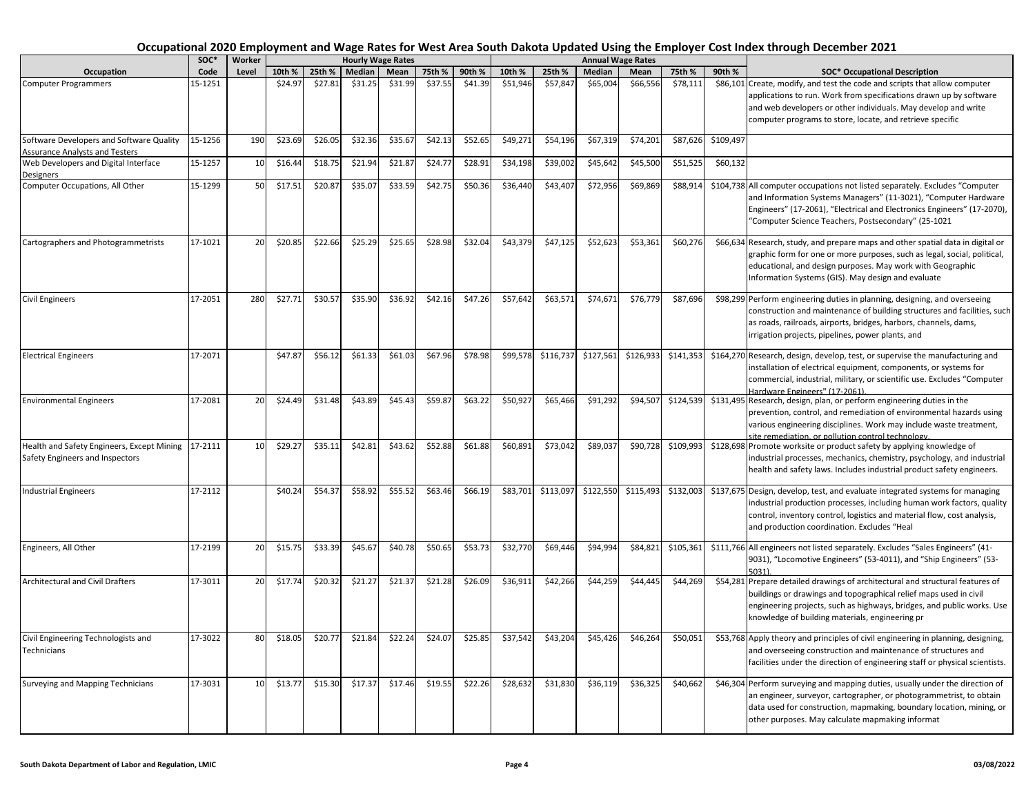|                                                                                   | SOC*    | Worker |         |         |         | <b>Hourly Wage Rates</b> |         |         |          |           |               | <b>Annual Wage Rates</b> |           |           |                                                                                                                                                                                                                                                                                   |
|-----------------------------------------------------------------------------------|---------|--------|---------|---------|---------|--------------------------|---------|---------|----------|-----------|---------------|--------------------------|-----------|-----------|-----------------------------------------------------------------------------------------------------------------------------------------------------------------------------------------------------------------------------------------------------------------------------------|
| Occupation                                                                        | Code    | Level  | 10th %  | 25th %  | Median  | Mean                     | 75th %  | 90th %  | 10th %   | 25th %    | <b>Median</b> | Mean                     | 75th %    | 90th %    | <b>SOC* Occupational Description</b>                                                                                                                                                                                                                                              |
| <b>Computer Programmers</b>                                                       | 15-1251 |        | \$24.97 | \$27.81 | \$31.25 | \$31.99                  | \$37.55 | \$41.39 | \$51,946 | \$57,847  | \$65,004      | \$66.556                 | \$78,111  |           | \$86,101 Create, modify, and test the code and scripts that allow computer<br>applications to run. Work from specifications drawn up by software<br>and web developers or other individuals. May develop and write<br>computer programs to store, locate, and retrieve specific   |
| Software Developers and Software Quality<br><b>Assurance Analysts and Testers</b> | 15-1256 | 190    | \$23.69 | \$26.05 | \$32.36 | \$35.67                  | \$42.13 | \$52.65 | \$49,271 | \$54,196  | \$67,319      | \$74,201                 | \$87,626  | \$109,497 |                                                                                                                                                                                                                                                                                   |
| Web Developers and Digital Interface<br><b>Designers</b>                          | 15-1257 | 10     | \$16.44 | \$18.75 | \$21.94 | \$21.87                  | \$24.77 | \$28.91 | \$34,198 | \$39,002  | \$45,642      | \$45,500                 | \$51,525  | \$60,132  |                                                                                                                                                                                                                                                                                   |
| Computer Occupations, All Other                                                   | 15-1299 | 50     | \$17.51 | \$20.87 | \$35.07 | \$33.59                  | \$42.75 | \$50.36 | \$36,440 | \$43,407  | \$72,956      | \$69,869                 | \$88,91   |           | \$104,738 All computer occupations not listed separately. Excludes "Computer<br>and Information Systems Managers" (11-3021), "Computer Hardware<br>Engineers" (17-2061), "Electrical and Electronics Engineers" (17-2070),<br>"Computer Science Teachers, Postsecondary" (25-1021 |
| Cartographers and Photogrammetrists                                               | 17-1021 | 20     | \$20.85 | \$22.66 | \$25.29 | \$25.65                  | \$28.98 | \$32.04 | \$43,379 | \$47,125  | \$52,623      | \$53,361                 | \$60,276  |           | \$66,634 Research, study, and prepare maps and other spatial data in digital or<br>graphic form for one or more purposes, such as legal, social, political,<br>educational, and design purposes. May work with Geographic<br>Information Systems (GIS). May design and evaluate   |
| <b>Civil Engineers</b>                                                            | 17-2051 | 280    | \$27.71 | \$30.57 | \$35.90 | \$36.92                  | \$42.16 | \$47.26 | \$57,642 | \$63,571  | \$74,671      | \$76,779                 | \$87,696  |           | \$98,299 Perform engineering duties in planning, designing, and overseeing<br>construction and maintenance of building structures and facilities, such<br>as roads, railroads, airports, bridges, harbors, channels, dams,<br>irrigation projects, pipelines, power plants, and   |
| <b>Electrical Engineers</b>                                                       | 17-2071 |        | \$47.87 | \$56.12 | \$61.33 | \$61.03                  | \$67.96 | \$78.98 | \$99,578 | \$116,737 | \$127,561     | \$126,933                | \$141,353 |           | \$164,270 Research, design, develop, test, or supervise the manufacturing and<br>installation of electrical equipment, components, or systems for<br>commercial, industrial, military, or scientific use. Excludes "Computer<br>Hardware Engineers" (17-2061).                    |
| <b>Environmental Engineers</b>                                                    | 17-2081 | 20     | \$24.49 | \$31.48 | \$43.89 | \$45.43                  | \$59.87 | \$63.22 | \$50,927 | \$65,466  | \$91,292      | \$94,507                 | \$124,539 |           | \$131,495 Research, design, plan, or perform engineering duties in the<br>prevention, control, and remediation of environmental hazards using<br>various engineering disciplines. Work may include waste treatment,<br>site remediation, or pollution control technology.         |
| Health and Safety Engineers, Except Mining<br>Safety Engineers and Inspectors     | 17-2111 | 10     | \$29.27 | \$35.11 | \$42.81 | \$43.62                  | \$52.88 | \$61.88 | \$60,891 | \$73,042  | \$89,037      | \$90,728                 | \$109,993 |           | \$128,698 Promote worksite or product safety by applying knowledge of<br>industrial processes, mechanics, chemistry, psychology, and industrial<br>health and safety laws. Includes industrial product safety engineers.                                                          |
| <b>Industrial Engineers</b>                                                       | 17-2112 |        | \$40.24 | \$54.37 | \$58.92 | \$55.52                  | \$63.46 | \$66.19 | \$83,701 | \$113,097 | \$122,550     | \$115,493                | \$132,003 |           | \$137,675 Design, develop, test, and evaluate integrated systems for managing<br>industrial production processes, including human work factors, quality<br>control, inventory control, logistics and material flow, cost analysis,<br>and production coordination. Excludes "Heal |
| Engineers, All Other                                                              | 17-2199 | 20     | \$15.75 | \$33.39 | \$45.67 | \$40.78                  | \$50.65 | \$53.73 | \$32,770 | \$69,446  | \$94,994      | \$84,821                 | \$105,361 |           | \$111,766 All engineers not listed separately. Excludes "Sales Engineers" (41-<br>9031), "Locomotive Engineers" (53-4011), and "Ship Engineers" (53-<br>5031).                                                                                                                    |
| Architectural and Civil Drafters                                                  | 17-3011 | 20     | \$17.74 | \$20.32 | \$21.27 | \$21.37                  | \$21.28 | \$26.09 | \$36,911 | \$42,266  | \$44,259      | \$44,445                 | \$44,269  |           | \$54,281 Prepare detailed drawings of architectural and structural features of<br>buildings or drawings and topographical relief maps used in civil<br>engineering projects, such as highways, bridges, and public works. Use<br>knowledge of building materials, engineering pr  |
| Civil Engineering Technologists and<br>Technicians                                | 17-3022 | 80     | \$18.05 | \$20.77 | \$21.84 | \$22.24                  | \$24.07 | \$25.85 | \$37,542 | \$43,204  | \$45,426      | \$46,264                 | \$50,051  |           | \$53,768 Apply theory and principles of civil engineering in planning, designing,<br>and overseeing construction and maintenance of structures and<br>facilities under the direction of engineering staff or physical scientists.                                                 |
| Surveying and Mapping Technicians                                                 | 17-3031 | 10     | \$13.77 | \$15.30 | \$17.37 | \$17.46                  | \$19.55 | \$22.26 | \$28,632 | \$31,830  | \$36,119      | \$36,325                 | \$40,662  |           | \$46,304 Perform surveying and mapping duties, usually under the direction of<br>an engineer, surveyor, cartographer, or photogrammetrist, to obtain<br>data used for construction, mapmaking, boundary location, mining, or<br>other purposes. May calculate mapmaking informat  |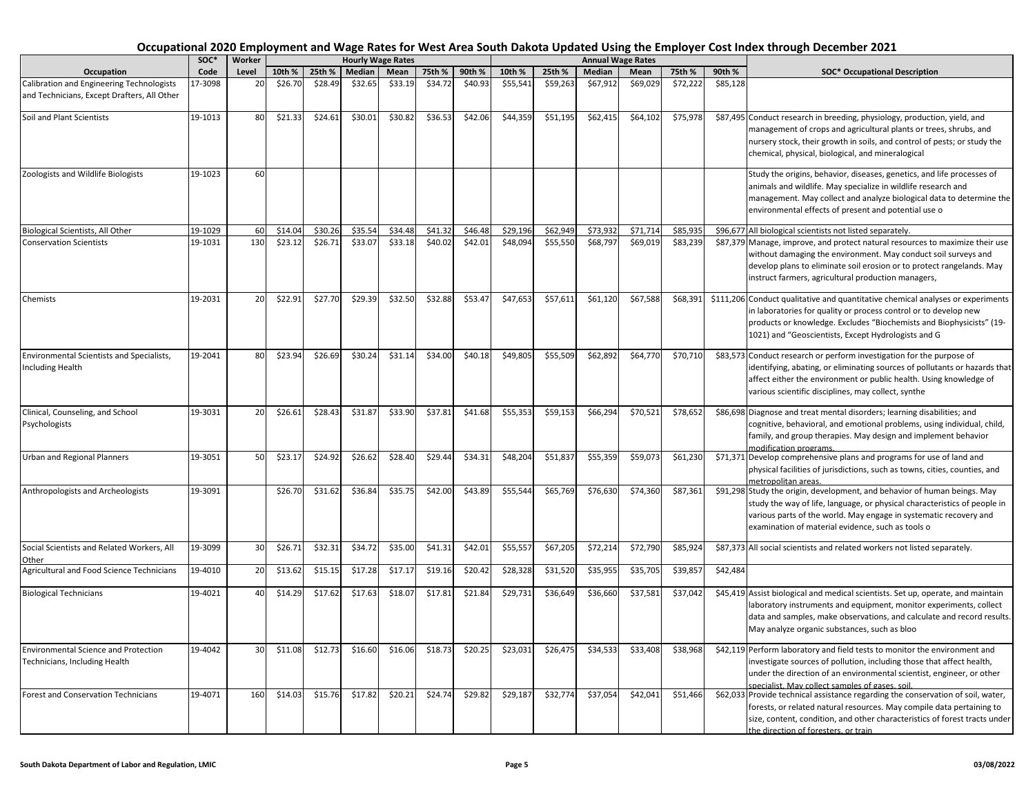|                                                                                          | soc*    | Worker |         |         |         | <b>Hourly Wage Rates</b> |         |         |          |          |               | <b>Annual Wage Rates</b> |          |          |                                                                                                                                                                                                                                                                                    |
|------------------------------------------------------------------------------------------|---------|--------|---------|---------|---------|--------------------------|---------|---------|----------|----------|---------------|--------------------------|----------|----------|------------------------------------------------------------------------------------------------------------------------------------------------------------------------------------------------------------------------------------------------------------------------------------|
| Occupation                                                                               | Code    | Level  | 10th %  | 25th %  | Median  | Mean                     | 75th %  | 90th %  | 10th %   | 25th %   | <b>Median</b> | Mean                     | 75th %   | 90th %   | <b>SOC* Occupational Description</b>                                                                                                                                                                                                                                               |
| Calibration and Engineering Technologists<br>and Technicians, Except Drafters, All Other | 17-3098 | 20     | \$26.70 | \$28.49 | \$32.65 | \$33.19                  | \$34.72 | \$40.93 | \$55,541 | \$59,263 | \$67,912      | \$69,029                 | \$72,222 | \$85,128 |                                                                                                                                                                                                                                                                                    |
| Soil and Plant Scientists                                                                | 19-1013 | 80     | \$21.33 | \$24.61 | \$30.01 | \$30.82                  | \$36.53 | \$42.06 | \$44,359 | \$51,195 | \$62,415      | \$64,102                 | \$75,978 |          | \$87,495 Conduct research in breeding, physiology, production, yield, and<br>management of crops and agricultural plants or trees, shrubs, and<br>nursery stock, their growth in soils, and control of pests; or study the<br>chemical, physical, biological, and mineralogical    |
| Zoologists and Wildlife Biologists                                                       | 19-1023 | 60     |         |         |         |                          |         |         |          |          |               |                          |          |          | Study the origins, behavior, diseases, genetics, and life processes of<br>animals and wildlife. May specialize in wildlife research and<br>management. May collect and analyze biological data to determine the<br>environmental effects of present and potential use o            |
| Biological Scientists, All Other                                                         | 19-1029 | 60     | \$14.04 | \$30.26 | \$35.54 | \$34.48                  | \$41.32 | \$46.48 | \$29,196 | \$62,949 | \$73,932      | \$71,714                 | \$85,93  |          | \$96,677 All biological scientists not listed separately.                                                                                                                                                                                                                          |
| <b>Conservation Scientists</b>                                                           | 19-1031 | 130    | \$23.12 | \$26.71 | \$33.07 | \$33.18                  | \$40.02 | \$42.01 | \$48,094 | \$55,550 | \$68,797      | \$69,019                 | \$83,239 |          | \$87,379 Manage, improve, and protect natural resources to maximize their use<br>without damaging the environment. May conduct soil surveys and<br>develop plans to eliminate soil erosion or to protect rangelands. May<br>instruct farmers, agricultural production managers,    |
| Chemists                                                                                 | 19-2031 | 20     | \$22.91 | \$27.70 | \$29.39 | \$32.50                  | \$32.88 | \$53.47 | \$47,653 | \$57,611 | \$61,120      | \$67,588                 | \$68,391 |          | \$111,206 Conduct qualitative and quantitative chemical analyses or experiments<br>in laboratories for quality or process control or to develop new<br>products or knowledge. Excludes "Biochemists and Biophysicists" (19-<br>1021) and "Geoscientists, Except Hydrologists and G |
| Environmental Scientists and Specialists,<br><b>Including Health</b>                     | 19-2041 | 80     | \$23.94 | \$26.69 | \$30.24 | \$31.14                  | \$34.00 | \$40.18 | \$49,805 | \$55,509 | \$62,892      | \$64,770                 | \$70,710 |          | \$83,573 Conduct research or perform investigation for the purpose of<br>identifying, abating, or eliminating sources of pollutants or hazards that<br>affect either the environment or public health. Using knowledge of<br>various scientific disciplines, may collect, synthe   |
| Clinical, Counseling, and School<br>Psychologists                                        | 19-3031 | 20     | \$26.61 | \$28.43 | \$31.87 | \$33.90                  | \$37.81 | \$41.68 | \$55,353 | \$59,153 | \$66,294      | \$70,521                 | \$78,652 |          | \$86,698 Diagnose and treat mental disorders; learning disabilities; and<br>cognitive, behavioral, and emotional problems, using individual, child,<br>family, and group therapies. May design and implement behavior<br>modification programs.                                    |
| Jrban and Regional Planners                                                              | 19-3051 | 50     | \$23.17 | \$24.92 | \$26.62 | \$28.40                  | \$29.44 | \$34.31 | \$48,204 | \$51,837 | \$55,359      | \$59,073                 | \$61,230 |          | \$71,371 Develop comprehensive plans and programs for use of land and<br>physical facilities of jurisdictions, such as towns, cities, counties, and<br>metropolitan areas.                                                                                                         |
| Anthropologists and Archeologists                                                        | 19-3091 |        | \$26.70 | \$31.62 | \$36.84 | \$35.75                  | \$42.00 | \$43.89 | \$55,544 | \$65,769 | \$76,630      | \$74,360                 | \$87,361 |          | \$91,298 Study the origin, development, and behavior of human beings. May<br>study the way of life, language, or physical characteristics of people in<br>various parts of the world. May engage in systematic recovery and<br>examination of material evidence, such as tools o   |
| Social Scientists and Related Workers, All<br>Other                                      | 19-3099 | 30     | \$26.71 | \$32.31 | \$34.72 | \$35.00                  | \$41.31 | \$42.01 | \$55,557 | \$67,205 | \$72,214      | \$72,790                 | \$85,924 |          | \$87,373 All social scientists and related workers not listed separately.                                                                                                                                                                                                          |
| Agricultural and Food Science Technicians                                                | 19-4010 | 20     | \$13.62 | \$15.15 | \$17.28 | \$17.17                  | \$19.16 | \$20.42 | \$28,328 | \$31,520 | \$35,955      | \$35,705                 | \$39,857 | \$42,484 |                                                                                                                                                                                                                                                                                    |
| <b>Biological Technicians</b>                                                            | 19-4021 | 40     | \$14.29 | \$17.62 | \$17.63 | \$18.07                  | \$17.81 | \$21.84 | \$29,731 | \$36,649 | \$36,660      | \$37,581                 | \$37,042 |          | \$45,419 Assist biological and medical scientists. Set up, operate, and maintain<br>laboratory instruments and equipment, monitor experiments, collect<br>data and samples, make observations, and calculate and record results.<br>May analyze organic substances, such as bloo   |
| <b>Environmental Science and Protection</b><br>Technicians, Including Health             | 19-4042 | 30     | \$11.08 | \$12.73 | \$16.60 | \$16.06                  | \$18.73 | \$20.25 | \$23,031 | \$26,475 | \$34,533      | \$33,408                 | \$38,968 |          | \$42,119 Perform laboratory and field tests to monitor the environment and<br>investigate sources of pollution, including those that affect health,<br>under the direction of an environmental scientist, engineer, or other<br>specialist. May collect samples of gases, soil.    |
| Forest and Conservation Technicians                                                      | 19-4071 | 160    | \$14.03 | \$15.76 | \$17.82 | \$20.21                  | \$24.74 | \$29.82 | \$29,187 | \$32,774 | \$37,054      | \$42,041                 | \$51,466 |          | \$62,033 Provide technical assistance regarding the conservation of soil, water,<br>forests, or related natural resources. May compile data pertaining to<br>size, content, condition, and other characteristics of forest tracts under<br>the direction of foresters, or train    |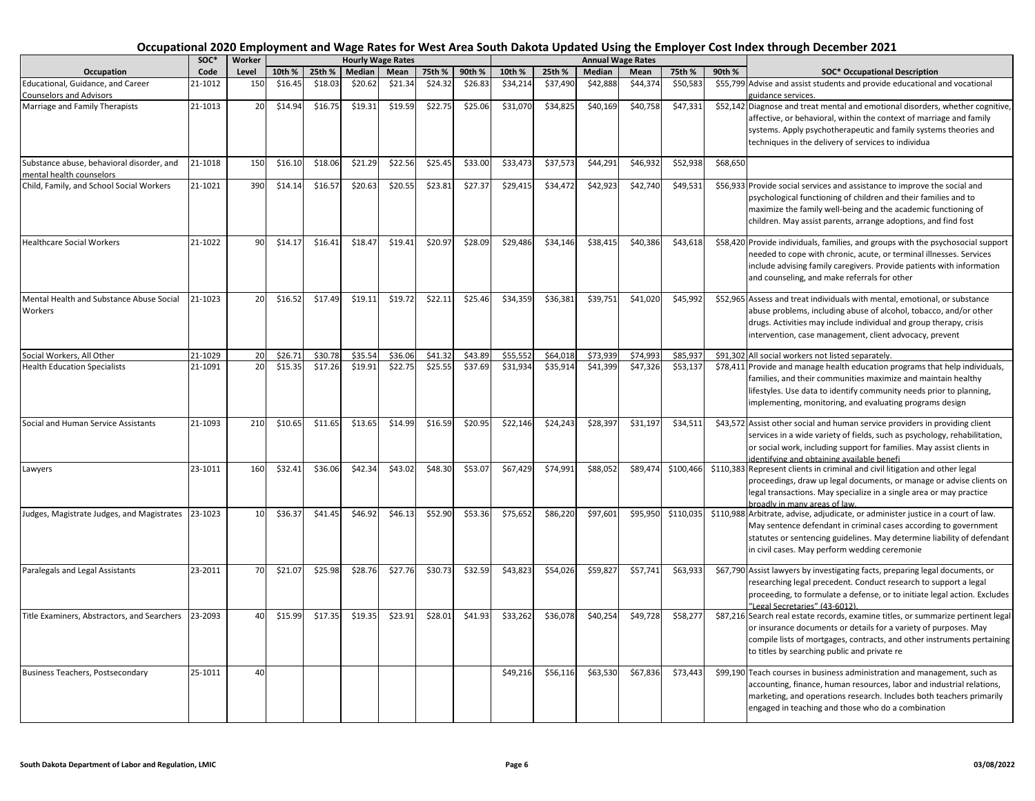|                                                                  | SOC*               | Worker    |         |         | <b>Hourly Wage Rates</b> |         |         |         |          |                      |               | <b>Annual Wage Rates</b> |           |          |                                                                                                                                    |
|------------------------------------------------------------------|--------------------|-----------|---------|---------|--------------------------|---------|---------|---------|----------|----------------------|---------------|--------------------------|-----------|----------|------------------------------------------------------------------------------------------------------------------------------------|
| Occupation                                                       | Code               | Level     | 10th %  | 25th %  | Median                   | Mean    | 75th %  | 90th %  | 10th %   | 25th %               | <b>Median</b> | Mean                     | 75th %    | 90th %   | <b>SOC* Occupational Description</b>                                                                                               |
| Educational, Guidance, and Career                                | 21-1012            | 150       | \$16.45 | \$18.03 | \$20.62                  | \$21.34 | \$24.32 | \$26.83 | \$34,214 | \$37,490             | \$42,888      | \$44,374                 | \$50,583  |          | \$55,799 Advise and assist students and provide educational and vocational                                                         |
| <b>Counselors and Advisors</b>                                   |                    |           |         |         |                          |         |         |         |          |                      |               |                          |           |          | guidance services.                                                                                                                 |
| Marriage and Family Therapists                                   | 21-1013            | 20        | \$14.94 | \$16.75 | \$19.31                  | \$19.59 | \$22.75 | \$25.06 | \$31,070 | \$34,825             | \$40,169      | \$40,758                 | \$47,331  |          | \$52,142 Diagnose and treat mental and emotional disorders, whether cognitive,                                                     |
|                                                                  |                    |           |         |         |                          |         |         |         |          |                      |               |                          |           |          | affective, or behavioral, within the context of marriage and family                                                                |
|                                                                  |                    |           |         |         |                          |         |         |         |          |                      |               |                          |           |          | systems. Apply psychotherapeutic and family systems theories and                                                                   |
|                                                                  |                    |           |         |         |                          |         |         |         |          |                      |               |                          |           |          | techniques in the delivery of services to individua                                                                                |
|                                                                  |                    |           |         |         |                          |         |         |         |          |                      |               |                          |           |          |                                                                                                                                    |
| Substance abuse, behavioral disorder, and                        | 21-1018            | 150       | \$16.10 | \$18.06 | \$21.29                  | \$22.56 | \$25.45 | \$33.00 | \$33,473 | \$37,573             | \$44,291      | \$46,932                 | \$52,938  | \$68,650 |                                                                                                                                    |
| mental health counselors                                         |                    |           |         |         |                          |         |         |         |          |                      |               |                          |           |          |                                                                                                                                    |
| Child, Family, and School Social Workers                         | 21-1021            | 390       | \$14.14 | \$16.57 | \$20.63                  | \$20.55 | \$23.81 | \$27.37 | \$29,415 | \$34,472             | \$42,923      | \$42,740                 | \$49,531  |          | \$56,933 Provide social services and assistance to improve the social and                                                          |
|                                                                  |                    |           |         |         |                          |         |         |         |          |                      |               |                          |           |          | psychological functioning of children and their families and to                                                                    |
|                                                                  |                    |           |         |         |                          |         |         |         |          |                      |               |                          |           |          | maximize the family well-being and the academic functioning of                                                                     |
|                                                                  |                    |           |         |         |                          |         |         |         |          |                      |               |                          |           |          | children. May assist parents, arrange adoptions, and find fost                                                                     |
|                                                                  |                    |           |         |         |                          |         |         |         |          |                      |               |                          |           |          |                                                                                                                                    |
| <b>Healthcare Social Workers</b>                                 | 21-1022            | 90        | \$14.17 | \$16.41 | \$18.47                  | \$19.41 | \$20.97 | \$28.09 | \$29,486 | \$34,146             | \$38,415      | \$40,386                 | \$43,618  |          | \$58,420 Provide individuals, families, and groups with the psychosocial support                                                   |
|                                                                  |                    |           |         |         |                          |         |         |         |          |                      |               |                          |           |          | needed to cope with chronic, acute, or terminal illnesses. Services                                                                |
|                                                                  |                    |           |         |         |                          |         |         |         |          |                      |               |                          |           |          | include advising family caregivers. Provide patients with information                                                              |
|                                                                  |                    |           |         |         |                          |         |         |         |          |                      |               |                          |           |          | and counseling, and make referrals for other                                                                                       |
|                                                                  |                    |           |         |         |                          |         |         |         |          |                      |               |                          |           |          |                                                                                                                                    |
| Mental Health and Substance Abuse Social                         | 21-1023            | <b>20</b> | \$16.52 | \$17.49 | \$19.11                  | \$19.72 | \$22.11 | \$25.46 | \$34,359 | \$36,381             | \$39,751      | \$41,020                 | \$45,992  |          | \$52,965 Assess and treat individuals with mental, emotional, or substance                                                         |
| Workers                                                          |                    |           |         |         |                          |         |         |         |          |                      |               |                          |           |          | abuse problems, including abuse of alcohol, tobacco, and/or other                                                                  |
|                                                                  |                    |           |         |         |                          |         |         |         |          |                      |               |                          |           |          | drugs. Activities may include individual and group therapy, crisis                                                                 |
|                                                                  |                    |           |         |         |                          |         |         |         |          |                      |               |                          |           |          | intervention, case management, client advocacy, prevent                                                                            |
|                                                                  |                    |           | \$26.71 | \$30.78 | \$35.54                  | \$36.06 | \$41.32 | \$43.89 | \$55,552 |                      | \$73,939      | \$74.993                 | \$85.937  |          |                                                                                                                                    |
| Social Workers, All Other<br><b>Health Education Specialists</b> | 21-1029<br>21-1091 | 20<br>20  | \$15.35 | \$17.26 | \$19.91                  | \$22.75 | \$25.55 | \$37.69 | \$31,934 | \$64,018<br>\$35,914 | \$41,399      | \$47,326                 | \$53,137  |          | \$91,302 All social workers not listed separately.<br>\$78,411 Provide and manage health education programs that help individuals, |
|                                                                  |                    |           |         |         |                          |         |         |         |          |                      |               |                          |           |          | families, and their communities maximize and maintain healthy                                                                      |
|                                                                  |                    |           |         |         |                          |         |         |         |          |                      |               |                          |           |          |                                                                                                                                    |
|                                                                  |                    |           |         |         |                          |         |         |         |          |                      |               |                          |           |          | lifestyles. Use data to identify community needs prior to planning,                                                                |
|                                                                  |                    |           |         |         |                          |         |         |         |          |                      |               |                          |           |          | implementing, monitoring, and evaluating programs design                                                                           |
| Social and Human Service Assistants                              | 21-1093            | 210       | \$10.65 | \$11.65 | \$13.65                  | \$14.99 | \$16.59 | \$20.95 | \$22,146 | \$24,243             | \$28,397      | \$31,197                 | \$34,511  |          | \$43,572 Assist other social and human service providers in providing client                                                       |
|                                                                  |                    |           |         |         |                          |         |         |         |          |                      |               |                          |           |          | services in a wide variety of fields, such as psychology, rehabilitation,                                                          |
|                                                                  |                    |           |         |         |                          |         |         |         |          |                      |               |                          |           |          | or social work, including support for families. May assist clients in                                                              |
|                                                                  |                    |           |         |         |                          |         |         |         |          |                      |               |                          |           |          | identifying and obtaining available benefi                                                                                         |
| Lawyers                                                          | 23-1011            | 160       | \$32.41 | \$36.06 | \$42.34                  | \$43.02 | \$48.30 | \$53.07 | \$67,429 | \$74,991             | \$88,052      | \$89,474                 | \$100,466 |          | \$110,383 Represent clients in criminal and civil litigation and other legal                                                       |
|                                                                  |                    |           |         |         |                          |         |         |         |          |                      |               |                          |           |          | proceedings, draw up legal documents, or manage or advise clients on                                                               |
|                                                                  |                    |           |         |         |                          |         |         |         |          |                      |               |                          |           |          | legal transactions. May specialize in a single area or may practice                                                                |
|                                                                  |                    |           |         |         |                          |         |         |         |          |                      |               |                          |           |          | broadly in many areas of law.                                                                                                      |
| Judges, Magistrate Judges, and Magistrates                       | 23-1023            | 10        | \$36.37 | \$41.45 | \$46.92                  | \$46.13 | \$52.90 | \$53.36 | \$75,652 | \$86,220             | \$97,601      | \$95,950                 | \$110,035 |          | \$110,988 Arbitrate, advise, adjudicate, or administer justice in a court of law.                                                  |
|                                                                  |                    |           |         |         |                          |         |         |         |          |                      |               |                          |           |          | May sentence defendant in criminal cases according to government                                                                   |
|                                                                  |                    |           |         |         |                          |         |         |         |          |                      |               |                          |           |          | statutes or sentencing guidelines. May determine liability of defendant                                                            |
|                                                                  |                    |           |         |         |                          |         |         |         |          |                      |               |                          |           |          | in civil cases. May perform wedding ceremonie                                                                                      |
|                                                                  |                    |           |         |         |                          |         |         |         |          |                      |               |                          |           |          |                                                                                                                                    |
| Paralegals and Legal Assistants                                  | 23-2011            | 70        | \$21.07 | \$25.98 | \$28.76                  | \$27.76 | \$30.73 | \$32.59 | \$43,823 | \$54,026             | \$59,827      | \$57,741                 | \$63,933  |          | \$67,790 Assist lawyers by investigating facts, preparing legal documents, or                                                      |
|                                                                  |                    |           |         |         |                          |         |         |         |          |                      |               |                          |           |          | researching legal precedent. Conduct research to support a legal                                                                   |
|                                                                  |                    |           |         |         |                          |         |         |         |          |                      |               |                          |           |          | proceeding, to formulate a defense, or to initiate legal action. Excludes                                                          |
|                                                                  |                    |           |         |         |                          |         |         |         |          |                      |               |                          |           |          | "Legal Secretaries" (43-6012)                                                                                                      |
| Title Examiners, Abstractors, and Searchers                      | 23-2093            | 40        | \$15.99 | \$17.35 | \$19.35                  | \$23.91 | \$28.01 | \$41.93 | \$33,262 | \$36,078             | \$40,254      | \$49,728                 | \$58,277  |          | \$87,216 Search real estate records, examine titles, or summarize pertinent legal                                                  |
|                                                                  |                    |           |         |         |                          |         |         |         |          |                      |               |                          |           |          | or insurance documents or details for a variety of purposes. May                                                                   |
|                                                                  |                    |           |         |         |                          |         |         |         |          |                      |               |                          |           |          | compile lists of mortgages, contracts, and other instruments pertaining                                                            |
|                                                                  |                    |           |         |         |                          |         |         |         |          |                      |               |                          |           |          | to titles by searching public and private re                                                                                       |
|                                                                  |                    |           |         |         |                          |         |         |         |          |                      |               |                          |           |          |                                                                                                                                    |
| <b>Business Teachers, Postsecondary</b>                          | 25-1011            | 40        |         |         |                          |         |         |         | \$49,216 | \$56,116             | \$63,530      | \$67,836                 | \$73,443  |          | \$99,190 Teach courses in business administration and management, such as                                                          |
|                                                                  |                    |           |         |         |                          |         |         |         |          |                      |               |                          |           |          | accounting, finance, human resources, labor and industrial relations,                                                              |
|                                                                  |                    |           |         |         |                          |         |         |         |          |                      |               |                          |           |          | marketing, and operations research. Includes both teachers primarily                                                               |
|                                                                  |                    |           |         |         |                          |         |         |         |          |                      |               |                          |           |          | engaged in teaching and those who do a combination                                                                                 |
|                                                                  |                    |           |         |         |                          |         |         |         |          |                      |               |                          |           |          |                                                                                                                                    |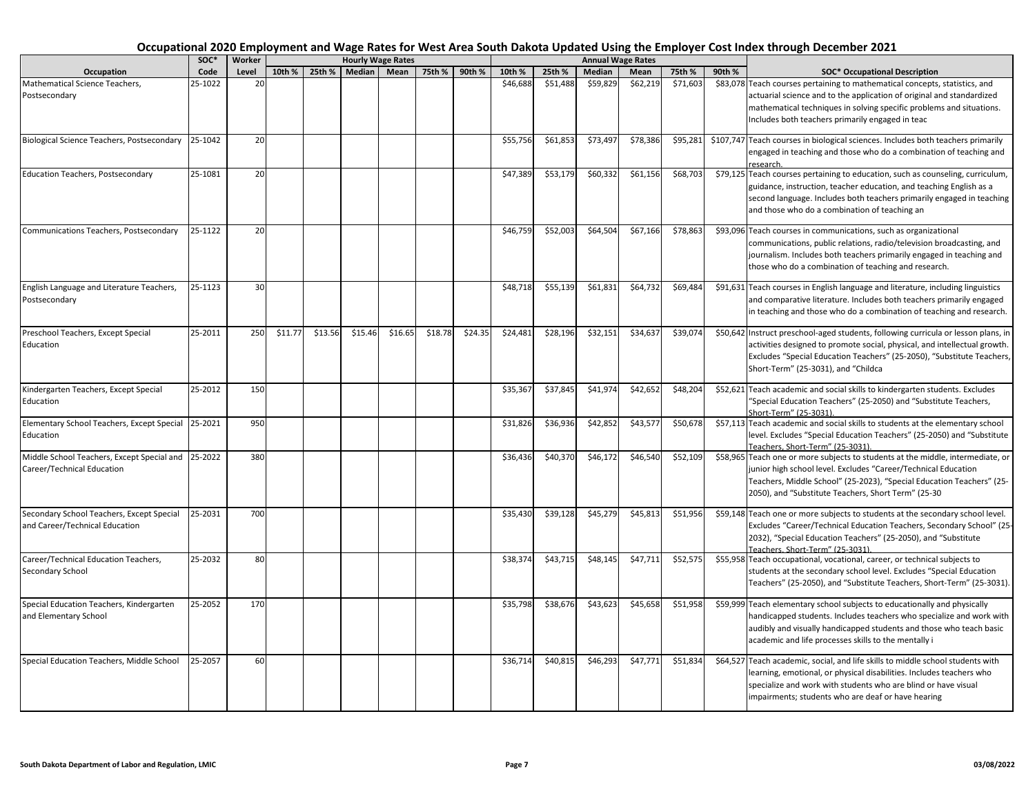|                                                                             | soc*    | Worker |         |         |               | <b>Hourly Wage Rates</b> |         |         |          |          |          | <b>Annual Wage Rates</b> |          |        |                                                                                                                                                                                                                                                                                   |
|-----------------------------------------------------------------------------|---------|--------|---------|---------|---------------|--------------------------|---------|---------|----------|----------|----------|--------------------------|----------|--------|-----------------------------------------------------------------------------------------------------------------------------------------------------------------------------------------------------------------------------------------------------------------------------------|
| Occupation                                                                  | Code    | Level  | 10th %  | 25th %  | <b>Median</b> | Mean                     | 75th %  | 90th %  | 10th %   | 25th %   | Median   | Mean                     | 75th %   | 90th % | <b>SOC* Occupational Description</b>                                                                                                                                                                                                                                              |
| Mathematical Science Teachers,<br>Postsecondary                             | 25-1022 | 20     |         |         |               |                          |         |         | \$46,688 | \$51,488 | \$59,829 | \$62,219                 | \$71,603 |        | \$83,078 Teach courses pertaining to mathematical concepts, statistics, and<br>actuarial science and to the application of original and standardized<br>mathematical techniques in solving specific problems and situations.<br>Includes both teachers primarily engaged in teac  |
| Biological Science Teachers, Postsecondary                                  | 25-1042 | 20     |         |         |               |                          |         |         | \$55,756 | \$61,853 | \$73,497 | \$78,386                 | \$95,281 |        | \$107,747 Teach courses in biological sciences. Includes both teachers primarily<br>engaged in teaching and those who do a combination of teaching and<br>research.                                                                                                               |
| <b>Education Teachers, Postsecondary</b>                                    | 25-1081 | 20     |         |         |               |                          |         |         | \$47,389 | \$53,179 | \$60,332 | \$61,156                 | \$68,703 |        | \$79,125 Teach courses pertaining to education, such as counseling, curriculum,<br>guidance, instruction, teacher education, and teaching English as a<br>second language. Includes both teachers primarily engaged in teaching<br>and those who do a combination of teaching an  |
| Communications Teachers, Postsecondary                                      | 25-1122 | 20     |         |         |               |                          |         |         | \$46,759 | \$52,003 | \$64,504 | \$67,166                 | \$78,863 |        | \$93,096 Teach courses in communications, such as organizational<br>communications, public relations, radio/television broadcasting, and<br>journalism. Includes both teachers primarily engaged in teaching and<br>those who do a combination of teaching and research.          |
| English Language and Literature Teachers,<br>Postsecondary                  | 25-1123 | 30     |         |         |               |                          |         |         | \$48,718 | \$55,139 | \$61,83  | \$64,732                 | \$69,484 |        | \$91,631 Teach courses in English language and literature, including linguistics<br>and comparative literature. Includes both teachers primarily engaged<br>in teaching and those who do a combination of teaching and research.                                                  |
| Preschool Teachers, Except Special<br>Education                             | 25-2011 | 250    | \$11.77 | \$13.56 | \$15.46       | \$16.65                  | \$18.78 | \$24.35 | \$24,481 | \$28,196 | \$32,151 | \$34,63                  | \$39,074 |        | \$50,642 Instruct preschool-aged students, following curricula or lesson plans, in<br>activities designed to promote social, physical, and intellectual growth.<br>Excludes "Special Education Teachers" (25-2050), "Substitute Teachers,<br>Short-Term" (25-3031), and "Childca  |
| Kindergarten Teachers, Except Special<br>Education                          | 25-2012 | 150    |         |         |               |                          |         |         | \$35,367 | \$37,845 | \$41,974 | \$42,65                  | \$48,204 |        | \$52,621 Teach academic and social skills to kindergarten students. Excludes<br>"Special Education Teachers" (25-2050) and "Substitute Teachers,<br>Short-Term" (25-3031)                                                                                                         |
| Elementary School Teachers, Except Special 25-2021<br>Education             |         | 950    |         |         |               |                          |         |         | \$31,826 | \$36,936 | \$42,852 | \$43,57                  | \$50,678 |        | \$57,113 Teach academic and social skills to students at the elementary school<br>level. Excludes "Special Education Teachers" (25-2050) and "Substitute<br>Teachers. Short-Term" (25-3031).                                                                                      |
| Middle School Teachers, Except Special and<br>Career/Technical Education    | 25-2022 | 380    |         |         |               |                          |         |         | \$36,436 | \$40,370 | \$46,172 | \$46,540                 | \$52,109 |        | \$58,965 Teach one or more subjects to students at the middle, intermediate, or<br>junior high school level. Excludes "Career/Technical Education<br>Teachers, Middle School" (25-2023), "Special Education Teachers" (25-<br>2050), and "Substitute Teachers, Short Term" (25-30 |
| Secondary School Teachers, Except Special<br>and Career/Technical Education | 25-2031 | 700    |         |         |               |                          |         |         | \$35,430 | \$39,128 | \$45,279 | \$45,813                 | \$51,956 |        | \$59,148 Teach one or more subjects to students at the secondary school level.<br>Excludes "Career/Technical Education Teachers, Secondary School" (25<br>2032), "Special Education Teachers" (25-2050), and "Substitute<br>Teachers, Short-Term" (25-3031).                      |
| Career/Technical Education Teachers,<br>Secondary School                    | 25-2032 | 80     |         |         |               |                          |         |         | \$38,374 | \$43,715 | \$48,145 | \$47,711                 | \$52,575 |        | \$55,958 Teach occupational, vocational, career, or technical subjects to<br>students at the secondary school level. Excludes "Special Education<br>Teachers" (25-2050), and "Substitute Teachers, Short-Term" (25-3031).                                                         |
| Special Education Teachers, Kindergarten<br>and Elementary School           | 25-2052 | 170    |         |         |               |                          |         |         | \$35,798 | \$38,676 | \$43,623 | \$45,658                 | \$51,958 |        | \$59,999 Teach elementary school subjects to educationally and physically<br>handicapped students. Includes teachers who specialize and work with<br>audibly and visually handicapped students and those who teach basic<br>academic and life processes skills to the mentally i  |
| Special Education Teachers, Middle School                                   | 25-2057 | 60     |         |         |               |                          |         |         | \$36,714 | \$40,815 | \$46,293 | \$47,771                 | \$51,834 |        | \$64,527 Teach academic, social, and life skills to middle school students with<br>learning, emotional, or physical disabilities. Includes teachers who<br>specialize and work with students who are blind or have visual<br>impairments; students who are deaf or have hearing   |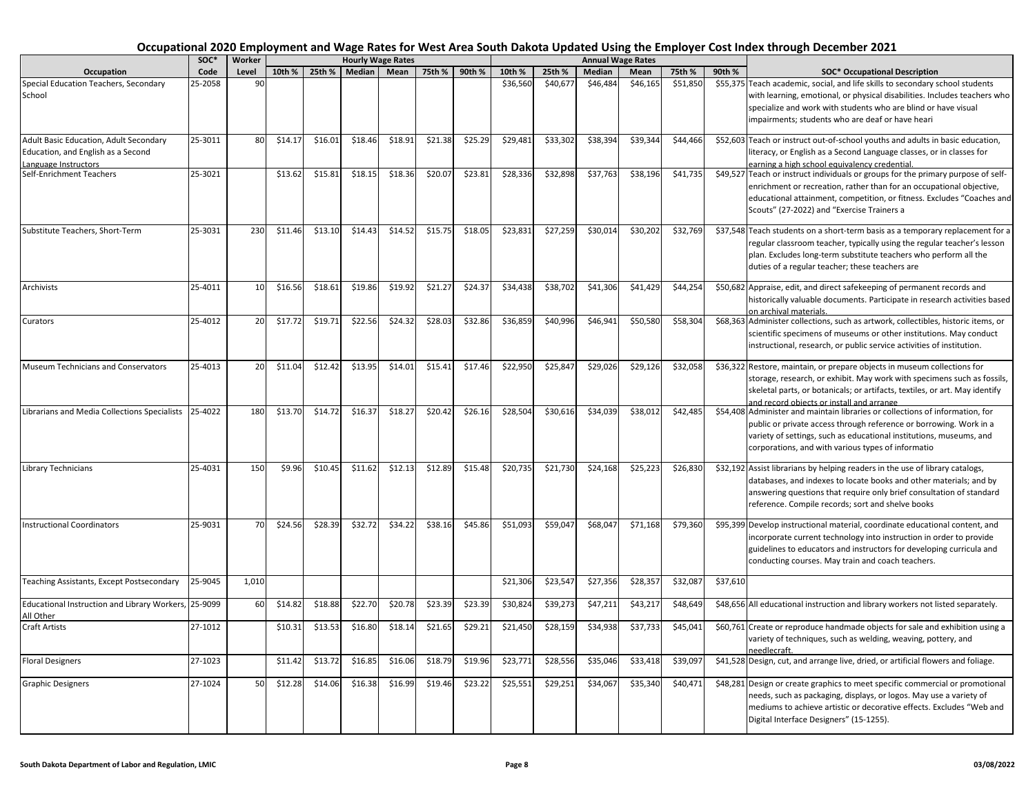|                                                                                                     | $SOC*$  | Worker          |         |         | <b>Hourly Wage Rates</b> |         |         |         |          |          |               | <b>Annual Wage Rates</b> |          |          |                                                                                                                                                                                                                                                                                   |
|-----------------------------------------------------------------------------------------------------|---------|-----------------|---------|---------|--------------------------|---------|---------|---------|----------|----------|---------------|--------------------------|----------|----------|-----------------------------------------------------------------------------------------------------------------------------------------------------------------------------------------------------------------------------------------------------------------------------------|
| Occupation                                                                                          | Code    | Level           | 10th %  | 25th %  | Median I                 | Mean    | 75th %  | 90th %  | 10th %   | 25th %   | <b>Median</b> | Mean                     | 75th %   | 90th %   | <b>SOC* Occupational Description</b>                                                                                                                                                                                                                                              |
| Special Education Teachers, Secondary<br>School                                                     | 25-2058 | 90              |         |         |                          |         |         |         | \$36,560 | \$40,677 | \$46,484      | \$46,165                 | \$51,850 |          | \$55,375 Teach academic, social, and life skills to secondary school students<br>with learning, emotional, or physical disabilities. Includes teachers who<br>specialize and work with students who are blind or have visual<br>impairments; students who are deaf or have heari  |
| Adult Basic Education, Adult Secondary<br>Education, and English as a Second<br>anguage Instructors | 25-3011 | 80              | \$14.17 | \$16.01 | \$18.46                  | \$18.91 | \$21.38 | \$25.29 | \$29,481 | \$33,302 | \$38,394      | \$39,344                 | \$44,466 |          | \$52,603 Teach or instruct out-of-school youths and adults in basic education,<br>literacy, or English as a Second Language classes, or in classes for<br>earning a high school equivalency credential.                                                                           |
| Self-Enrichment Teachers                                                                            | 25-3021 |                 | \$13.62 | \$15.81 | \$18.15                  | \$18.36 | \$20.07 | \$23.81 | \$28,336 | \$32,898 | \$37,763      | \$38,196                 | \$41,735 |          | \$49,527 Teach or instruct individuals or groups for the primary purpose of self-<br>enrichment or recreation, rather than for an occupational objective,<br>educational attainment, competition, or fitness. Excludes "Coaches and<br>Scouts" (27-2022) and "Exercise Trainers a |
| Substitute Teachers, Short-Term                                                                     | 25-3031 | 230             | \$11.46 | \$13.10 | \$14.43                  | \$14.52 | \$15.75 | \$18.05 | \$23,831 | \$27,259 | \$30,014      | \$30,202                 | \$32,769 |          | \$37,548 Teach students on a short-term basis as a temporary replacement for a<br>regular classroom teacher, typically using the regular teacher's lesson<br>plan. Excludes long-term substitute teachers who perform all the<br>duties of a regular teacher; these teachers are  |
| Archivists                                                                                          | 25-4011 | 10 <sup>1</sup> | \$16.56 | \$18.61 | \$19.86                  | \$19.92 | \$21.27 | \$24.37 | \$34,438 | \$38,702 | \$41.306      | \$41,429                 | \$44,254 |          | \$50,682 Appraise, edit, and direct safekeeping of permanent records and<br>historically valuable documents. Participate in research activities based<br>on archival materials.                                                                                                   |
| Curators                                                                                            | 25-4012 | 20              | \$17.72 | \$19.71 | \$22.56                  | \$24.32 | \$28.03 | \$32.86 | \$36,859 | \$40,996 | \$46,941      | \$50,580                 | \$58,304 |          | \$68,363 Administer collections, such as artwork, collectibles, historic items, or<br>scientific specimens of museums or other institutions. May conduct<br>instructional, research, or public service activities of institution.                                                 |
| Museum Technicians and Conservators                                                                 | 25-4013 | 20              | \$11.04 | \$12.42 | \$13.95                  | \$14.01 | \$15.41 | \$17.46 | \$22,950 | \$25,847 | \$29,026      | \$29,126                 | \$32,058 |          | \$36,322 Restore, maintain, or prepare objects in museum collections for<br>storage, research, or exhibit. May work with specimens such as fossils,<br>skeletal parts, or botanicals; or artifacts, textiles, or art. May identify<br>and record objects or install and arrange   |
| Librarians and Media Collections Specialists                                                        | 25-4022 | 180             | \$13.70 | \$14.72 | \$16.37                  | \$18.27 | \$20.42 | \$26.16 | \$28,504 | \$30,616 | \$34,039      | \$38,012                 | \$42,485 |          | \$54,408 Administer and maintain libraries or collections of information, for<br>public or private access through reference or borrowing. Work in a<br>variety of settings, such as educational institutions, museums, and<br>corporations, and with various types of informatio  |
| Library Technicians                                                                                 | 25-4031 | 150             | \$9.96  | \$10.45 | \$11.62                  | \$12.13 | \$12.89 | \$15.48 | \$20,735 | \$21,730 | \$24,168      | \$25,223                 | \$26,830 |          | \$32,192 Assist librarians by helping readers in the use of library catalogs,<br>databases, and indexes to locate books and other materials; and by<br>answering questions that require only brief consultation of standard<br>reference. Compile records; sort and shelve books  |
| <b>Instructional Coordinators</b>                                                                   | 25-9031 | 70              | \$24.56 | \$28.39 | \$32.72                  | \$34.22 | \$38.16 | \$45.86 | \$51,093 | \$59,047 | \$68,047      | \$71,168                 | \$79,360 |          | \$95,399 Develop instructional material, coordinate educational content, and<br>incorporate current technology into instruction in order to provide<br>guidelines to educators and instructors for developing curricula and<br>conducting courses. May train and coach teachers.  |
| Teaching Assistants, Except Postsecondary                                                           | 25-9045 | 1,010           |         |         |                          |         |         |         | \$21,306 | \$23,547 | \$27,356      | \$28,357                 | \$32,087 | \$37,610 |                                                                                                                                                                                                                                                                                   |
| Educational Instruction and Library Workers,<br>All Other                                           | 25-9099 | 60              | \$14.82 | \$18.88 | \$22.70                  | \$20.78 | \$23.39 | \$23.39 | \$30,824 | \$39,273 | \$47,211      | \$43,217                 | \$48,649 |          | \$48,656 All educational instruction and library workers not listed separately.                                                                                                                                                                                                   |
| Craft Artists                                                                                       | 27-1012 |                 | \$10.31 | \$13.53 | \$16.80                  | \$18.14 | \$21.65 | \$29.21 | \$21,450 | \$28,159 | \$34,938      | \$37,733                 | \$45,041 |          | \$60,761 Create or reproduce handmade objects for sale and exhibition using a<br>variety of techniques, such as welding, weaving, pottery, and<br>needlecraft.                                                                                                                    |
| <b>Floral Designers</b>                                                                             | 27-1023 |                 | \$11.42 | \$13.72 | \$16.85                  | \$16.06 | \$18.79 | \$19.96 | \$23,771 | \$28,556 | \$35,046      | \$33,418                 | \$39,097 |          | \$41,528 Design, cut, and arrange live, dried, or artificial flowers and foliage.                                                                                                                                                                                                 |
| <b>Graphic Designers</b>                                                                            | 27-1024 | 50              | \$12.28 | \$14.06 | \$16.38                  | \$16.99 | \$19.46 | \$23.22 | \$25,551 | \$29,251 | \$34,067      | \$35,340                 | \$40,471 |          | \$48,281 Design or create graphics to meet specific commercial or promotional<br>needs, such as packaging, displays, or logos. May use a variety of<br>mediums to achieve artistic or decorative effects. Excludes "Web and<br>Digital Interface Designers" (15-1255).            |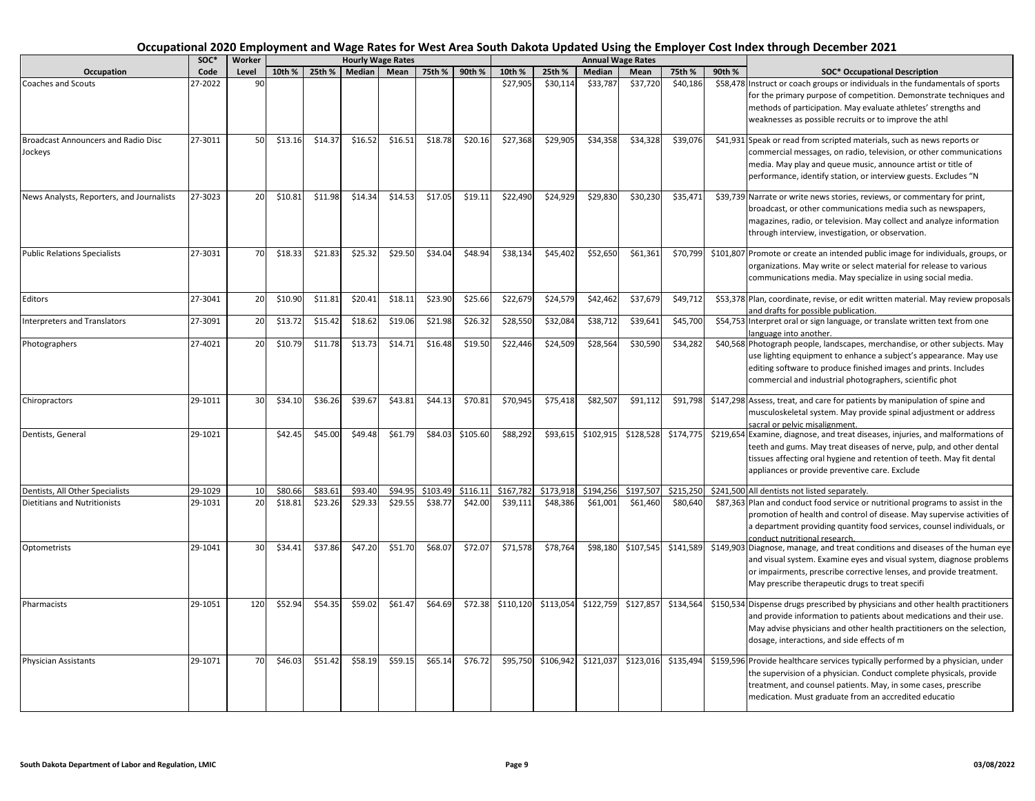|                                                       | SOC*    | Worker |         |         |         | <b>Hourly Wage Rates</b> |          |          |           |           |               | <b>Annual Wage Rates</b> |           |        |                                                                                                                                                                                                                                                                                   |
|-------------------------------------------------------|---------|--------|---------|---------|---------|--------------------------|----------|----------|-----------|-----------|---------------|--------------------------|-----------|--------|-----------------------------------------------------------------------------------------------------------------------------------------------------------------------------------------------------------------------------------------------------------------------------------|
| Occupation                                            | Code    | Level  | 10th %  | 25th %  | Median  | Mean                     | 75th %   | 90th %   | 10th %    | 25th %    | <b>Median</b> | Mean                     | 75th %    | 90th % | <b>SOC* Occupational Description</b>                                                                                                                                                                                                                                              |
| <b>Coaches and Scouts</b>                             | 27-2022 | 90     |         |         |         |                          |          |          | \$27,905  | \$30,114  | \$33,787      | \$37,720                 | \$40,186  |        | \$58,478 Instruct or coach groups or individuals in the fundamentals of sports<br>for the primary purpose of competition. Demonstrate techniques and<br>methods of participation. May evaluate athletes' strengths and<br>weaknesses as possible recruits or to improve the athl  |
| <b>Broadcast Announcers and Radio Disc</b><br>Jockeys | 27-3011 | 50     | \$13.16 | \$14.37 | \$16.52 | \$16.51                  | \$18.78  | \$20.16  | \$27,368  | \$29,905  | \$34,358      | \$34,328                 | \$39,076  |        | \$41,931 Speak or read from scripted materials, such as news reports or<br>commercial messages, on radio, television, or other communications<br>media. May play and queue music, announce artist or title of<br>performance, identify station, or interview guests. Excludes "N  |
| News Analysts, Reporters, and Journalists             | 27-3023 | 20     | \$10.81 | \$11.98 | \$14.34 | \$14.53                  | \$17.05  | \$19.11  | \$22,490  | \$24,929  | \$29,830      | \$30,230                 | \$35,471  |        | \$39,739 Narrate or write news stories, reviews, or commentary for print,<br>broadcast, or other communications media such as newspapers,<br>magazines, radio, or television. May collect and analyze information<br>through interview, investigation, or observation.            |
| <b>Public Relations Specialists</b>                   | 27-3031 | 70     | \$18.33 | \$21.83 | \$25.32 | \$29.50                  | \$34.04  | \$48.94  | \$38,134  | \$45,402  | \$52,650      | \$61,361                 | \$70,799  |        | \$101,807 Promote or create an intended public image for individuals, groups, or<br>organizations. May write or select material for release to various<br>communications media. May specialize in using social media.                                                             |
| Editors                                               | 27-3041 | 20     | \$10.90 | \$11.81 | \$20.41 | \$18.11                  | \$23.90  | \$25.66  | \$22,679  | \$24,579  | \$42,462      | \$37,679                 | \$49,712  |        | \$53,378 Plan, coordinate, revise, or edit written material. May review proposals<br>and drafts for possible publication.                                                                                                                                                         |
| Interpreters and Translators                          | 27-3091 | 20     | \$13.72 | \$15.42 | \$18.62 | \$19.06                  | \$21.98  | \$26.32  | \$28,550  | \$32,084  | \$38,712      | \$39,641                 | \$45,700  |        | \$54,753 Interpret oral or sign language, or translate written text from one<br>anguage into another.                                                                                                                                                                             |
| Photographers                                         | 27-4021 | 20     | \$10.79 | \$11.78 | \$13.73 | \$14.71                  | \$16.48  | \$19.50  | \$22,446  | \$24,509  | \$28,564      | \$30,590                 | \$34,282  |        | \$40,568 Photograph people, landscapes, merchandise, or other subjects. May<br>use lighting equipment to enhance a subject's appearance. May use<br>editing software to produce finished images and prints. Includes<br>commercial and industrial photographers, scientific phot  |
| Chiropractors                                         | 29-1011 | 30     | \$34.10 | \$36.26 | \$39.67 | \$43.81                  | \$44.13  | \$70.81  | \$70,945  | \$75,418  | \$82,507      | \$91,112                 | \$91,798  |        | \$147,298 Assess, treat, and care for patients by manipulation of spine and<br>musculoskeletal system. May provide spinal adjustment or address<br>sacral or pelvic misalignment.                                                                                                 |
| Dentists, General                                     | 29-1021 |        | \$42.45 | \$45.00 | \$49.48 | \$61.79                  | \$84.03  | \$105.60 | \$88,292  | \$93,615  | \$102,915     | \$128,528                | \$174,775 |        | \$219,654 Examine, diagnose, and treat diseases, injuries, and malformations of<br>teeth and gums. May treat diseases of nerve, pulp, and other dental<br>tissues affecting oral hygiene and retention of teeth. May fit dental<br>appliances or provide preventive care. Exclude |
| Dentists, All Other Specialists                       | 29-1029 | 10     | \$80.66 | \$83.61 | \$93.40 | \$94.95                  | \$103.49 | \$116.11 | \$167,782 | \$173,918 | \$194,256     | \$197,507                | \$215.250 |        | \$241,500 All dentists not listed separately.                                                                                                                                                                                                                                     |
| <b>Dietitians and Nutritionists</b>                   | 29-1031 | 20     | \$18.81 | \$23.26 | \$29.33 | \$29.55                  | \$38.77  | \$42.00  | \$39,111  | \$48,386  | \$61,001      | \$61,460                 | \$80,640  |        | \$87,363 Plan and conduct food service or nutritional programs to assist in the<br>promotion of health and control of disease. May supervise activities of<br>a department providing quantity food services, counsel individuals, or<br>conduct nutritional research.             |
| Optometrists                                          | 29-1041 | 30     | \$34.41 | \$37.86 | \$47.20 | \$51.70                  | \$68.07  | \$72.07  | \$71,578  | \$78,764  | \$98,180      | \$107,545                | \$141,589 |        | \$149,903 Diagnose, manage, and treat conditions and diseases of the human eye<br>and visual system. Examine eyes and visual system, diagnose problems<br>or impairments, prescribe corrective lenses, and provide treatment.<br>May prescribe therapeutic drugs to treat specifi |
| Pharmacists                                           | 29-1051 | 120    | \$52.94 | \$54.35 | \$59.02 | \$61.47                  | \$64.69  | \$72.38  | \$110,120 | \$113,054 | \$122,759     | \$127,857                | \$134,564 |        | \$150,534 Dispense drugs prescribed by physicians and other health practitioners<br>and provide information to patients about medications and their use.<br>May advise physicians and other health practitioners on the selection,<br>dosage, interactions, and side effects of m |
| <b>Physician Assistants</b>                           | 29-1071 | 70     | \$46.03 | \$51.42 | \$58.19 | \$59.15                  | \$65.14  | \$76.72  | \$95,750  | \$106,942 | \$121,037     | \$123,016                | \$135,494 |        | \$159,596 Provide healthcare services typically performed by a physician, under<br>the supervision of a physician. Conduct complete physicals, provide<br>treatment, and counsel patients. May, in some cases, prescribe<br>medication. Must graduate from an accredited educatio |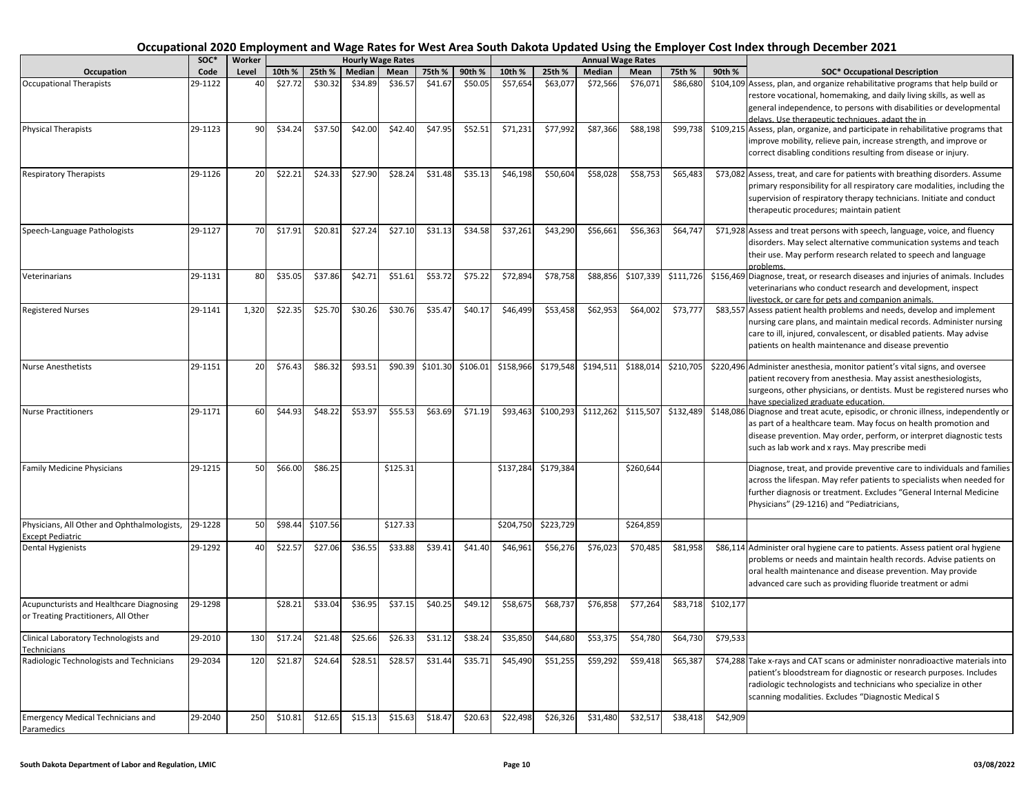|                                                         | SOC*    | Worker |         |          |         | <b>Hourly Wage Rates</b> |          |          |           |           |           | <b>Annual Wage Rates</b> |           |           |                                                                                                                                                   |
|---------------------------------------------------------|---------|--------|---------|----------|---------|--------------------------|----------|----------|-----------|-----------|-----------|--------------------------|-----------|-----------|---------------------------------------------------------------------------------------------------------------------------------------------------|
| Occupation                                              | Code    | Level  | 10th %  | 25th %   | Median  | Mean                     | 75th %   | 90th %   | 10th %    | 25th %    | Median    | Mean                     | 75th %    | 90th %    | <b>SOC* Occupational Description</b>                                                                                                              |
| <b>Occupational Therapists</b>                          | 29-1122 | 40     | \$27.72 | \$30.32  | \$34.89 | \$36.57                  | \$41.67  | \$50.05  | \$57,654  | \$63,077  | \$72,566  | \$76,071                 | \$86,680  |           | \$104,109 Assess, plan, and organize rehabilitative programs that help build or                                                                   |
|                                                         |         |        |         |          |         |                          |          |          |           |           |           |                          |           |           | restore vocational, homemaking, and daily living skills, as well as                                                                               |
|                                                         |         |        |         |          |         |                          |          |          |           |           |           |                          |           |           | general independence, to persons with disabilities or developmental                                                                               |
|                                                         |         |        |         |          |         |                          |          |          |           |           |           |                          |           |           | delays. Use therapeutic techniques, adapt the in                                                                                                  |
| <b>Physical Therapists</b>                              | 29-1123 | 90     | \$34.24 | \$37.50  | \$42.00 | \$42.40                  | \$47.95  | \$52.51  | \$71,231  | \$77,992  | \$87,366  | \$88,198                 | \$99,738  |           | \$109,215 Assess, plan, organize, and participate in rehabilitative programs that                                                                 |
|                                                         |         |        |         |          |         |                          |          |          |           |           |           |                          |           |           | improve mobility, relieve pain, increase strength, and improve or                                                                                 |
|                                                         |         |        |         |          |         |                          |          |          |           |           |           |                          |           |           | correct disabling conditions resulting from disease or injury.                                                                                    |
|                                                         |         |        |         |          |         |                          |          |          |           |           |           |                          |           |           |                                                                                                                                                   |
| <b>Respiratory Therapists</b>                           | 29-1126 | 20     | \$22.21 | \$24.33  | \$27.90 | \$28.24                  | \$31.48  | \$35.13  | \$46,198  | \$50,604  | \$58,028  | \$58,753                 | \$65,483  |           | \$73,082 Assess, treat, and care for patients with breathing disorders. Assume                                                                    |
|                                                         |         |        |         |          |         |                          |          |          |           |           |           |                          |           |           | primary responsibility for all respiratory care modalities, including the<br>supervision of respiratory therapy technicians. Initiate and conduct |
|                                                         |         |        |         |          |         |                          |          |          |           |           |           |                          |           |           | therapeutic procedures; maintain patient                                                                                                          |
|                                                         |         |        |         |          |         |                          |          |          |           |           |           |                          |           |           |                                                                                                                                                   |
| Speech-Language Pathologists                            | 29-1127 | 70     | \$17.91 | \$20.81  | \$27.24 | \$27.10                  | \$31.13  | \$34.58  | \$37,261  | \$43,290  | \$56,661  | \$56,363                 | \$64,747  |           | \$71,928 Assess and treat persons with speech, language, voice, and fluency                                                                       |
|                                                         |         |        |         |          |         |                          |          |          |           |           |           |                          |           |           | disorders. May select alternative communication systems and teach                                                                                 |
|                                                         |         |        |         |          |         |                          |          |          |           |           |           |                          |           |           | their use. May perform research related to speech and language                                                                                    |
|                                                         |         |        |         |          |         |                          |          |          |           |           |           |                          |           |           |                                                                                                                                                   |
| Veterinarians                                           | 29-1131 | 80     | \$35.05 | \$37.86  | \$42.71 | \$51.61                  | \$53.72  | \$75.22  | \$72,894  | \$78,758  | \$88,856  | \$107,339                | \$111,726 |           | \$156,469 Diagnose, treat, or research diseases and injuries of animals. Includes                                                                 |
|                                                         |         |        |         |          |         |                          |          |          |           |           |           |                          |           |           | veterinarians who conduct research and development, inspect                                                                                       |
|                                                         |         |        |         |          |         |                          |          |          |           |           |           |                          |           |           | ivestock, or care for pets and companion animals.                                                                                                 |
| <b>Registered Nurses</b>                                | 29-1141 | 1.320  | \$22.35 | \$25.70  | \$30.26 | \$30.76                  | \$35.47  | \$40.17  | \$46,499  | \$53,458  | \$62,953  | \$64,002                 | \$73,777  |           | \$83,557 Assess patient health problems and needs, develop and implement                                                                          |
|                                                         |         |        |         |          |         |                          |          |          |           |           |           |                          |           |           | nursing care plans, and maintain medical records. Administer nursing                                                                              |
|                                                         |         |        |         |          |         |                          |          |          |           |           |           |                          |           |           | care to ill, injured, convalescent, or disabled patients. May advise                                                                              |
|                                                         |         |        |         |          |         |                          |          |          |           |           |           |                          |           |           | patients on health maintenance and disease preventio                                                                                              |
| <b>Nurse Anesthetists</b>                               | 29-1151 | 20     | \$76.43 | \$86.32  | \$93.51 | \$90.39                  | \$101.30 | \$106.01 | \$158,966 | \$179,548 | \$194,511 | \$188,01                 | \$210,705 |           | \$220,496 Administer anesthesia, monitor patient's vital signs, and oversee                                                                       |
|                                                         |         |        |         |          |         |                          |          |          |           |           |           |                          |           |           | patient recovery from anesthesia. May assist anesthesiologists,                                                                                   |
|                                                         |         |        |         |          |         |                          |          |          |           |           |           |                          |           |           | surgeons, other physicians, or dentists. Must be registered nurses who                                                                            |
|                                                         |         |        |         |          |         |                          |          |          |           |           |           |                          |           |           | have specialized graduate education.                                                                                                              |
| <b>Nurse Practitioners</b>                              | 29-1171 | 60     | \$44.93 | \$48.22  | \$53.97 | \$55.53                  | \$63.69  | \$71.19  | \$93,463  | \$100,293 | \$112,262 | \$115,507                | \$132,489 |           | \$148,086 Diagnose and treat acute, episodic, or chronic illness, independently or                                                                |
|                                                         |         |        |         |          |         |                          |          |          |           |           |           |                          |           |           | as part of a healthcare team. May focus on health promotion and                                                                                   |
|                                                         |         |        |         |          |         |                          |          |          |           |           |           |                          |           |           | disease prevention. May order, perform, or interpret diagnostic tests                                                                             |
|                                                         |         |        |         |          |         |                          |          |          |           |           |           |                          |           |           | such as lab work and x rays. May prescribe medi                                                                                                   |
| <b>Family Medicine Physicians</b>                       | 29-1215 | 50     | \$66.00 | \$86.25  |         | \$125.31                 |          |          | \$137,284 | \$179,384 |           | \$260,644                |           |           | Diagnose, treat, and provide preventive care to individuals and families                                                                          |
|                                                         |         |        |         |          |         |                          |          |          |           |           |           |                          |           |           | across the lifespan. May refer patients to specialists when needed for                                                                            |
|                                                         |         |        |         |          |         |                          |          |          |           |           |           |                          |           |           | further diagnosis or treatment. Excludes "General Internal Medicine                                                                               |
|                                                         |         |        |         |          |         |                          |          |          |           |           |           |                          |           |           | Physicians" (29-1216) and "Pediatricians,                                                                                                         |
|                                                         |         |        |         |          |         |                          |          |          |           |           |           |                          |           |           |                                                                                                                                                   |
| Physicians, All Other and Ophthalmologists,             | 29-1228 | 50     | \$98.44 | \$107.56 |         | \$127.33                 |          |          | \$204,750 | \$223,729 |           | \$264,859                |           |           |                                                                                                                                                   |
| <b>Except Pediatric</b><br>Dental Hygienists            | 29-1292 | 40     | \$22.57 | \$27.06  | \$36.55 | \$33.88                  | \$39.41  | \$41.40  | \$46,961  | \$56,276  | \$76,02   | \$70,485                 | \$81,958  |           | \$86,114 Administer oral hygiene care to patients. Assess patient oral hygiene                                                                    |
|                                                         |         |        |         |          |         |                          |          |          |           |           |           |                          |           |           | problems or needs and maintain health records. Advise patients on                                                                                 |
|                                                         |         |        |         |          |         |                          |          |          |           |           |           |                          |           |           | oral health maintenance and disease prevention. May provide                                                                                       |
|                                                         |         |        |         |          |         |                          |          |          |           |           |           |                          |           |           | advanced care such as providing fluoride treatment or admi                                                                                        |
|                                                         |         |        |         |          |         |                          |          |          |           |           |           |                          |           |           |                                                                                                                                                   |
| Acupuncturists and Healthcare Diagnosing                | 29-1298 |        | \$28.21 | \$33.04  | \$36.95 | \$37.15                  | \$40.25  | \$49.12  | \$58,675  | \$68,737  | \$76,858  | \$77,264                 | \$83,718  | \$102,177 |                                                                                                                                                   |
| or Treating Practitioners, All Other                    |         |        |         |          |         |                          |          |          |           |           |           |                          |           |           |                                                                                                                                                   |
|                                                         |         |        |         |          |         |                          |          |          |           |           |           |                          |           |           |                                                                                                                                                   |
| Clinical Laboratory Technologists and                   | 29-2010 | 130    | \$17.24 | \$21.48  | \$25.66 | \$26.33                  | \$31.12  | \$38.24  | \$35,850  | \$44,680  | \$53,375  | \$54,780                 | \$64,730  | \$79,533  |                                                                                                                                                   |
| Technicians<br>Radiologic Technologists and Technicians | 29-2034 | 120    | \$21.87 | \$24.64  | \$28.51 | \$28.57                  | \$31.44  | \$35.71  | \$45,490  | \$51,255  | \$59,29   | \$59,418                 | \$65,387  |           | \$74,288 Take x-rays and CAT scans or administer nonradioactive materials into                                                                    |
|                                                         |         |        |         |          |         |                          |          |          |           |           |           |                          |           |           | patient's bloodstream for diagnostic or research purposes. Includes                                                                               |
|                                                         |         |        |         |          |         |                          |          |          |           |           |           |                          |           |           | radiologic technologists and technicians who specialize in other                                                                                  |
|                                                         |         |        |         |          |         |                          |          |          |           |           |           |                          |           |           | scanning modalities. Excludes "Diagnostic Medical S                                                                                               |
|                                                         |         |        |         |          |         |                          |          |          |           |           |           |                          |           |           |                                                                                                                                                   |
| <b>Emergency Medical Technicians and</b>                | 29-2040 | 250    | \$10.81 | \$12.65  | \$15.13 | \$15.63                  | \$18.47  | \$20.63  | \$22,498  | \$26,326  | \$31,480  | \$32,517                 | \$38,418  | \$42,909  |                                                                                                                                                   |
| Paramedics                                              |         |        |         |          |         |                          |          |          |           |           |           |                          |           |           |                                                                                                                                                   |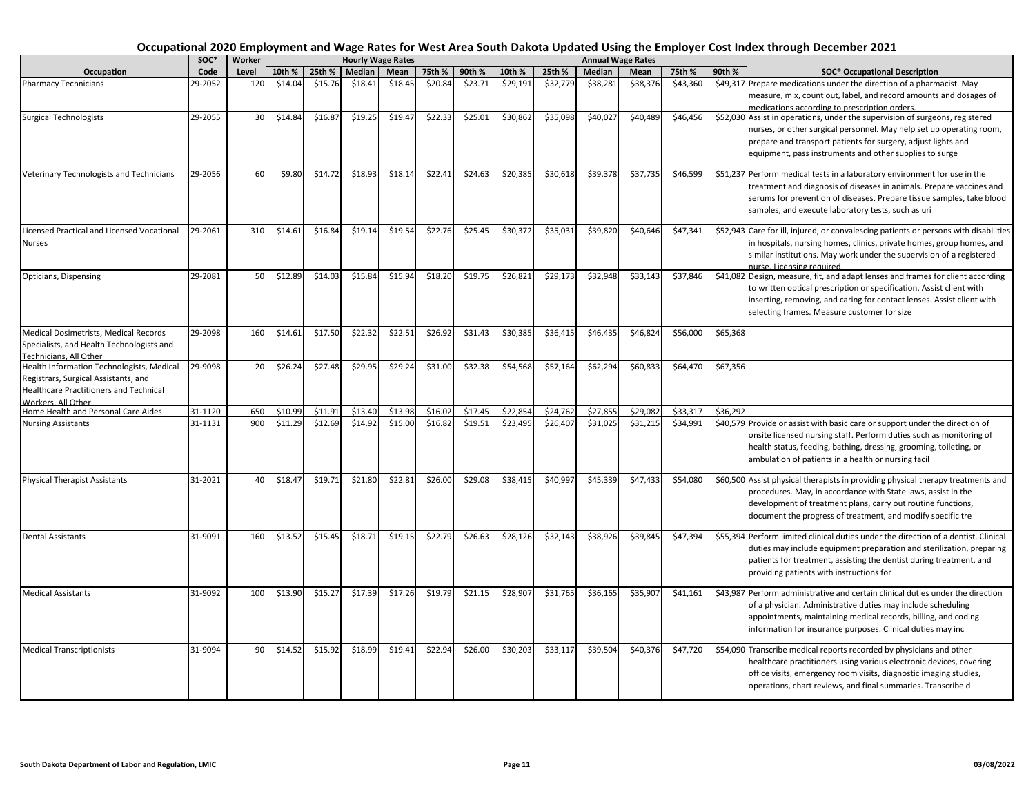|                                                                                                                                                   | SOC*    | Worker |         |         |         | <b>Hourly Wage Rates</b> |         |         |          |          |          | <b>Annual Wage Rates</b> |          |          |                                                                                                                                                                                                                                                                                  |
|---------------------------------------------------------------------------------------------------------------------------------------------------|---------|--------|---------|---------|---------|--------------------------|---------|---------|----------|----------|----------|--------------------------|----------|----------|----------------------------------------------------------------------------------------------------------------------------------------------------------------------------------------------------------------------------------------------------------------------------------|
| Occupation                                                                                                                                        | Code    | Level  | 10th %  | 25th %  | Median  | Mean                     | 75th %  | 90th %  | 10th %   | 25th %   | Median   | Mean                     | 75th %   | 90th %   | <b>SOC* Occupational Description</b>                                                                                                                                                                                                                                             |
| <b>Pharmacy Technicians</b>                                                                                                                       | 29-2052 | 120    | \$14.04 | \$15.76 | \$18.41 | \$18.45                  | \$20.84 | \$23.71 | \$29,191 | \$32,779 | \$38,281 | \$38,376                 | \$43,360 |          | \$49,317 Prepare medications under the direction of a pharmacist. May<br>measure, mix, count out, label, and record amounts and dosages of<br>medications according to prescription orders.                                                                                      |
| <b>Surgical Technologists</b>                                                                                                                     | 29-2055 | 30     | \$14.84 | \$16.87 | \$19.25 | \$19.47                  | \$22.33 | \$25.01 | \$30,862 | \$35,098 | \$40,027 | \$40,489                 | \$46,456 |          | \$52,030 Assist in operations, under the supervision of surgeons, registered<br>nurses, or other surgical personnel. May help set up operating room,<br>prepare and transport patients for surgery, adjust lights and<br>equipment, pass instruments and other supplies to surge |
| Veterinary Technologists and Technicians                                                                                                          | 29-2056 | 60     | \$9.80  | \$14.72 | \$18.93 | \$18.14                  | \$22.41 | \$24.63 | \$20,385 | \$30,618 | \$39,378 | \$37,735                 | \$46,599 |          | \$51,237 Perform medical tests in a laboratory environment for use in the<br>treatment and diagnosis of diseases in animals. Prepare vaccines and<br>serums for prevention of diseases. Prepare tissue samples, take blood<br>samples, and execute laboratory tests, such as uri |
| Licensed Practical and Licensed Vocational<br>Nurses                                                                                              | 29-2061 | 310    | \$14.61 | \$16.84 | \$19.14 | \$19.54                  | \$22.76 | \$25.45 | \$30,372 | \$35,031 | \$39,820 | \$40,646                 | \$47,341 |          | \$52,943 Care for ill, injured, or convalescing patients or persons with disabilities<br>in hospitals, nursing homes, clinics, private homes, group homes, and<br>similar institutions. May work under the supervision of a registered<br>nurse. Licensing required.             |
| Opticians, Dispensing                                                                                                                             | 29-2081 | 50     | \$12.89 | \$14.03 | \$15.84 | \$15.94                  | \$18.20 | \$19.75 | \$26,821 | \$29,173 | \$32,948 | \$33,143                 | \$37,846 |          | \$41,082 Design, measure, fit, and adapt lenses and frames for client according<br>to written optical prescription or specification. Assist client with<br>inserting, removing, and caring for contact lenses. Assist client with<br>selecting frames. Measure customer for size |
| Medical Dosimetrists, Medical Records<br>Specialists, and Health Technologists and<br>Technicians. All Other                                      | 29-2098 | 160    | \$14.61 | \$17.50 | \$22.32 | \$22.51                  | \$26.92 | \$31.43 | \$30,385 | \$36,415 | \$46,435 | \$46,824                 | \$56,000 | \$65,368 |                                                                                                                                                                                                                                                                                  |
| Health Information Technologists, Medical<br>Registrars, Surgical Assistants, and<br>Healthcare Practitioners and Technical<br>Workers, All Other | 29-9098 | 20     | \$26.24 | \$27.48 | \$29.95 | \$29.24                  | \$31.00 | \$32.38 | \$54,568 | \$57,164 | \$62,294 | \$60,833                 | \$64,470 | \$67,356 |                                                                                                                                                                                                                                                                                  |
| Home Health and Personal Care Aides                                                                                                               | 31-1120 | 650    | \$10.99 | \$11.91 | \$13.40 | \$13.98                  | \$16.02 | \$17.45 | \$22,854 | \$24,762 | \$27,85  | \$29,08                  | \$33,317 | \$36,292 |                                                                                                                                                                                                                                                                                  |
| <b>Nursing Assistants</b>                                                                                                                         | 31-1131 | 900    | \$11.29 | \$12.69 | \$14.92 | \$15.00                  | \$16.82 | \$19.51 | \$23,495 | \$26,407 | \$31,025 | \$31,215                 | \$34,991 |          | \$40,579 Provide or assist with basic care or support under the direction of<br>onsite licensed nursing staff. Perform duties such as monitoring of<br>health status, feeding, bathing, dressing, grooming, toileting, or<br>ambulation of patients in a health or nursing facil |
| <b>Physical Therapist Assistants</b>                                                                                                              | 31-2021 | 40     | \$18.47 | \$19.71 | \$21.80 | \$22.81                  | \$26.00 | \$29.08 | \$38,415 | \$40,997 | \$45,339 | \$47,433                 | \$54,080 |          | \$60,500 Assist physical therapists in providing physical therapy treatments and<br>procedures. May, in accordance with State laws, assist in the<br>development of treatment plans, carry out routine functions,<br>document the progress of treatment, and modify specific tre |
| <b>Dental Assistants</b>                                                                                                                          | 31-9091 | 160    | \$13.52 | \$15.45 | \$18.71 | \$19.15                  | \$22.79 | \$26.63 | \$28,126 | \$32,143 | \$38,926 | \$39,845                 | \$47,394 |          | \$55,394 Perform limited clinical duties under the direction of a dentist. Clinical<br>duties may include equipment preparation and sterilization, preparing<br>patients for treatment, assisting the dentist during treatment, and<br>providing patients with instructions for  |
| <b>Medical Assistants</b>                                                                                                                         | 31-9092 | 100    | \$13.90 | \$15.27 | \$17.39 | \$17.26                  | \$19.79 | \$21.15 | \$28,907 | \$31,765 | \$36,165 | \$35,907                 | \$41,161 |          | \$43,987 Perform administrative and certain clinical duties under the direction<br>of a physician. Administrative duties may include scheduling<br>appointments, maintaining medical records, billing, and coding<br>information for insurance purposes. Clinical duties may inc |
| <b>Medical Transcriptionists</b>                                                                                                                  | 31-9094 | 90     | \$14.52 | \$15.92 | \$18.99 | \$19.41                  | \$22.94 | \$26.00 | \$30,203 | \$33,117 | \$39,504 | \$40,376                 | \$47,720 |          | \$54,090 Transcribe medical reports recorded by physicians and other<br>healthcare practitioners using various electronic devices, covering<br>office visits, emergency room visits, diagnostic imaging studies,<br>operations, chart reviews, and final summaries. Transcribe d |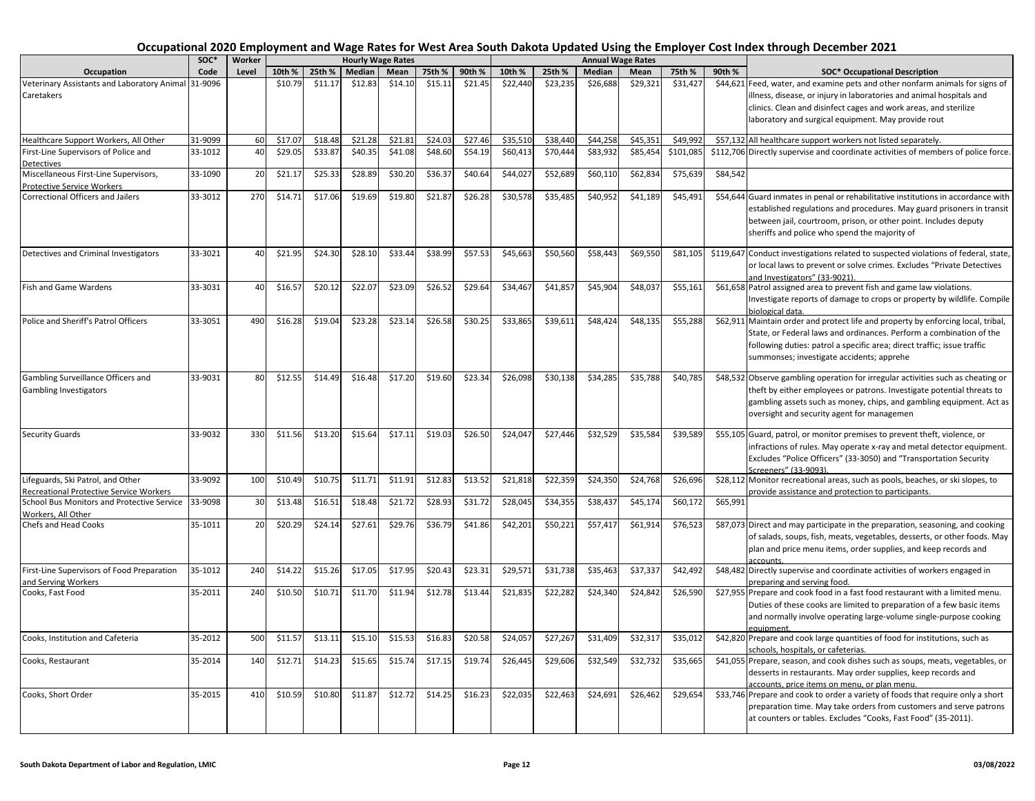| Occupational 2020 Employment and Wage Rates for West Area South Dakota Updated Using the Employer Cost Index through December 2021 |  |
|------------------------------------------------------------------------------------------------------------------------------------|--|
|------------------------------------------------------------------------------------------------------------------------------------|--|

|                                                     | SOC*    | Worker |         |         |         | <b>Hourly Wage Rates</b> |         |         |          |          | <b>Annual Wage Rates</b> |          |           |          |                                                                                                                      |
|-----------------------------------------------------|---------|--------|---------|---------|---------|--------------------------|---------|---------|----------|----------|--------------------------|----------|-----------|----------|----------------------------------------------------------------------------------------------------------------------|
| Occupation                                          | Code    | Level  | 10th %  | 25th %  | Median  | Mean                     | 75th %  | 90th %  | 10th %   | 25th %   | Median                   | Mean     | 75th %    | 90th %   | <b>SOC* Occupational Description</b>                                                                                 |
| Veterinary Assistants and Laboratory Animal 31-9096 |         |        | \$10.79 | \$11.17 | \$12.83 | \$14.10                  | \$15.11 | \$21.45 | \$22,440 | \$23,235 | \$26,688                 | \$29,321 | \$31,427  |          | \$44,621 Feed, water, and examine pets and other nonfarm animals for signs of                                        |
| Caretakers                                          |         |        |         |         |         |                          |         |         |          |          |                          |          |           |          | illness, disease, or injury in laboratories and animal hospitals and                                                 |
|                                                     |         |        |         |         |         |                          |         |         |          |          |                          |          |           |          | clinics. Clean and disinfect cages and work areas, and sterilize                                                     |
|                                                     |         |        |         |         |         |                          |         |         |          |          |                          |          |           |          | laboratory and surgical equipment. May provide rout                                                                  |
| Healthcare Support Workers, All Other               | 31-9099 | 60     | \$17.07 | \$18.48 | \$21.28 | \$21.81                  | \$24.03 | \$27.46 | \$35,510 | \$38,440 | \$44,258                 | \$45,351 | \$49,992  |          | \$57,132 All healthcare support workers not listed separately.                                                       |
| First-Line Supervisors of Police and                | 33-1012 | 40     | \$29.05 | \$33.87 | \$40.35 | \$41.08                  | \$48.60 | \$54.19 | \$60,413 | \$70,444 | \$83,932                 | \$85,454 | \$101,085 |          | \$112,706 Directly supervise and coordinate activities of members of police force.                                   |
| Detectives                                          |         |        |         |         |         |                          |         |         |          |          |                          |          |           |          |                                                                                                                      |
| Miscellaneous First-Line Supervisors,               | 33-1090 | 20     | \$21.17 | \$25.33 | \$28.89 | \$30.20                  | \$36.37 | \$40.64 | \$44,027 | \$52,689 | \$60,110                 | \$62,834 | \$75,639  | \$84,542 |                                                                                                                      |
| Protective Service Workers                          |         |        |         |         |         |                          |         |         |          |          |                          |          |           |          |                                                                                                                      |
| <b>Correctional Officers and Jailers</b>            | 33-3012 | 270    | \$14.71 | \$17.06 | \$19.69 | \$19.80                  | \$21.87 | \$26.28 | \$30,578 | \$35,485 | \$40,952                 | \$41,189 | \$45,491  |          | \$54,644 Guard inmates in penal or rehabilitative institutions in accordance with                                    |
|                                                     |         |        |         |         |         |                          |         |         |          |          |                          |          |           |          | established regulations and procedures. May guard prisoners in transit                                               |
|                                                     |         |        |         |         |         |                          |         |         |          |          |                          |          |           |          | between jail, courtroom, prison, or other point. Includes deputy                                                     |
|                                                     |         |        |         |         |         |                          |         |         |          |          |                          |          |           |          | sheriffs and police who spend the majority of                                                                        |
| Detectives and Criminal Investigators               | 33-3021 | 40     | \$21.95 | \$24.30 | \$28.10 | \$33.44                  | \$38.99 | \$57.53 | \$45,663 | \$50,560 | \$58,443                 | \$69,550 | \$81,105  |          | \$119,647 Conduct investigations related to suspected violations of federal, state,                                  |
|                                                     |         |        |         |         |         |                          |         |         |          |          |                          |          |           |          | or local laws to prevent or solve crimes. Excludes "Private Detectives                                               |
|                                                     |         |        |         |         |         |                          |         |         |          |          |                          |          |           |          | and Investigators" (33-9021).                                                                                        |
| Fish and Game Wardens                               | 33-3031 | 40     | \$16.57 | \$20.12 | \$22.07 | \$23.09                  | \$26.52 | \$29.64 | \$34,467 | \$41,857 | \$45,904                 | \$48,037 | \$55,161  |          | \$61,658 Patrol assigned area to prevent fish and game law violations.                                               |
|                                                     |         |        |         |         |         |                          |         |         |          |          |                          |          |           |          | Investigate reports of damage to crops or property by wildlife. Compile                                              |
|                                                     |         |        |         |         |         |                          |         |         |          |          |                          |          |           |          | biological data.                                                                                                     |
| Police and Sheriff's Patrol Officers                | 33-3051 | 490    | \$16.28 | \$19.04 | \$23.28 | \$23.14                  | \$26.58 | \$30.25 | \$33,865 | \$39,611 | \$48,424                 | \$48,135 | \$55,288  |          | \$62,911 Maintain order and protect life and property by enforcing local, tribal,                                    |
|                                                     |         |        |         |         |         |                          |         |         |          |          |                          |          |           |          | State, or Federal laws and ordinances. Perform a combination of the                                                  |
|                                                     |         |        |         |         |         |                          |         |         |          |          |                          |          |           |          | following duties: patrol a specific area; direct traffic; issue traffic                                              |
|                                                     |         |        |         |         |         |                          |         |         |          |          |                          |          |           |          | summonses; investigate accidents; apprehe                                                                            |
|                                                     |         |        |         |         |         |                          |         |         |          |          |                          |          |           |          |                                                                                                                      |
| Gambling Surveillance Officers and                  | 33-9031 | 80     | \$12.55 | \$14.49 | \$16.48 | \$17.20                  | \$19.60 | \$23.34 | \$26,098 | \$30,138 | \$34,285                 | \$35,788 | \$40,785  |          | \$48,532 Observe gambling operation for irregular activities such as cheating or                                     |
| <b>Gambling Investigators</b>                       |         |        |         |         |         |                          |         |         |          |          |                          |          |           |          | theft by either employees or patrons. Investigate potential threats to                                               |
|                                                     |         |        |         |         |         |                          |         |         |          |          |                          |          |           |          | gambling assets such as money, chips, and gambling equipment. Act as                                                 |
|                                                     |         |        |         |         |         |                          |         |         |          |          |                          |          |           |          | oversight and security agent for managemen                                                                           |
| <b>Security Guards</b>                              | 33-9032 | 330    | \$11.56 | \$13.20 | \$15.64 | \$17.11                  | \$19.03 | \$26.50 | \$24,047 | \$27,446 | \$32,529                 | \$35,584 | \$39,589  |          | \$55,105 Guard, patrol, or monitor premises to prevent theft, violence, or                                           |
|                                                     |         |        |         |         |         |                          |         |         |          |          |                          |          |           |          | infractions of rules. May operate x-ray and metal detector equipment.                                                |
|                                                     |         |        |         |         |         |                          |         |         |          |          |                          |          |           |          | Excludes "Police Officers" (33-3050) and "Transportation Security                                                    |
|                                                     |         |        |         |         |         |                          |         |         |          |          |                          |          |           |          | creeners" (33-9093)                                                                                                  |
| Lifeguards, Ski Patrol, and Other                   | 33-9092 | 100    | \$10.49 | \$10.75 | \$11.71 | \$11.91                  | \$12.83 | \$13.52 | \$21,818 | \$22,359 | \$24,350                 | \$24,768 | \$26,696  |          | \$28,112 Monitor recreational areas, such as pools, beaches, or ski slopes, to                                       |
| Recreational Protective Service Workers             |         |        |         |         |         |                          |         |         |          |          |                          |          |           |          | provide assistance and protection to participants.                                                                   |
| School Bus Monitors and Protective Service 33-9098  |         | 30     | \$13.48 | \$16.51 | \$18.48 | \$21.72                  | \$28.93 | \$31.72 | \$28,045 | \$34,355 | \$38,437                 | \$45,174 | \$60,172  | \$65,991 |                                                                                                                      |
| Workers. All Other<br>Chefs and Head Cooks          | 35-1011 | 20     | \$20.29 | \$24.14 | \$27.61 | \$29.76                  | \$36.79 | \$41.86 | \$42,201 | \$50,221 | \$57,417                 | \$61,914 | \$76,523  |          | \$87,073 Direct and may participate in the preparation, seasoning, and cooking                                       |
|                                                     |         |        |         |         |         |                          |         |         |          |          |                          |          |           |          | of salads, soups, fish, meats, vegetables, desserts, or other foods. May                                             |
|                                                     |         |        |         |         |         |                          |         |         |          |          |                          |          |           |          | plan and price menu items, order supplies, and keep records and                                                      |
|                                                     |         |        |         |         |         |                          |         |         |          |          |                          |          |           |          | accounts.                                                                                                            |
| First-Line Supervisors of Food Preparation          | 35-1012 | 240    | \$14.22 | \$15.26 | \$17.05 | \$17.95                  | \$20.43 | \$23.31 | \$29,571 | \$31,738 | \$35,463                 | \$37,337 | \$42,492  |          | \$48,482 Directly supervise and coordinate activities of workers engaged in                                          |
| and Serving Workers                                 |         |        |         |         |         |                          |         |         |          |          |                          |          |           |          | preparing and serving food.                                                                                          |
| Cooks, Fast Food                                    | 35-2011 | 240    | \$10.50 | \$10.71 | \$11.70 | \$11.94                  | \$12.78 | \$13.44 | \$21,835 | \$22,282 | \$24,340                 | \$24,842 | \$26,590  |          | \$27,955 Prepare and cook food in a fast food restaurant with a limited menu.                                        |
|                                                     |         |        |         |         |         |                          |         |         |          |          |                          |          |           |          | Duties of these cooks are limited to preparation of a few basic items                                                |
|                                                     |         |        |         |         |         |                          |         |         |          |          |                          |          |           |          | and normally involve operating large-volume single-purpose cooking                                                   |
|                                                     |         |        |         |         |         |                          |         |         |          |          |                          |          |           |          | equipment.                                                                                                           |
| Cooks, Institution and Cafeteria                    | 35-2012 | 500    | \$11.57 | \$13.11 | \$15.10 | \$15.53                  | \$16.83 | \$20.58 | \$24,057 | \$27,267 | \$31,409                 | \$32,317 | \$35,012  |          | \$42,820 Prepare and cook large quantities of food for institutions, such as                                         |
| Cooks, Restaurant                                   | 35-2014 | 140    | \$12.71 | \$14.23 | \$15.65 | \$15.74                  | \$17.15 | \$19.74 | \$26,445 | \$29,606 | \$32,549                 | \$32,732 | \$35,665  |          | schools, hospitals, or cafeterias.<br>\$41,055 Prepare, season, and cook dishes such as soups, meats, vegetables, or |
|                                                     |         |        |         |         |         |                          |         |         |          |          |                          |          |           |          | desserts in restaurants. May order supplies, keep records and                                                        |
|                                                     |         |        |         |         |         |                          |         |         |          |          |                          |          |           |          | accounts, price items on menu, or plan menu.                                                                         |
| Cooks, Short Order                                  | 35-2015 | 410    | \$10.59 | \$10.80 | \$11.87 | \$12.72                  | \$14.25 | \$16.23 | \$22,035 | \$22,463 | \$24,691                 | \$26,462 | \$29,654  |          | \$33,746 Prepare and cook to order a variety of foods that require only a short                                      |
|                                                     |         |        |         |         |         |                          |         |         |          |          |                          |          |           |          | preparation time. May take orders from customers and serve patrons                                                   |
|                                                     |         |        |         |         |         |                          |         |         |          |          |                          |          |           |          | at counters or tables. Excludes "Cooks, Fast Food" (35-2011).                                                        |
|                                                     |         |        |         |         |         |                          |         |         |          |          |                          |          |           |          |                                                                                                                      |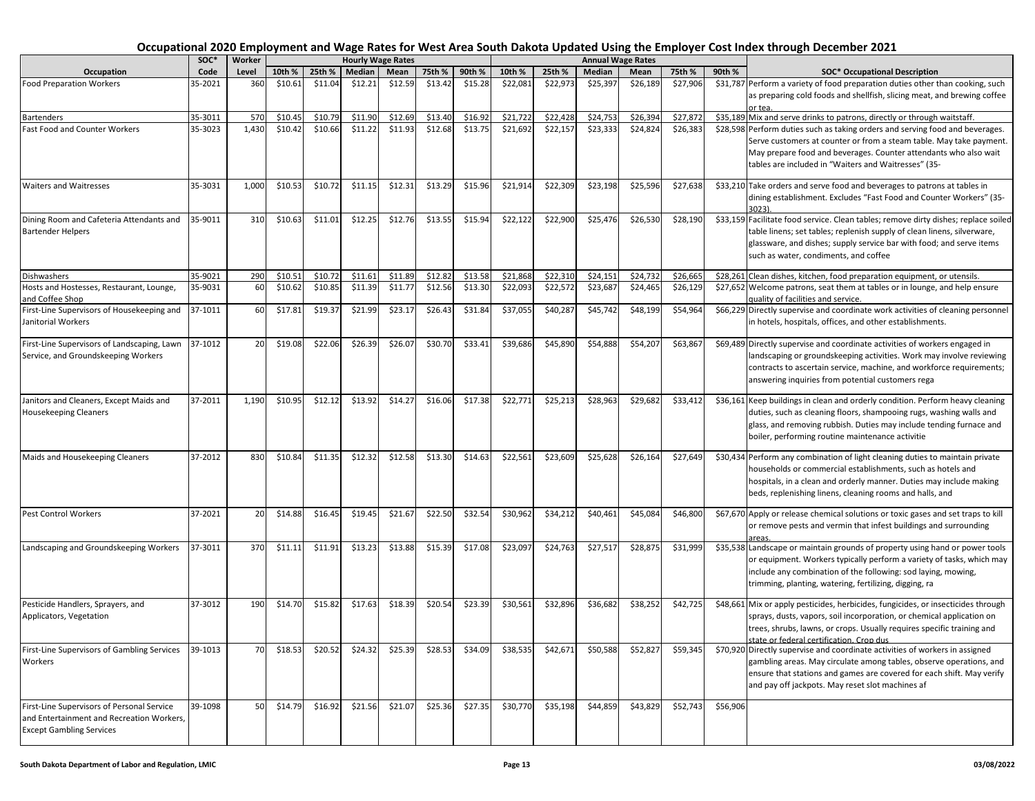|                                                    | SOC*               | Worker       |         |         |         | <b>Hourly Wage Rates</b> |         |         |          |          | <b>Annual Wage Rates</b> |          |          |          |                                                                                                                                                           |
|----------------------------------------------------|--------------------|--------------|---------|---------|---------|--------------------------|---------|---------|----------|----------|--------------------------|----------|----------|----------|-----------------------------------------------------------------------------------------------------------------------------------------------------------|
| Occupation                                         | Code               | Level        | 10th %  | 25th %  | Median  | Mean                     | 75th %  | 90th %  | 10th %   | 25th %   | Median                   | Mean     | 75th %   | 90th %   | <b>SOC*</b> Occupational Description                                                                                                                      |
| <b>Food Preparation Workers</b>                    | 35-2021            | 360          | \$10.61 | \$11.04 | \$12.21 | \$12.59                  | \$13.42 | \$15.28 | \$22,081 | \$22,973 | \$25,397                 | \$26,189 | \$27,906 |          | \$31,787 Perform a variety of food preparation duties other than cooking, such                                                                            |
|                                                    |                    |              |         |         |         |                          |         |         |          |          |                          |          |          |          | as preparing cold foods and shellfish, slicing meat, and brewing coffee                                                                                   |
|                                                    |                    |              | \$10.45 | \$10.79 | \$11.90 | \$12.69                  | \$13.40 | \$16.92 | \$21,722 | \$22,428 | \$24,753                 | \$26,394 | \$27,872 |          | or tea.                                                                                                                                                   |
| Bartenders<br><b>Fast Food and Counter Workers</b> | 35-3011<br>35-3023 | 570<br>1,430 | \$10.42 | \$10.66 | \$11.22 | \$11.93                  | \$12.68 | \$13.75 | \$21,692 | \$22,157 | \$23,333                 | \$24,824 | \$26,383 |          | \$35,189 Mix and serve drinks to patrons, directly or through waitstaff.<br>\$28,598 Perform duties such as taking orders and serving food and beverages. |
|                                                    |                    |              |         |         |         |                          |         |         |          |          |                          |          |          |          | Serve customers at counter or from a steam table. May take payment.                                                                                       |
|                                                    |                    |              |         |         |         |                          |         |         |          |          |                          |          |          |          | May prepare food and beverages. Counter attendants who also wait                                                                                          |
|                                                    |                    |              |         |         |         |                          |         |         |          |          |                          |          |          |          | tables are included in "Waiters and Waitresses" (35-                                                                                                      |
|                                                    |                    |              |         |         |         |                          |         |         |          |          |                          |          |          |          |                                                                                                                                                           |
| <b>Waiters and Waitresses</b>                      | 35-3031            | 1,000        | \$10.53 | \$10.72 | \$11.15 | \$12.31                  | \$13.29 | \$15.96 | \$21,914 | \$22,309 | \$23,198                 | \$25,596 | \$27,638 |          | \$33,210 Take orders and serve food and beverages to patrons at tables in                                                                                 |
|                                                    |                    |              |         |         |         |                          |         |         |          |          |                          |          |          |          | dining establishment. Excludes "Fast Food and Counter Workers" (35-                                                                                       |
|                                                    |                    |              |         |         |         |                          |         |         |          |          |                          |          |          |          | 3023)                                                                                                                                                     |
| Dining Room and Cafeteria Attendants and           | 35-9011            | 310          | \$10.63 | \$11.01 | \$12.25 | \$12.76                  | \$13.55 | \$15.94 | \$22,122 | \$22,900 | \$25,476                 | \$26,530 | \$28,190 |          | \$33,159 Facilitate food service. Clean tables; remove dirty dishes; replace soiled                                                                       |
| <b>Bartender Helpers</b>                           |                    |              |         |         |         |                          |         |         |          |          |                          |          |          |          | table linens; set tables; replenish supply of clean linens, silverware,                                                                                   |
|                                                    |                    |              |         |         |         |                          |         |         |          |          |                          |          |          |          | glassware, and dishes; supply service bar with food; and serve items<br>such as water, condiments, and coffee                                             |
|                                                    |                    |              |         |         |         |                          |         |         |          |          |                          |          |          |          |                                                                                                                                                           |
| <b>Dishwashers</b>                                 | 35-9021            | 290          | \$10.51 | \$10.72 | \$11.61 | \$11.89                  | \$12.82 | \$13.58 | \$21,868 | \$22,310 | \$24,151                 | \$24,732 | \$26,665 |          | \$28,261 Clean dishes, kitchen, food preparation equipment, or utensils.                                                                                  |
| Hosts and Hostesses, Restaurant, Lounge,           | 35-9031            | 60           | \$10.62 | \$10.85 | \$11.39 | \$11.77                  | \$12.56 | \$13.30 | \$22,093 | \$22,572 | \$23,687                 | \$24,465 | \$26,129 |          | \$27,652 Welcome patrons, seat them at tables or in lounge, and help ensure                                                                               |
| and Coffee Shop                                    |                    |              |         |         |         |                          |         |         |          |          |                          |          |          |          | quality of facilities and service.                                                                                                                        |
| First-Line Supervisors of Housekeeping and         | 37-1011            | 60           | \$17.81 | \$19.37 | \$21.99 | \$23.17                  | \$26.43 | \$31.84 | \$37,055 | \$40,287 | \$45,742                 | \$48,199 | \$54,964 |          | \$66,229 Directly supervise and coordinate work activities of cleaning personnel                                                                          |
| Janitorial Workers                                 |                    |              |         |         |         |                          |         |         |          |          |                          |          |          |          | in hotels, hospitals, offices, and other establishments.                                                                                                  |
|                                                    |                    |              |         |         |         |                          |         |         |          |          |                          |          |          |          |                                                                                                                                                           |
| First-Line Supervisors of Landscaping, Lawn        | 37-1012            | 20           | \$19.08 | \$22.06 | \$26.39 | \$26.07                  | \$30.70 | \$33.41 | \$39,686 | \$45,890 | \$54,888                 | \$54,207 | \$63,867 |          | \$69,489 Directly supervise and coordinate activities of workers engaged in                                                                               |
| Service, and Groundskeeping Workers                |                    |              |         |         |         |                          |         |         |          |          |                          |          |          |          | landscaping or groundskeeping activities. Work may involve reviewing                                                                                      |
|                                                    |                    |              |         |         |         |                          |         |         |          |          |                          |          |          |          | contracts to ascertain service, machine, and workforce requirements;<br>answering inquiries from potential customers rega                                 |
|                                                    |                    |              |         |         |         |                          |         |         |          |          |                          |          |          |          |                                                                                                                                                           |
| Janitors and Cleaners, Except Maids and            | 37-2011            | 1,190        | \$10.95 | \$12.12 | \$13.92 | \$14.27                  | \$16.06 | \$17.38 | \$22,771 | \$25,213 | \$28,963                 | \$29,682 | \$33,412 |          | \$36,161 Keep buildings in clean and orderly condition. Perform heavy cleaning                                                                            |
| <b>Housekeeping Cleaners</b>                       |                    |              |         |         |         |                          |         |         |          |          |                          |          |          |          | duties, such as cleaning floors, shampooing rugs, washing walls and                                                                                       |
|                                                    |                    |              |         |         |         |                          |         |         |          |          |                          |          |          |          | glass, and removing rubbish. Duties may include tending furnace and                                                                                       |
|                                                    |                    |              |         |         |         |                          |         |         |          |          |                          |          |          |          | boiler, performing routine maintenance activitie                                                                                                          |
|                                                    |                    |              |         |         |         |                          |         |         |          |          |                          |          |          |          |                                                                                                                                                           |
| Maids and Housekeeping Cleaners                    | 37-2012            | 830          | \$10.84 | \$11.35 | \$12.32 | \$12.58                  | \$13.30 | \$14.63 | \$22,561 | \$23,609 | \$25,628                 | \$26,164 | \$27,649 |          | \$30,434 Perform any combination of light cleaning duties to maintain private                                                                             |
|                                                    |                    |              |         |         |         |                          |         |         |          |          |                          |          |          |          | households or commercial establishments, such as hotels and                                                                                               |
|                                                    |                    |              |         |         |         |                          |         |         |          |          |                          |          |          |          | hospitals, in a clean and orderly manner. Duties may include making<br>beds, replenishing linens, cleaning rooms and halls, and                           |
|                                                    |                    |              |         |         |         |                          |         |         |          |          |                          |          |          |          |                                                                                                                                                           |
| <b>Pest Control Workers</b>                        | 37-2021            | 20           | \$14.88 | \$16.45 | \$19.45 | \$21.67                  | \$22.50 | \$32.54 | \$30,962 | \$34,212 | \$40,461                 | \$45,084 | \$46,800 |          | \$67,670 Apply or release chemical solutions or toxic gases and set traps to kill                                                                         |
|                                                    |                    |              |         |         |         |                          |         |         |          |          |                          |          |          |          | or remove pests and vermin that infest buildings and surrounding                                                                                          |
|                                                    |                    |              |         |         |         |                          |         |         |          |          |                          |          |          |          |                                                                                                                                                           |
| Landscaping and Groundskeeping Workers             | 37-3011            | 370          | \$11.11 | \$11.91 | \$13.23 | \$13.88                  | \$15.39 | \$17.08 | \$23,097 | \$24,763 | \$27,517                 | \$28,875 | \$31,999 |          | \$35,538 Landscape or maintain grounds of property using hand or power tools                                                                              |
|                                                    |                    |              |         |         |         |                          |         |         |          |          |                          |          |          |          | or equipment. Workers typically perform a variety of tasks, which may                                                                                     |
|                                                    |                    |              |         |         |         |                          |         |         |          |          |                          |          |          |          | include any combination of the following: sod laying, mowing,                                                                                             |
|                                                    |                    |              |         |         |         |                          |         |         |          |          |                          |          |          |          | trimming, planting, watering, fertilizing, digging, ra                                                                                                    |
| Pesticide Handlers, Sprayers, and                  | 37-3012            | 190          | \$14.70 | \$15.82 | \$17.63 | \$18.39                  | \$20.54 | \$23.39 | \$30,561 | \$32,896 | \$36,682                 | \$38,252 | \$42,725 |          | \$48,661 Mix or apply pesticides, herbicides, fungicides, or insecticides through                                                                         |
| Applicators, Vegetation                            |                    |              |         |         |         |                          |         |         |          |          |                          |          |          |          | sprays, dusts, vapors, soil incorporation, or chemical application on                                                                                     |
|                                                    |                    |              |         |         |         |                          |         |         |          |          |                          |          |          |          | trees, shrubs, lawns, or crops. Usually requires specific training and                                                                                    |
|                                                    |                    |              |         |         |         |                          |         |         |          |          |                          |          |          |          | state or federal certification. Cron dus                                                                                                                  |
| First-Line Supervisors of Gambling Services        | 39-1013            | 70           | \$18.53 | \$20.52 | \$24.32 | \$25.39                  | \$28.53 | \$34.09 | \$38,535 | \$42,671 | \$50,588                 | \$52,827 | \$59,345 |          | \$70,920 Directly supervise and coordinate activities of workers in assigned                                                                              |
| Workers                                            |                    |              |         |         |         |                          |         |         |          |          |                          |          |          |          | gambling areas. May circulate among tables, observe operations, and                                                                                       |
|                                                    |                    |              |         |         |         |                          |         |         |          |          |                          |          |          |          | ensure that stations and games are covered for each shift. May verify                                                                                     |
|                                                    |                    |              |         |         |         |                          |         |         |          |          |                          |          |          |          | and pay off jackpots. May reset slot machines af                                                                                                          |
| First-Line Supervisors of Personal Service         | 39-1098            | 50           | \$14.79 | \$16.92 | \$21.56 | \$21.07                  | \$25.36 | \$27.35 | \$30,770 | \$35,198 | \$44,859                 | \$43,829 | \$52,743 | \$56,906 |                                                                                                                                                           |
| and Entertainment and Recreation Workers,          |                    |              |         |         |         |                          |         |         |          |          |                          |          |          |          |                                                                                                                                                           |
| <b>Except Gambling Services</b>                    |                    |              |         |         |         |                          |         |         |          |          |                          |          |          |          |                                                                                                                                                           |
|                                                    |                    |              |         |         |         |                          |         |         |          |          |                          |          |          |          |                                                                                                                                                           |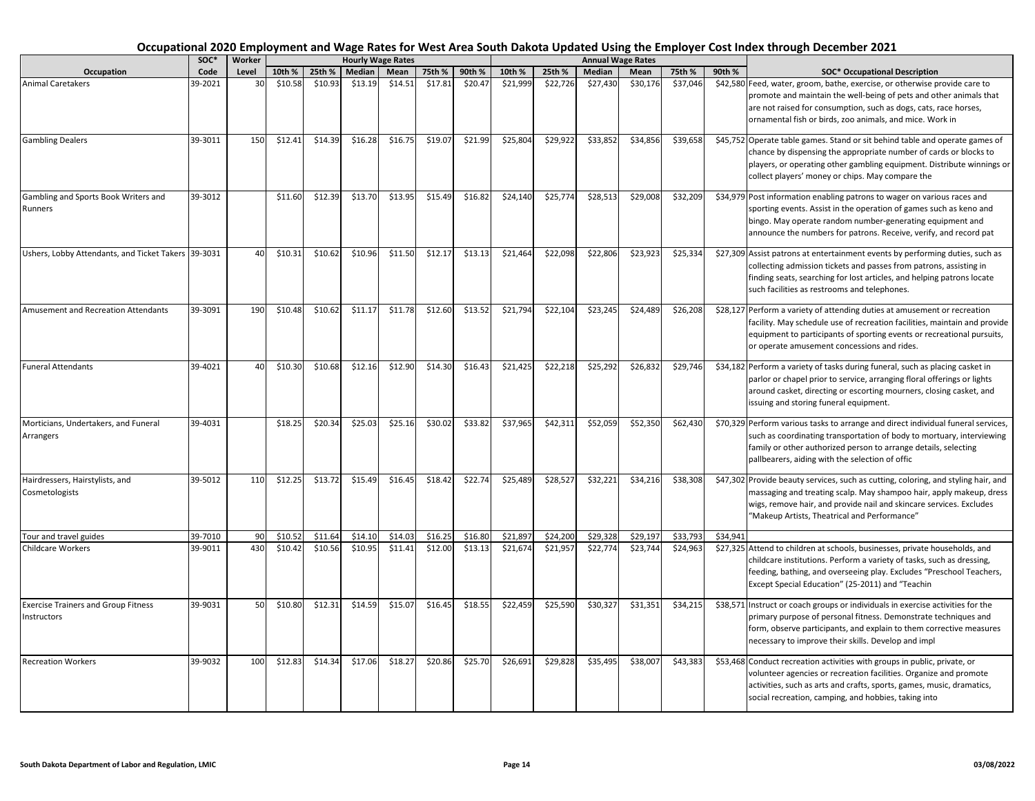|                                                           | soc*    | Worker |         |         | <b>Hourly Wage Rates</b> |         |         |         |          |          |          | <b>Annual Wage Rates</b> |          |          |                                                                                                                                                                                                                                                                                  |
|-----------------------------------------------------------|---------|--------|---------|---------|--------------------------|---------|---------|---------|----------|----------|----------|--------------------------|----------|----------|----------------------------------------------------------------------------------------------------------------------------------------------------------------------------------------------------------------------------------------------------------------------------------|
| Occupation                                                | Code    | Level  | 10th %  | 25th %  | Median                   | Mean    | 75th %  | 90th %  | 10th %   | 25th %   | Median   | Mean                     | 75th %   | 90th %   | <b>SOC* Occupational Description</b>                                                                                                                                                                                                                                             |
| <b>Animal Caretakers</b>                                  | 39-2021 | 30     | \$10.58 | \$10.93 | \$13.19                  | \$14.51 | \$17.81 | \$20.47 | \$21,999 | \$22,726 | \$27,430 | \$30,176                 | \$37,046 |          | \$42,580 Feed, water, groom, bathe, exercise, or otherwise provide care to<br>promote and maintain the well-being of pets and other animals that<br>are not raised for consumption, such as dogs, cats, race horses,<br>ornamental fish or birds, zoo animals, and mice. Work in |
| <b>Gambling Dealers</b>                                   | 39-3011 | 150    | \$12.41 | \$14.39 | \$16.28                  | \$16.75 | \$19.07 | \$21.99 | \$25,804 | \$29,922 | \$33,852 | \$34,856                 | \$39,658 |          | \$45,752 Operate table games. Stand or sit behind table and operate games of<br>chance by dispensing the appropriate number of cards or blocks to<br>players, or operating other gambling equipment. Distribute winnings or<br>collect players' money or chips. May compare the  |
| Gambling and Sports Book Writers and<br>Runners           | 39-3012 |        | \$11.60 | \$12.39 | \$13.70                  | \$13.95 | \$15.49 | \$16.82 | \$24,140 | \$25,774 | \$28,51  | \$29,008                 | \$32,209 |          | \$34,979 Post information enabling patrons to wager on various races and<br>sporting events. Assist in the operation of games such as keno and<br>bingo. May operate random number-generating equipment and<br>announce the numbers for patrons. Receive, verify, and record pat |
| Ushers, Lobby Attendants, and Ticket Takers 39-3031       |         | 40     | \$10.31 | \$10.62 | \$10.96                  | \$11.50 | \$12.17 | \$13.13 | \$21,464 | \$22,098 | \$22,806 | \$23,923                 | \$25,334 |          | \$27,309 Assist patrons at entertainment events by performing duties, such as<br>collecting admission tickets and passes from patrons, assisting in<br>finding seats, searching for lost articles, and helping patrons locate<br>such facilities as restrooms and telephones.    |
| Amusement and Recreation Attendants                       | 39-3091 | 190    | \$10.48 | \$10.62 | \$11.17                  | \$11.78 | \$12.60 | \$13.52 | \$21,794 | \$22,104 | \$23,245 | \$24,489                 | \$26,208 |          | \$28,127 Perform a variety of attending duties at amusement or recreation<br>facility. May schedule use of recreation facilities, maintain and provide<br>equipment to participants of sporting events or recreational pursuits,<br>or operate amusement concessions and rides.  |
| <b>Funeral Attendants</b>                                 | 39-4021 | 40     | \$10.30 | \$10.68 | \$12.16                  | \$12.90 | \$14.30 | \$16.43 | \$21,425 | \$22,218 | \$25,292 | \$26,832                 | \$29,746 |          | \$34,182 Perform a variety of tasks during funeral, such as placing casket in<br>parlor or chapel prior to service, arranging floral offerings or lights<br>around casket, directing or escorting mourners, closing casket, and<br>issuing and storing funeral equipment.        |
| Morticians, Undertakers, and Funeral<br>Arrangers         | 39-4031 |        | \$18.25 | \$20.34 | \$25.03                  | \$25.16 | \$30.02 | \$33.82 | \$37,965 | \$42,311 | \$52,059 | \$52,350                 | \$62,430 |          | \$70,329 Perform various tasks to arrange and direct individual funeral services,<br>such as coordinating transportation of body to mortuary, interviewing<br>family or other authorized person to arrange details, selecting<br>pallbearers, aiding with the selection of offic |
| Hairdressers, Hairstylists, and<br>Cosmetologists         | 39-5012 | 110    | \$12.25 | \$13.72 | \$15.49                  | \$16.45 | \$18.42 | \$22.74 | \$25,489 | \$28,527 | \$32,221 | \$34,216                 | \$38,308 |          | \$47,302 Provide beauty services, such as cutting, coloring, and styling hair, and<br>massaging and treating scalp. May shampoo hair, apply makeup, dress<br>wigs, remove hair, and provide nail and skincare services. Excludes<br>"Makeup Artists, Theatrical and Performance" |
| Tour and travel guides                                    | 39-7010 | 90     | \$10.52 | \$11.64 | \$14.10                  | \$14.03 | \$16.25 | \$16.80 | \$21,897 | \$24,200 | \$29,328 | \$29,197                 | \$33,793 | \$34,941 |                                                                                                                                                                                                                                                                                  |
| Childcare Workers                                         | 39-9011 | 430    | \$10.42 | \$10.56 | \$10.95                  | \$11.41 | \$12.00 | \$13.13 | \$21,674 | \$21,957 | \$22,774 | \$23,744                 | \$24,963 |          | \$27,325 Attend to children at schools, businesses, private households, and<br>childcare institutions. Perform a variety of tasks, such as dressing,<br>feeding, bathing, and overseeing play. Excludes "Preschool Teachers,<br>Except Special Education" (25-2011) and "Teachin |
| <b>Exercise Trainers and Group Fitness</b><br>Instructors | 39-9031 | 50     | \$10.80 | \$12.31 | \$14.59                  | \$15.07 | \$16.45 | \$18.55 | \$22,459 | \$25,590 | \$30,327 | \$31,351                 | \$34,215 |          | \$38,571 Instruct or coach groups or individuals in exercise activities for the<br>primary purpose of personal fitness. Demonstrate techniques and<br>form, observe participants, and explain to them corrective measures<br>necessary to improve their skills. Develop and impl |
| <b>Recreation Workers</b>                                 | 39-9032 | 100    | \$12.83 | \$14.34 | \$17.06                  | \$18.27 | \$20.86 | \$25.70 | \$26,691 | \$29,828 | \$35,495 | \$38,007                 | \$43,383 |          | \$53,468 Conduct recreation activities with groups in public, private, or<br>volunteer agencies or recreation facilities. Organize and promote<br>activities, such as arts and crafts, sports, games, music, dramatics,<br>social recreation, camping, and hobbies, taking into  |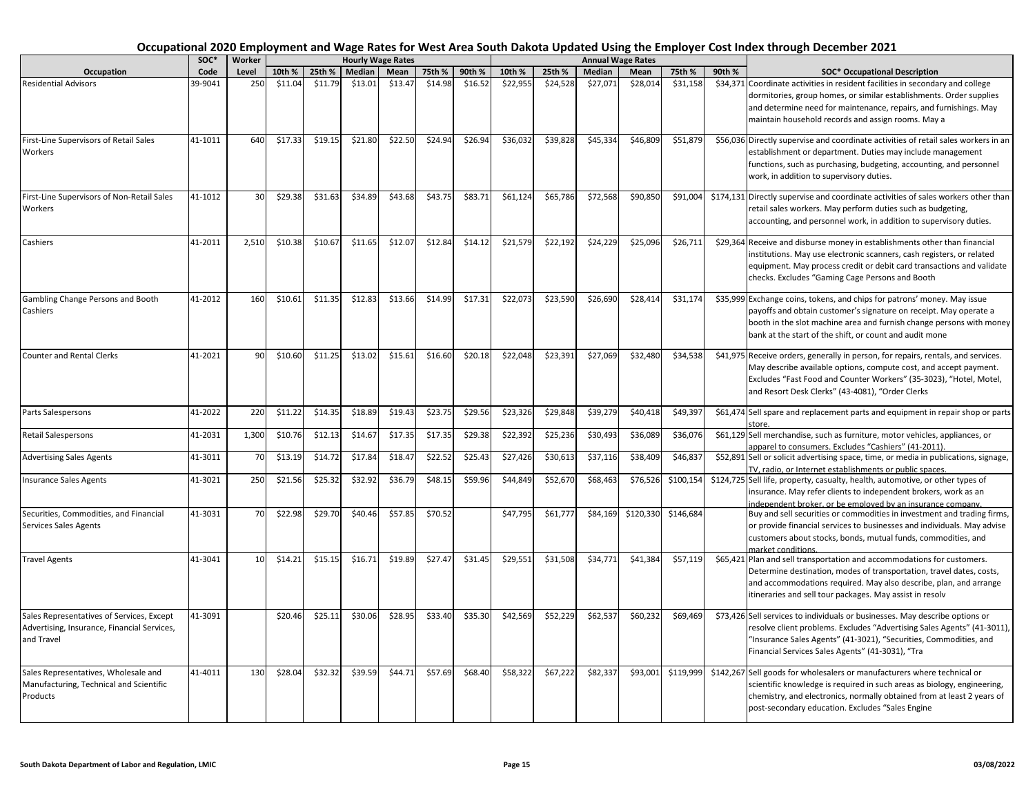|                                                                                                        | SOC*    | <b>Worker</b> |         |         |               | <b>Hourly Wage Rates</b> |         |         |          |          |               | <b>Annual Wage Rates</b> |           |        |                                                                                                                                                                                                                                                                                   |
|--------------------------------------------------------------------------------------------------------|---------|---------------|---------|---------|---------------|--------------------------|---------|---------|----------|----------|---------------|--------------------------|-----------|--------|-----------------------------------------------------------------------------------------------------------------------------------------------------------------------------------------------------------------------------------------------------------------------------------|
| Occupation                                                                                             | Code    | Level         | 10th %  | 25th %  | <b>Median</b> | Mean                     | 75th %  | 90th %  | 10th %   | 25th %   | <b>Median</b> | Mean                     | 75th %    | 90th % | <b>SOC* Occupational Description</b>                                                                                                                                                                                                                                              |
| <b>Residential Advisors</b>                                                                            | 39-9041 | 250           | \$11.04 | \$11.79 | \$13.01       | \$13.47                  | \$14.98 | \$16.52 | \$22,955 | \$24,528 | \$27,071      | \$28,014                 | \$31,158  |        | \$34,371 Coordinate activities in resident facilities in secondary and college<br>dormitories, group homes, or similar establishments. Order supplies<br>and determine need for maintenance, repairs, and furnishings. May<br>maintain household records and assign rooms. May a  |
| First-Line Supervisors of Retail Sales<br>Workers                                                      | 41-1011 | 640           | \$17.33 | \$19.15 | \$21.80       | \$22.50                  | \$24.94 | \$26.94 | \$36,032 | \$39,828 | \$45,334      | \$46,809                 | \$51,879  |        | \$56,036 Directly supervise and coordinate activities of retail sales workers in an<br>establishment or department. Duties may include management<br>functions, such as purchasing, budgeting, accounting, and personnel<br>work, in addition to supervisory duties.              |
| First-Line Supervisors of Non-Retail Sales<br>Workers                                                  | 41-1012 | 30            | \$29.38 | \$31.63 | \$34.89       | \$43.68                  | \$43.75 | \$83.71 | \$61,124 | \$65,786 | \$72,568      | \$90,850                 | \$91,004  |        | \$174,131 Directly supervise and coordinate activities of sales workers other than<br>retail sales workers. May perform duties such as budgeting,<br>accounting, and personnel work, in addition to supervisory duties.                                                           |
| Cashiers                                                                                               | 41-2011 | 2,510         | \$10.38 | \$10.67 | \$11.65       | \$12.07                  | \$12.84 | \$14.12 | \$21,579 | \$22,192 | \$24,229      | \$25,096                 | \$26,711  |        | \$29,364 Receive and disburse money in establishments other than financial<br>institutions. May use electronic scanners, cash registers, or related<br>equipment. May process credit or debit card transactions and validate<br>checks. Excludes "Gaming Cage Persons and Booth   |
| Gambling Change Persons and Booth<br>Cashiers                                                          | 41-2012 | 160           | \$10.61 | \$11.35 | \$12.83       | \$13.66                  | \$14.99 | \$17.31 | \$22,073 | \$23,590 | \$26,690      | \$28,414                 | \$31,174  |        | \$35,999 Exchange coins, tokens, and chips for patrons' money. May issue<br>payoffs and obtain customer's signature on receipt. May operate a<br>booth in the slot machine area and furnish change persons with money<br>bank at the start of the shift, or count and audit mone  |
| <b>Counter and Rental Clerks</b>                                                                       | 41-2021 | 90            | \$10.60 | \$11.25 | \$13.02       | \$15.61                  | \$16.60 | \$20.18 | \$22,048 | \$23,391 | \$27,069      | \$32,480                 | \$34,538  |        | \$41,975 Receive orders, generally in person, for repairs, rentals, and services.<br>May describe available options, compute cost, and accept payment.<br>Excludes "Fast Food and Counter Workers" (35-3023), "Hotel, Motel,<br>and Resort Desk Clerks" (43-4081), "Order Clerks  |
| Parts Salespersons                                                                                     | 41-2022 | 220           | \$11.22 | \$14.35 | \$18.89       | \$19.43                  | \$23.75 | \$29.56 | \$23,326 | \$29,848 | \$39,279      | \$40,418                 | \$49,397  |        | \$61,474 Sell spare and replacement parts and equipment in repair shop or parts                                                                                                                                                                                                   |
| <b>Retail Salespersons</b>                                                                             | 41-2031 | 1,300         | \$10.76 | \$12.13 | \$14.67       | \$17.35                  | \$17.35 | \$29.38 | \$22,392 | \$25,236 | \$30,493      | \$36,089                 | \$36,076  |        | \$61,129 Sell merchandise, such as furniture, motor vehicles, appliances, or<br>apparel to consumers. Excludes "Cashiers" (41-2011).                                                                                                                                              |
| <b>Advertising Sales Agents</b>                                                                        | 41-3011 | 70            | \$13.19 | \$14.72 | \$17.84       | \$18.47                  | \$22.52 | \$25.43 | \$27,426 | \$30,613 | \$37,116      | \$38,409                 | \$46,837  |        | \$52,891 Sell or solicit advertising space, time, or media in publications, signage,<br>TV, radio, or Internet establishments or public spaces.                                                                                                                                   |
| <b>Insurance Sales Agents</b>                                                                          | 41-3021 | 250           | \$21.56 | \$25.32 | \$32.92       | \$36.79                  | \$48.15 | \$59.96 | \$44,849 | \$52,670 | \$68,463      | \$76,526                 | \$100,154 |        | \$124,725 Sell life, property, casualty, health, automotive, or other types of<br>insurance. May refer clients to independent brokers, work as an<br>independent broker, or be employed by an insurance company.                                                                  |
| Securities, Commodities, and Financial<br>Services Sales Agents                                        | 41-3031 | 70            | \$22.98 | \$29.70 | \$40.46       | \$57.85                  | \$70.52 |         | \$47,795 | \$61,777 | \$84,169      | \$120,330                | \$146,684 |        | Buy and sell securities or commodities in investment and trading firms,<br>or provide financial services to businesses and individuals. May advise<br>customers about stocks, bonds, mutual funds, commodities, and<br>market conditions.                                         |
| <b>Travel Agents</b>                                                                                   | 41-3041 | 10            | \$14.21 | \$15.15 | \$16.71       | \$19.89                  | \$27.47 | \$31.45 | \$29,551 | \$31,508 | \$34,771      | \$41,384                 | \$57,119  |        | \$65,421 Plan and sell transportation and accommodations for customers.<br>Determine destination, modes of transportation, travel dates, costs,<br>and accommodations required. May also describe, plan, and arrange<br>itineraries and sell tour packages. May assist in resolv  |
| Sales Representatives of Services, Except<br>Advertising, Insurance, Financial Services,<br>and Travel | 41-3091 |               | \$20.46 | \$25.11 | \$30.06       | \$28.95                  | \$33.40 | \$35.30 | \$42,569 | \$52,229 | \$62,537      | \$60,232                 | \$69,469  |        | \$73,426 Sell services to individuals or businesses. May describe options or<br>resolve client problems. Excludes "Advertising Sales Agents" (41-3011),<br>"Insurance Sales Agents" (41-3021), "Securities, Commodities, and<br>Financial Services Sales Agents" (41-3031), "Tra  |
| Sales Representatives, Wholesale and<br>Manufacturing, Technical and Scientific<br>Products            | 41-4011 | 130           | \$28.04 | \$32.32 | \$39.59       | \$44.71                  | \$57.69 | \$68.40 | \$58,322 | \$67,222 | \$82,337      | \$93,001                 | \$119,999 |        | \$142,267 Sell goods for wholesalers or manufacturers where technical or<br>scientific knowledge is required in such areas as biology, engineering,<br>chemistry, and electronics, normally obtained from at least 2 years of<br>post-secondary education. Excludes "Sales Engine |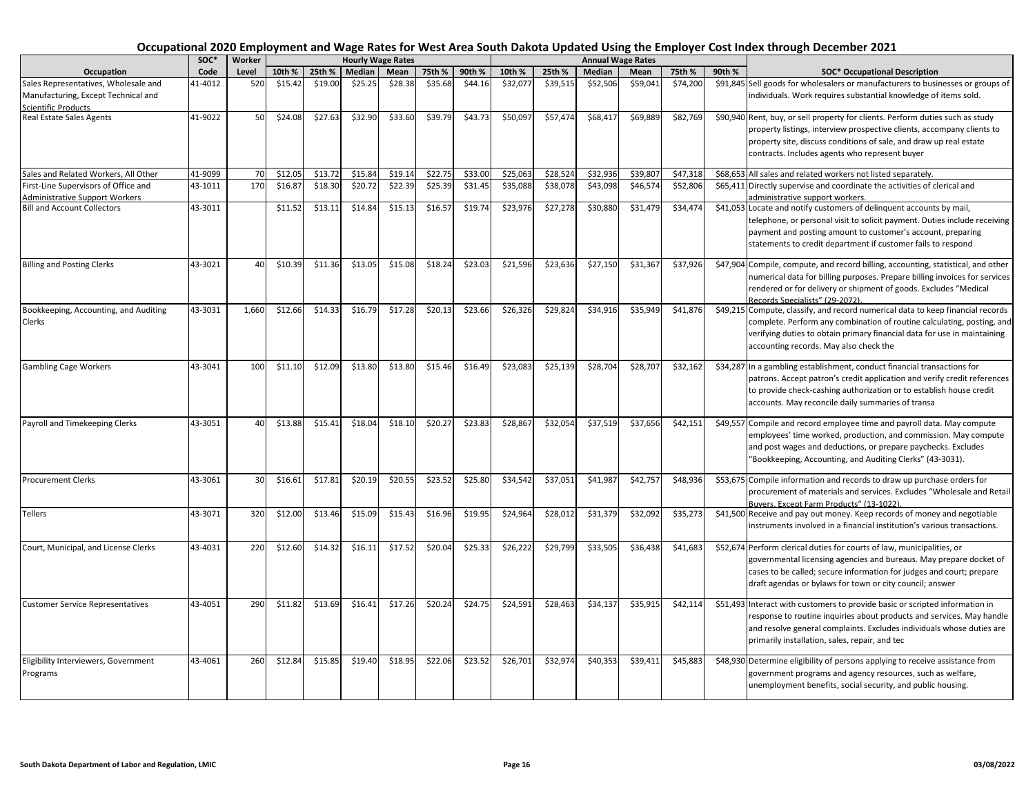|                                                                                                           | SOC*    | Worker |         |         |               | <b>Hourly Wage Rates</b> |         |         |          |          |          | <b>Annual Wage Rates</b> |          |        |                                                                                                                                                                                                                                                                                  |
|-----------------------------------------------------------------------------------------------------------|---------|--------|---------|---------|---------------|--------------------------|---------|---------|----------|----------|----------|--------------------------|----------|--------|----------------------------------------------------------------------------------------------------------------------------------------------------------------------------------------------------------------------------------------------------------------------------------|
| Occupation                                                                                                | Code    | Level  | 10th %  | 25th %  | <b>Median</b> | Mean                     | 75th %  | 90th %  | 10th %   | 25th %   | Median   | Mean                     | 75th %   | 90th % | <b>SOC* Occupational Description</b>                                                                                                                                                                                                                                             |
| Sales Representatives, Wholesale and<br>Manufacturing, Except Technical and<br><b>Scientific Products</b> | 41-4012 | 520    | \$15.42 | \$19.00 | \$25.25       | \$28.38                  | \$35.68 | \$44.16 | \$32,077 | \$39,515 | \$52,506 | \$59,041                 | \$74,200 |        | \$91,845 Sell goods for wholesalers or manufacturers to businesses or groups of<br>ndividuals. Work requires substantial knowledge of items sold.                                                                                                                                |
| Real Estate Sales Agents                                                                                  | 41-9022 | 50     | \$24.08 | \$27.63 | \$32.90       | \$33.60                  | \$39.79 | \$43.73 | \$50,097 | \$57,474 | \$68,417 | \$69,889                 | \$82,769 |        | \$90,940 Rent, buy, or sell property for clients. Perform duties such as study<br>property listings, interview prospective clients, accompany clients to<br>property site, discuss conditions of sale, and draw up real estate<br>contracts. Includes agents who represent buyer |
| Sales and Related Workers, All Other                                                                      | 41-9099 | 70     | \$12.05 | \$13.72 | \$15.84       | \$19.14                  | \$22.75 | \$33.00 | \$25,063 | \$28,524 | \$32,936 | \$39,80                  | \$47,318 |        | \$68,653 All sales and related workers not listed separately.                                                                                                                                                                                                                    |
| First-Line Supervisors of Office and<br><b>Administrative Support Workers</b>                             | 43-1011 | 170    | \$16.87 | \$18.30 | \$20.72       | \$22.39                  | \$25.39 | \$31.45 | \$35,088 | \$38,078 | \$43,098 | \$46,574                 | \$52,806 |        | \$65,411 Directly supervise and coordinate the activities of clerical and<br>administrative support workers.                                                                                                                                                                     |
| <b>Bill and Account Collectors</b>                                                                        | 43-3011 |        | \$11.52 | \$13.11 | \$14.84       | \$15.13                  | \$16.57 | \$19.74 | \$23,976 | \$27,278 | \$30,880 | \$31,479                 | \$34,474 |        | \$41,053 Locate and notify customers of delinquent accounts by mail,<br>telephone, or personal visit to solicit payment. Duties include receiving<br>payment and posting amount to customer's account, preparing<br>statements to credit department if customer fails to respond |
| <b>Billing and Posting Clerks</b>                                                                         | 43-3021 | 40     | \$10.39 | \$11.36 | \$13.05       | \$15.08                  | \$18.24 | \$23.03 | \$21,596 | \$23,636 | \$27,150 | \$31,367                 | \$37,926 |        | \$47,904 Compile, compute, and record billing, accounting, statistical, and other<br>numerical data for billing purposes. Prepare billing invoices for services<br>rendered or for delivery or shipment of goods. Excludes "Medical<br>Records Specialists" (29-2072).           |
| Bookkeeping, Accounting, and Auditing<br>Clerks                                                           | 43-3031 | 1,660  | \$12.66 | \$14.33 | \$16.79       | \$17.28                  | \$20.13 | \$23.66 | \$26,326 | \$29,824 | \$34,916 | \$35,949                 | \$41,876 |        | \$49,215 Compute, classify, and record numerical data to keep financial records<br>complete. Perform any combination of routine calculating, posting, and<br>verifying duties to obtain primary financial data for use in maintaining<br>accounting records. May also check the  |
| <b>Gambling Cage Workers</b>                                                                              | 43-3041 | 100    | \$11.10 | \$12.09 | \$13.80       | \$13.80                  | \$15.46 | \$16.49 | \$23,083 | \$25,139 | \$28,704 | \$28,707                 | \$32,162 |        | \$34,287 In a gambling establishment, conduct financial transactions for<br>patrons. Accept patron's credit application and verify credit references<br>to provide check-cashing authorization or to establish house credit<br>accounts. May reconcile daily summaries of transa |
| Payroll and Timekeeping Clerks                                                                            | 43-3051 | 40     | \$13.88 | \$15.41 | \$18.04       | \$18.10                  | \$20.27 | \$23.83 | \$28,867 | \$32,054 | \$37,519 | \$37,656                 | \$42,151 |        | \$49,557 Compile and record employee time and payroll data. May compute<br>employees' time worked, production, and commission. May compute<br>and post wages and deductions, or prepare paychecks. Excludes<br>"Bookkeeping, Accounting, and Auditing Clerks" (43-3031).         |
| <b>Procurement Clerks</b>                                                                                 | 43-3061 | 30     | \$16.61 | \$17.81 | \$20.19       | \$20.55                  | \$23.52 | \$25.80 | \$34,542 | \$37,051 | \$41,987 | \$42,757                 | \$48,936 |        | \$53,675 Compile information and records to draw up purchase orders for<br>procurement of materials and services. Excludes "Wholesale and Retail                                                                                                                                 |
| <b>Tellers</b>                                                                                            | 43-3071 | 320    | \$12.00 | \$13.46 | \$15.09       | \$15.43                  | \$16.96 | \$19.95 | \$24,964 | \$28,012 | \$31,379 | \$32,092                 | \$35,273 |        | Buyers, Except Farm Products" (13-1022).<br>\$41,500 Receive and pay out money. Keep records of money and negotiable<br>instruments involved in a financial institution's various transactions.                                                                                  |
| Court, Municipal, and License Clerks                                                                      | 43-4031 | 220    | \$12.60 | \$14.32 | \$16.11       | \$17.52                  | \$20.04 | \$25.33 | \$26,222 | \$29,799 | \$33,505 | \$36,438                 | \$41,683 |        | \$52,674 Perform clerical duties for courts of law, municipalities, or<br>governmental licensing agencies and bureaus. May prepare docket of<br>cases to be called; secure information for judges and court; prepare<br>draft agendas or bylaws for town or city council; answer |
| <b>Customer Service Representatives</b>                                                                   | 43-4051 | 290    | \$11.82 | \$13.69 | \$16.41       | \$17.26                  | \$20.24 | \$24.75 | \$24,591 | \$28,463 | \$34,137 | \$35,91                  | \$42,114 |        | \$51,493 Interact with customers to provide basic or scripted information in<br>response to routine inquiries about products and services. May handle<br>and resolve general complaints. Excludes individuals whose duties are<br>primarily installation, sales, repair, and tec |
| Eligibility Interviewers, Government<br>Programs                                                          | 43-4061 | 260    | \$12.84 | \$15.85 | \$19.40       | \$18.95                  | \$22.06 | \$23.52 | \$26,701 | \$32,974 | \$40,353 | \$39,411                 | \$45,883 |        | \$48,930 Determine eligibility of persons applying to receive assistance from<br>government programs and agency resources, such as welfare,<br>unemployment benefits, social security, and public housing.                                                                       |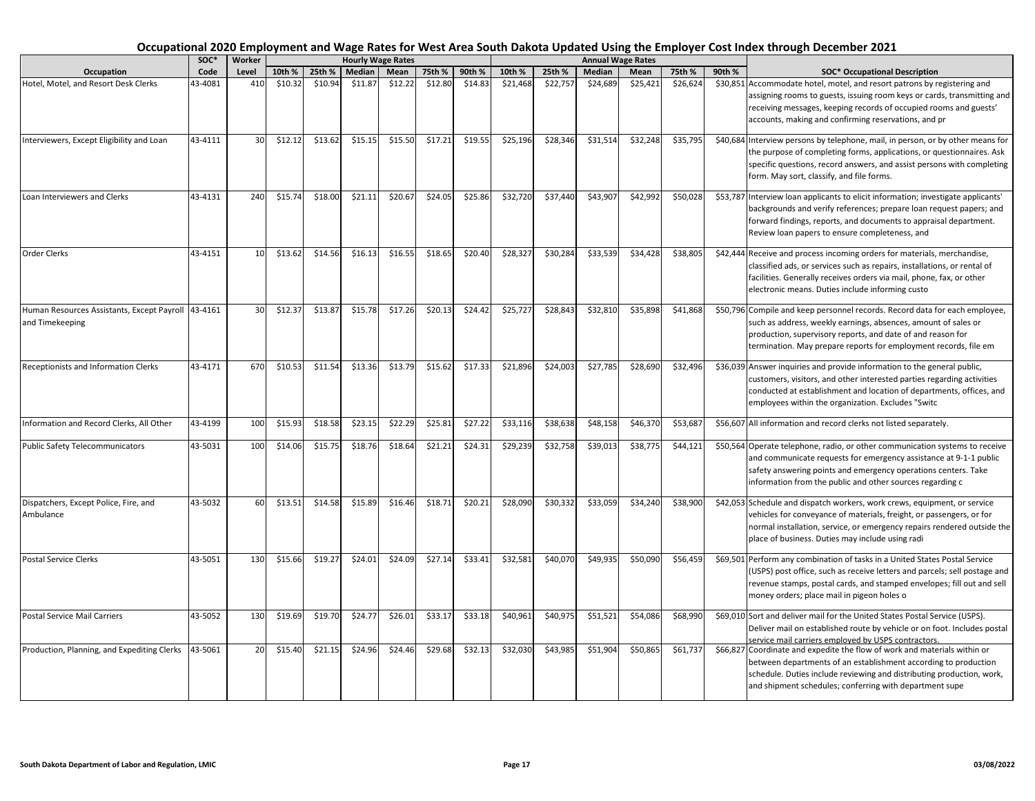| Occupational 2020 Employment and Wage Rates for West Area South Dakota Updated Using the Employer Cost Index through December 2021 |  |
|------------------------------------------------------------------------------------------------------------------------------------|--|
|------------------------------------------------------------------------------------------------------------------------------------|--|

|                                                               | SOC*    | <b>Worker</b> |         |         | <b>Hourly Wage Rates</b> |         |         |         |          |          | <b>Annual Wage Rates</b> |          |          |        |                                                                                                                                                                                                                                                                                  |
|---------------------------------------------------------------|---------|---------------|---------|---------|--------------------------|---------|---------|---------|----------|----------|--------------------------|----------|----------|--------|----------------------------------------------------------------------------------------------------------------------------------------------------------------------------------------------------------------------------------------------------------------------------------|
| Occupation                                                    | Code    | Level         | 10th %  | 25th %  | Median                   | Mean    | 75th %  | 90th %  | 10th %   | 25th %   | Median                   | Mean     | 75th %   | 90th % | <b>SOC* Occupational Description</b>                                                                                                                                                                                                                                             |
| Hotel, Motel, and Resort Desk Clerks                          | 43-4081 | 410           | \$10.32 | \$10.94 | \$11.87                  | \$12.22 | \$12.80 | \$14.83 | \$21,468 | \$22,757 | \$24,689                 | \$25,421 | \$26,624 |        | \$30,851 Accommodate hotel, motel, and resort patrons by registering and<br>assigning rooms to guests, issuing room keys or cards, transmitting and<br>receiving messages, keeping records of occupied rooms and guests'<br>accounts, making and confirming reservations, and pr |
| Interviewers, Except Eligibility and Loan                     | 43-4111 | 30            | \$12.12 | \$13.62 | \$15.15                  | \$15.50 | \$17.21 | \$19.55 | \$25,196 | \$28,346 | \$31,514                 | \$32,248 | \$35,795 |        | \$40,684 Interview persons by telephone, mail, in person, or by other means for<br>the purpose of completing forms, applications, or questionnaires. Ask<br>specific questions, record answers, and assist persons with completing<br>form. May sort, classify, and file forms.  |
| Loan Interviewers and Clerks                                  | 43-4131 | 240           | \$15.74 | \$18.00 | \$21.11                  | \$20.67 | \$24.05 | \$25.86 | \$32,720 | \$37,440 | \$43,907                 | \$42,992 | \$50,028 |        | \$53,787 Interview loan applicants to elicit information; investigate applicants'<br>backgrounds and verify references; prepare loan request papers; and<br>forward findings, reports, and documents to appraisal department.<br>Review loan papers to ensure completeness, and  |
| <b>Order Clerks</b>                                           | 43-4151 | 10            | \$13.62 | \$14.56 | \$16.13                  | \$16.55 | \$18.65 | \$20.40 | \$28,327 | \$30,284 | \$33,539                 | \$34.428 | \$38,805 |        | \$42,444 Receive and process incoming orders for materials, merchandise,<br>classified ads, or services such as repairs, installations, or rental of<br>facilities. Generally receives orders via mail, phone, fax, or other<br>electronic means. Duties include informing custo |
| Human Resources Assistants, Except Payroll<br>and Timekeeping | 43-4161 | 30            | \$12.3  | \$13.87 | \$15.78                  | \$17.26 | \$20.13 | \$24.42 | \$25,727 | \$28,843 | \$32,810                 | \$35,898 | \$41,868 |        | \$50,796 Compile and keep personnel records. Record data for each employee,<br>such as address, weekly earnings, absences, amount of sales or<br>production, supervisory reports, and date of and reason for<br>termination. May prepare reports for employment records, file em |
| Receptionists and Information Clerks                          | 43-4171 | 670           | \$10.53 | \$11.54 | \$13.36                  | \$13.79 | \$15.62 | \$17.33 | \$21,896 | \$24,003 | \$27,785                 | \$28,690 | \$32,496 |        | \$36,039 Answer inquiries and provide information to the general public,<br>customers, visitors, and other interested parties regarding activities<br>conducted at establishment and location of departments, offices, and<br>employees within the organization. Excludes "Switc |
| Information and Record Clerks, All Other                      | 43-4199 | 100           | \$15.93 | \$18.58 | \$23.15                  | \$22.29 | \$25.81 | \$27.22 | \$33,116 | \$38,638 | \$48,158                 | \$46,370 | \$53,687 |        | \$56,607 All information and record clerks not listed separately.                                                                                                                                                                                                                |
| <b>Public Safety Telecommunicators</b>                        | 43-5031 | 100           | \$14.06 | \$15.75 | \$18.76                  | \$18.64 | \$21.21 | \$24.31 | \$29,239 | \$32,758 | \$39,013                 | \$38,775 | \$44,121 |        | \$50,564 Operate telephone, radio, or other communication systems to receive<br>and communicate requests for emergency assistance at 9-1-1 public<br>safety answering points and emergency operations centers. Take<br>information from the public and other sources regarding c |
| Dispatchers, Except Police, Fire, and<br>Ambulance            | 43-5032 | 60            | \$13.51 | \$14.58 | \$15.89                  | \$16.46 | \$18.71 | \$20.21 | \$28,090 | \$30,332 | \$33,059                 | \$34,240 | \$38,900 |        | \$42,053 Schedule and dispatch workers, work crews, equipment, or service<br>vehicles for conveyance of materials, freight, or passengers, or for<br>normal installation, service, or emergency repairs rendered outside the<br>place of business. Duties may include using radi |
| <b>Postal Service Clerks</b>                                  | 43-5051 | 130           | \$15.66 | \$19.27 | \$24.01                  | \$24.09 | \$27.14 | \$33.41 | \$32,581 | \$40,070 | \$49,935                 | \$50,090 | \$56,459 |        | \$69,501 Perform any combination of tasks in a United States Postal Service<br>(USPS) post office, such as receive letters and parcels; sell postage and<br>revenue stamps, postal cards, and stamped envelopes; fill out and sell<br>money orders; place mail in pigeon holes o |
| Postal Service Mail Carriers                                  | 43-5052 | 130           | \$19.69 | \$19.70 | \$24.77                  | \$26.01 | \$33.17 | \$33.18 | \$40,961 | \$40,975 | \$51,521                 | \$54,086 | \$68,990 |        | \$69,010 Sort and deliver mail for the United States Postal Service (USPS).<br>Deliver mail on established route by vehicle or on foot. Includes postal<br>service mail carriers employed by USPS contractors.                                                                   |
| Production, Planning, and Expediting Clerks                   | 43-5061 | 20            | \$15.40 | \$21.15 | \$24.96                  | \$24.46 | \$29.68 | \$32.13 | \$32,030 | \$43,985 | \$51,904                 | \$50,865 | \$61,737 |        | \$66,827 Coordinate and expedite the flow of work and materials within or<br>between departments of an establishment according to production<br>schedule. Duties include reviewing and distributing production, work,<br>and shipment schedules; conferring with department supe |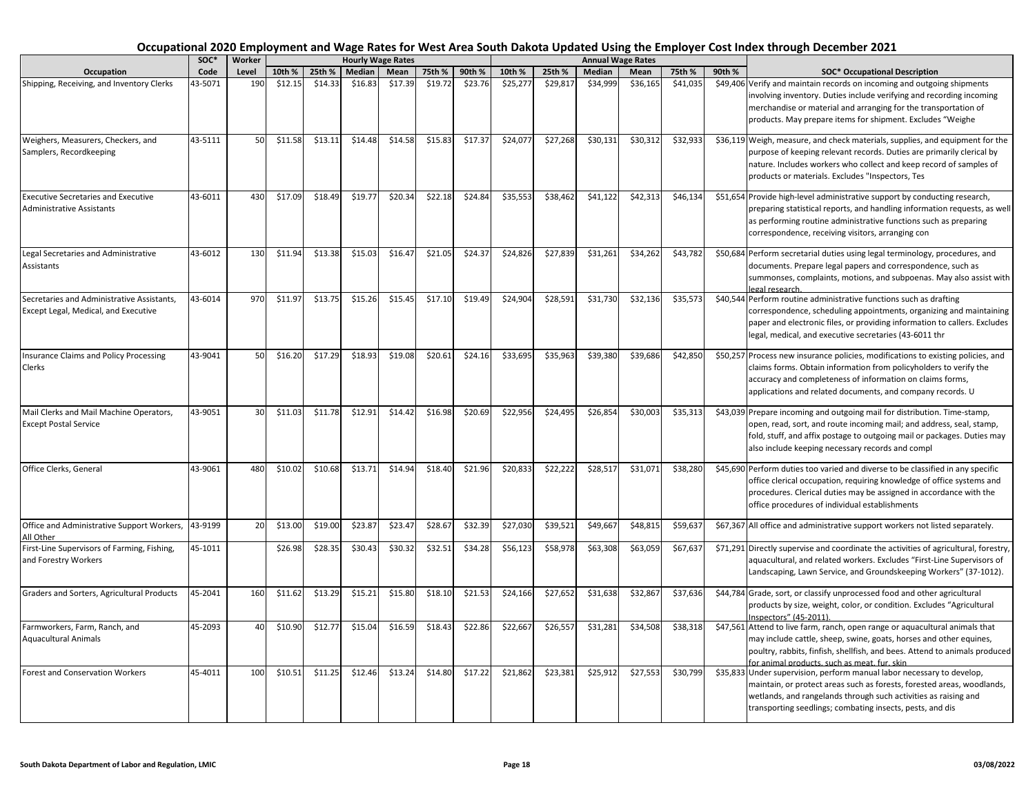|                                                                                    | SOC*    | <b>Worker</b> |         |         |         | <b>Hourly Wage Rates</b> |         |         |          |          |               | <b>Annual Wage Rates</b> |          |        |                                                                                                                                                                                                                                                                                  |
|------------------------------------------------------------------------------------|---------|---------------|---------|---------|---------|--------------------------|---------|---------|----------|----------|---------------|--------------------------|----------|--------|----------------------------------------------------------------------------------------------------------------------------------------------------------------------------------------------------------------------------------------------------------------------------------|
| Occupation                                                                         | Code    | Level         | 10th %  | 25th %  | Median  | Mean                     | 75th %  | 90th %  | 10th %   | 25th %   | <b>Median</b> | Mean                     | 75th %   | 90th % | <b>SOC* Occupational Description</b>                                                                                                                                                                                                                                             |
| Shipping, Receiving, and Inventory Clerks                                          | 43-5071 | 190           | \$12.15 | \$14.33 | \$16.83 | \$17.39                  | \$19.72 | \$23.76 | \$25,277 | \$29,817 | \$34,999      | \$36,165                 | \$41,035 |        | \$49,406 Verify and maintain records on incoming and outgoing shipments<br>involving inventory. Duties include verifying and recording incoming<br>merchandise or material and arranging for the transportation of<br>products. May prepare items for shipment. Excludes "Weighe |
| Weighers, Measurers, Checkers, and<br>Samplers, Recordkeeping                      | 43-5111 | 50            | \$11.58 | \$13.11 | \$14.48 | \$14.58                  | \$15.83 | \$17.37 | \$24,077 | \$27,268 | \$30,131      | \$30,312                 | \$32,933 |        | \$36,119 Weigh, measure, and check materials, supplies, and equipment for the<br>purpose of keeping relevant records. Duties are primarily clerical by<br>nature. Includes workers who collect and keep record of samples of<br>products or materials. Excludes "Inspectors, Tes |
| <b>Executive Secretaries and Executive</b><br><b>Administrative Assistants</b>     | 43-6011 | 430           | \$17.09 | \$18.49 | \$19.77 | \$20.34                  | \$22.18 | \$24.84 | \$35,553 | \$38,462 | \$41,122      | \$42,313                 | \$46,134 |        | \$51,654 Provide high-level administrative support by conducting research,<br>preparing statistical reports, and handling information requests, as well<br>as performing routine administrative functions such as preparing<br>correspondence, receiving visitors, arranging con |
| Legal Secretaries and Administrative<br>Assistants                                 | 43-6012 | 130           | \$11.94 | \$13.38 | \$15.03 | \$16.47                  | \$21.05 | \$24.37 | \$24,826 | \$27,839 | \$31,261      | \$34,262                 | \$43,782 |        | \$50,684 Perform secretarial duties using legal terminology, procedures, and<br>documents. Prepare legal papers and correspondence, such as<br>summonses, complaints, motions, and subpoenas. May also assist with<br>egal research.                                             |
| Secretaries and Administrative Assistants,<br>Except Legal, Medical, and Executive | 43-6014 | 970           | \$11.97 | \$13.75 | \$15.26 | \$15.45                  | \$17.10 | \$19.49 | \$24,904 | \$28,591 | \$31,730      | \$32,136                 | \$35,573 |        | \$40,544 Perform routine administrative functions such as drafting<br>correspondence, scheduling appointments, organizing and maintaining<br>paper and electronic files, or providing information to callers. Excludes<br>legal, medical, and executive secretaries (43-6011 thr |
| Insurance Claims and Policy Processing<br>Clerks                                   | 43-9041 | 50            | \$16.20 | \$17.29 | \$18.93 | \$19.08                  | \$20.61 | \$24.16 | \$33,695 | \$35,963 | \$39,380      | \$39,686                 | \$42,850 |        | \$50,257 Process new insurance policies, modifications to existing policies, and<br>claims forms. Obtain information from policyholders to verify the<br>accuracy and completeness of information on claims forms,<br>applications and related documents, and company records. U |
| Mail Clerks and Mail Machine Operators,<br><b>Except Postal Service</b>            | 43-9051 | 30            | \$11.03 | \$11.78 | \$12.91 | \$14.42                  | \$16.98 | \$20.69 | \$22.956 | \$24,495 | \$26,854      | \$30.003                 | \$35,313 |        | \$43,039 Prepare incoming and outgoing mail for distribution. Time-stamp,<br>open, read, sort, and route incoming mail; and address, seal, stamp,<br>fold, stuff, and affix postage to outgoing mail or packages. Duties may<br>also include keeping necessary records and compl |
| Office Clerks, General                                                             | 43-9061 | 480           | \$10.02 | \$10.68 | \$13.71 | \$14.94                  | \$18.40 | \$21.96 | \$20,833 | \$22,222 | \$28,517      | \$31,071                 | \$38,280 |        | \$45,690 Perform duties too varied and diverse to be classified in any specific<br>office clerical occupation, requiring knowledge of office systems and<br>procedures. Clerical duties may be assigned in accordance with the<br>office procedures of individual establishments |
| Office and Administrative Support Workers,<br>All Other                            | 43-9199 | 20            | \$13.00 | \$19.00 | \$23.87 | \$23.47                  | \$28.67 | \$32.39 | \$27,030 | \$39,521 | \$49,667      | \$48,815                 | \$59,637 |        | \$67,367 All office and administrative support workers not listed separately.                                                                                                                                                                                                    |
| First-Line Supervisors of Farming, Fishing,<br>and Forestry Workers                | 45-1011 |               | \$26.98 | \$28.35 | \$30.43 | \$30.32                  | \$32.51 | \$34.28 | \$56,123 | \$58,978 | \$63,308      | \$63,059                 | \$67,637 |        | \$71,291 Directly supervise and coordinate the activities of agricultural, forestry,<br>aquacultural, and related workers. Excludes "First-Line Supervisors of<br>Landscaping, Lawn Service, and Groundskeeping Workers" (37-1012).                                              |
| Graders and Sorters, Agricultural Products                                         | 45-2041 | 160           | \$11.62 | \$13.29 | \$15.21 | \$15.80                  | \$18.10 | \$21.53 | \$24,166 | \$27,652 | \$31,638      | \$32,867                 | \$37,636 |        | \$44,784 Grade, sort, or classify unprocessed food and other agricultural<br>products by size, weight, color, or condition. Excludes "Agricultural<br>nspectors" (45-2011).                                                                                                      |
| Farmworkers, Farm, Ranch, and<br><b>Aquacultural Animals</b>                       | 45-2093 | 40            | \$10.90 | \$12.77 | \$15.04 | \$16.59                  | \$18.43 | \$22.86 | \$22,667 | \$26,557 | \$31,281      | \$34,508                 | \$38,318 |        | \$47,561 Attend to live farm, ranch, open range or aquacultural animals that<br>may include cattle, sheep, swine, goats, horses and other equines,<br>poultry, rabbits, finfish, shellfish, and bees. Attend to animals produced<br>for animal products, such as meat, fur, skin |
| Forest and Conservation Workers                                                    | 45-4011 | 100           | \$10.51 | \$11.25 | \$12.46 | \$13.24                  | \$14.80 | \$17.22 | \$21,862 | \$23,381 | \$25,912      | \$27,553                 | \$30,799 |        | \$35,833 Under supervision, perform manual labor necessary to develop,<br>maintain, or protect areas such as forests, forested areas, woodlands,<br>wetlands, and rangelands through such activities as raising and<br>transporting seedlings; combating insects, pests, and dis |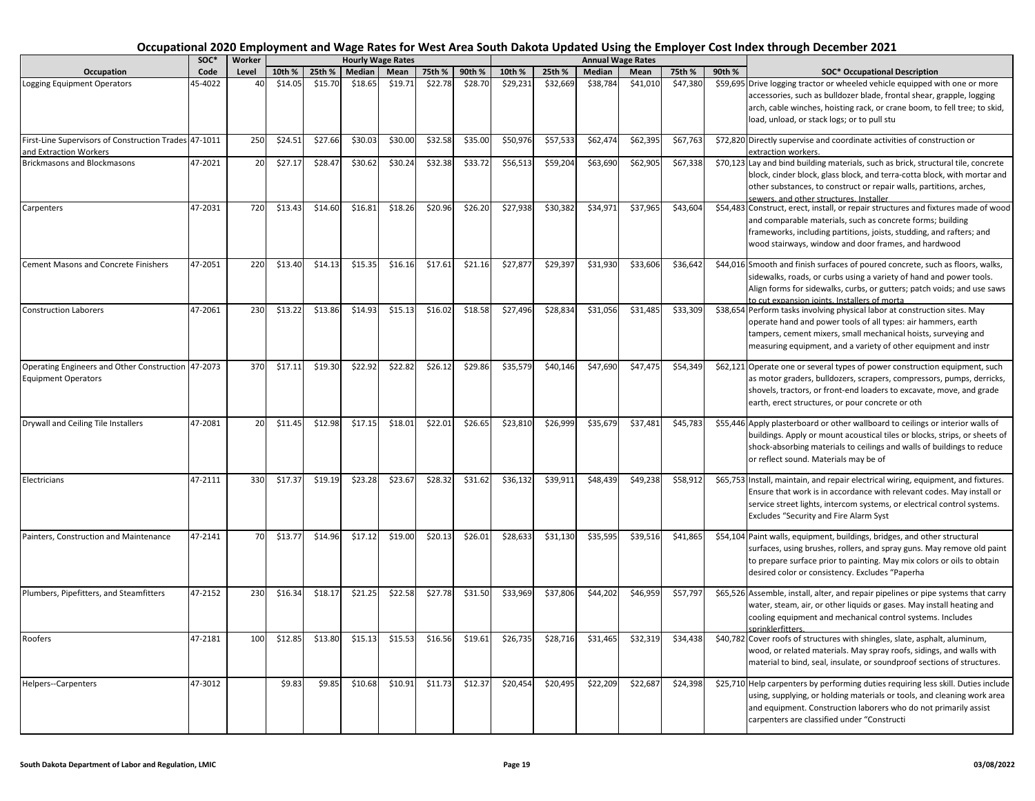|                                                                                  | SOC*    | Worker |         |         |         | <b>Hourly Wage Rates</b> |         |         |          |          |          | <b>Annual Wage Rates</b> |          |        |                                                                                                                                                                                                                                                                                  |
|----------------------------------------------------------------------------------|---------|--------|---------|---------|---------|--------------------------|---------|---------|----------|----------|----------|--------------------------|----------|--------|----------------------------------------------------------------------------------------------------------------------------------------------------------------------------------------------------------------------------------------------------------------------------------|
| Occupation                                                                       | Code    | Level  | 10th %  | 25th %  | Median  | Mean                     | 75th %  | 90th %  | 10th %   | 25th %   | Median   | Mean                     | 75th %   | 90th % | <b>SOC* Occupational Description</b>                                                                                                                                                                                                                                             |
| Logging Equipment Operators                                                      | 45-4022 | 40     | \$14.05 | \$15.70 | \$18.65 | \$19.71                  | \$22.78 | \$28.70 | \$29,231 | \$32,669 | \$38,784 | \$41,010                 | \$47,380 |        | \$59,695 Drive logging tractor or wheeled vehicle equipped with one or more<br>accessories, such as bulldozer blade, frontal shear, grapple, logging<br>arch, cable winches, hoisting rack, or crane boom, to fell tree; to skid,<br>load, unload, or stack logs; or to pull stu |
| First-Line Supervisors of Construction Trades 47-1011<br>and Extraction Workers  |         | 250    | \$24.51 | \$27.66 | \$30.03 | \$30.00                  | \$32.58 | \$35.00 | \$50,976 | \$57,533 | \$62,474 | \$62,395                 | \$67,763 |        | \$72,820 Directly supervise and coordinate activities of construction or<br>extraction workers.                                                                                                                                                                                  |
| <b>Brickmasons and Blockmasons</b>                                               | 47-2021 | 20     | \$27.17 | \$28.47 | \$30.62 | \$30.24                  | \$32.38 | \$33.72 | \$56,513 | \$59,204 | \$63,690 | \$62,905                 | \$67,338 |        | \$70,123 Lay and bind building materials, such as brick, structural tile, concrete<br>block, cinder block, glass block, and terra-cotta block, with mortar and<br>other substances, to construct or repair walls, partitions, arches,<br>sewers, and other structures, Installer |
| Carpenters                                                                       | 47-2031 | 720    | \$13.43 | \$14.60 | \$16.81 | \$18.26                  | \$20.96 | \$26.20 | \$27,938 | \$30,382 | \$34,971 | \$37,965                 | \$43,604 |        | \$54,483 Construct, erect, install, or repair structures and fixtures made of wood<br>and comparable materials, such as concrete forms; building<br>frameworks, including partitions, joists, studding, and rafters; and<br>wood stairways, window and door frames, and hardwood |
| <b>Cement Masons and Concrete Finishers</b>                                      | 47-2051 | 220    | \$13.40 | \$14.13 | \$15.35 | \$16.16                  | \$17.61 | \$21.16 | \$27,877 | \$29,397 | \$31,930 | \$33,606                 | \$36,642 |        | \$44,016 Smooth and finish surfaces of poured concrete, such as floors, walks,<br>sidewalks, roads, or curbs using a variety of hand and power tools.<br>Align forms for sidewalks, curbs, or gutters; patch voids; and use saws<br>to cut expansion ioints. Installers of morta |
| <b>Construction Laborers</b>                                                     | 47-2061 | 230    | \$13.22 | \$13.86 | \$14.93 | \$15.13                  | \$16.02 | \$18.58 | \$27,496 | \$28,834 | \$31,056 | \$31,485                 | \$33,309 |        | \$38,654 Perform tasks involving physical labor at construction sites. May<br>operate hand and power tools of all types: air hammers, earth<br>tampers, cement mixers, small mechanical hoists, surveying and<br>measuring equipment, and a variety of other equipment and instr |
| Operating Engineers and Other Construction 47-2073<br><b>Equipment Operators</b> |         | 370    | \$17.11 | \$19.30 | \$22.92 | \$22.82                  | \$26.12 | \$29.86 | \$35,579 | \$40,146 | \$47,690 | \$47,475                 | \$54,349 |        | \$62,121 Operate one or several types of power construction equipment, such<br>as motor graders, bulldozers, scrapers, compressors, pumps, derricks,<br>shovels, tractors, or front-end loaders to excavate, move, and grade<br>earth, erect structures, or pour concrete or oth |
| Drywall and Ceiling Tile Installers                                              | 47-2081 | 20     | \$11.45 | \$12.98 | \$17.15 | \$18.01                  | \$22.01 | \$26.65 | \$23,810 | \$26,999 | \$35,679 | \$37,481                 | \$45,783 |        | \$55,446 Apply plasterboard or other wallboard to ceilings or interior walls of<br>buildings. Apply or mount acoustical tiles or blocks, strips, or sheets of<br>shock-absorbing materials to ceilings and walls of buildings to reduce<br>or reflect sound. Materials may be of |
| Electricians                                                                     | 47-2111 | 330    | \$17.37 | \$19.19 | \$23.28 | \$23.67                  | \$28.32 | \$31.62 | \$36,132 | \$39,911 | \$48,439 | \$49,238                 | \$58,912 |        | \$65,753 Install, maintain, and repair electrical wiring, equipment, and fixtures.<br>Ensure that work is in accordance with relevant codes. May install or<br>service street lights, intercom systems, or electrical control systems.<br>Excludes "Security and Fire Alarm Syst |
| Painters, Construction and Maintenance                                           | 47-2141 | 70     | \$13.77 | \$14.96 | \$17.12 | \$19.00                  | \$20.13 | \$26.01 | \$28,633 | \$31,130 | \$35,595 | \$39,516                 | \$41,865 |        | \$54,104 Paint walls, equipment, buildings, bridges, and other structural<br>surfaces, using brushes, rollers, and spray guns. May remove old paint<br>to prepare surface prior to painting. May mix colors or oils to obtain<br>desired color or consistency. Excludes "Paperha |
| Plumbers, Pipefitters, and Steamfitters                                          | 47-2152 | 230    | \$16.34 | \$18.17 | \$21.25 | \$22.58                  | \$27.78 | \$31.50 | \$33,969 | \$37,806 | \$44,202 | \$46,959                 | \$57,797 |        | \$65,526 Assemble, install, alter, and repair pipelines or pipe systems that carry<br>water, steam, air, or other liquids or gases. May install heating and<br>cooling equipment and mechanical control systems. Includes<br>sprinklerfitters                                    |
| Roofers                                                                          | 47-2181 | 100    | \$12.85 | \$13.80 | \$15.13 | \$15.53                  | \$16.56 | \$19.61 | \$26,735 | \$28,716 | \$31,465 | \$32,319                 | \$34,438 |        | \$40,782 Cover roofs of structures with shingles, slate, asphalt, aluminum,<br>wood, or related materials. May spray roofs, sidings, and walls with<br>material to bind, seal, insulate, or soundproof sections of structures.                                                   |
| Helpers--Carpenters                                                              | 47-3012 |        | \$9.83  | \$9.85  | \$10.68 | \$10.91                  | \$11.73 | \$12.37 | \$20,454 | \$20,495 | \$22,209 | \$22,687                 | \$24,398 |        | \$25,710 Help carpenters by performing duties requiring less skill. Duties include<br>using, supplying, or holding materials or tools, and cleaning work area<br>and equipment. Construction laborers who do not primarily assist<br>carpenters are classified under "Constructi |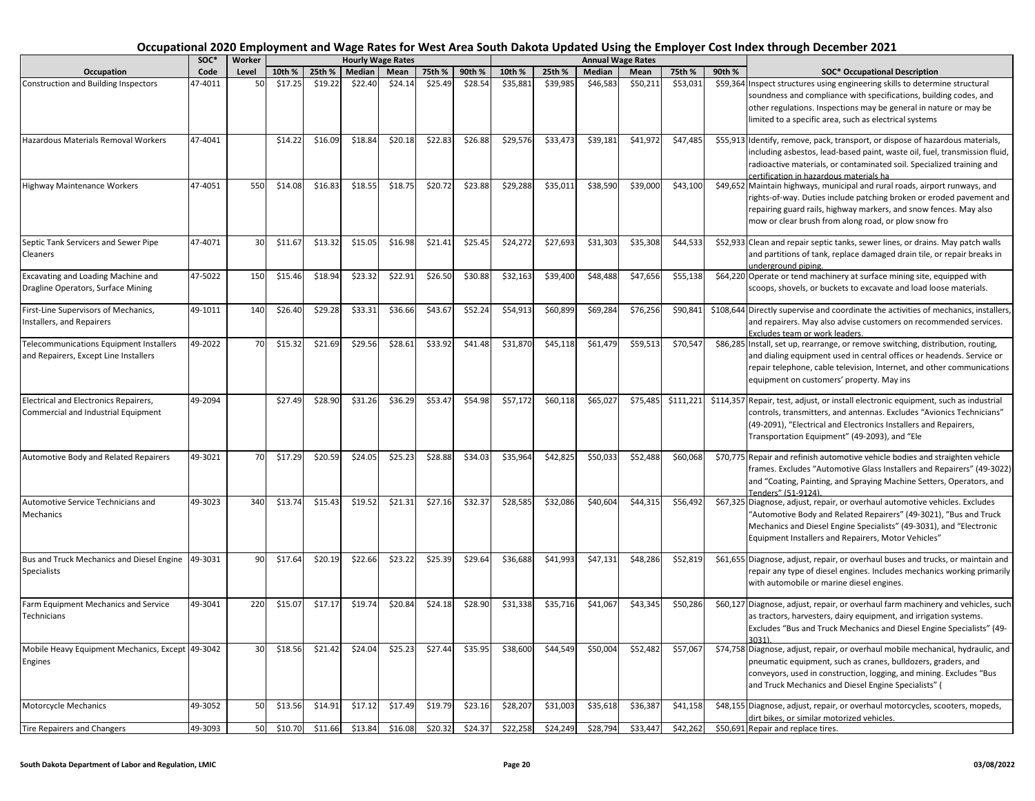|                                                                                  | SOC*    | Worker |         |         |         | <b>Hourly Wage Rates</b> |         |         |          |          |          | <b>Annual Wage Rates</b> |           |        |                                                                                                                                                                                                                                                                                   |
|----------------------------------------------------------------------------------|---------|--------|---------|---------|---------|--------------------------|---------|---------|----------|----------|----------|--------------------------|-----------|--------|-----------------------------------------------------------------------------------------------------------------------------------------------------------------------------------------------------------------------------------------------------------------------------------|
| Occupation                                                                       | Code    | Level  | 10th %  | 25th %  | Median  | Mean                     | 75th %  | 90th %  | 10th %   | 25th %   | Median   | Mean                     | 75th %    | 90th % | <b>SOC* Occupational Description</b>                                                                                                                                                                                                                                              |
| Construction and Building Inspectors                                             | 47-4011 | 50     | \$17.25 | \$19.22 | \$22.40 | \$24.14                  | \$25.49 | \$28.54 | \$35,881 | \$39,985 | \$46,583 | \$50,211                 | \$53,031  |        | \$59,364 Inspect structures using engineering skills to determine structural<br>soundness and compliance with specifications, building codes, and<br>other regulations. Inspections may be general in nature or may be<br>limited to a specific area, such as electrical systems  |
| Hazardous Materials Removal Workers                                              | 47-4041 |        | \$14.22 | \$16.09 | \$18.84 | \$20.18                  | \$22.83 | \$26.88 | \$29,576 | \$33,473 | \$39,181 | \$41,972                 | \$47,485  |        | \$55,913 Identify, remove, pack, transport, or dispose of hazardous materials,<br>including asbestos, lead-based paint, waste oil, fuel, transmission fluid<br>radioactive materials, or contaminated soil. Specialized training and<br>certification in hazardous materials ha   |
| Highway Maintenance Workers                                                      | 47-4051 | 550    | \$14.08 | \$16.83 | \$18.55 | \$18.75                  | \$20.72 | \$23.88 | \$29,288 | \$35,011 | \$38,590 | \$39,000                 | \$43,100  |        | \$49,652 Maintain highways, municipal and rural roads, airport runways, and<br>rights-of-way. Duties include patching broken or eroded pavement and<br>repairing guard rails, highway markers, and snow fences. May also<br>mow or clear brush from along road, or plow snow fro  |
| Septic Tank Servicers and Sewer Pipe<br>Cleaners                                 | 47-4071 | 30     | \$11.67 | \$13.32 | \$15.05 | \$16.98                  | \$21.41 | \$25.45 | \$24,272 | \$27,693 | \$31,303 | \$35,308                 | \$44,533  |        | \$52,933 Clean and repair septic tanks, sewer lines, or drains. May patch walls<br>and partitions of tank, replace damaged drain tile, or repair breaks in<br>underground piping.                                                                                                 |
| Excavating and Loading Machine and<br>Dragline Operators, Surface Mining         | 47-5022 | 150    | \$15.46 | \$18.94 | \$23.32 | \$22.91                  | \$26.50 | \$30.88 | \$32,163 | \$39,400 | \$48,488 | \$47,656                 | \$55,138  |        | \$64,220 Operate or tend machinery at surface mining site, equipped with<br>scoops, shovels, or buckets to excavate and load loose materials.                                                                                                                                     |
| First-Line Supervisors of Mechanics,<br>nstallers, and Repairers                 | 49-1011 | 140    | \$26.40 | \$29.28 | \$33.31 | \$36.66                  | \$43.67 | \$52.24 | \$54,913 | \$60,899 | \$69,284 | \$76,256                 | \$90,841  |        | \$108,644 Directly supervise and coordinate the activities of mechanics, installers,<br>and repairers. May also advise customers on recommended services.<br>Excludes team or work leaders.                                                                                       |
| Telecommunications Equipment Installers<br>and Repairers, Except Line Installers | 49-2022 | 70     | \$15.32 | \$21.69 | \$29.56 | \$28.61                  | \$33.92 | \$41.48 | \$31,870 | \$45,118 | \$61,479 | \$59,513                 | \$70,547  |        | \$86,285 Install, set up, rearrange, or remove switching, distribution, routing,<br>and dialing equipment used in central offices or headends. Service or<br>repair telephone, cable television, Internet, and other communications<br>equipment on customers' property. May ins  |
| Electrical and Electronics Repairers,<br>Commercial and Industrial Equipment     | 49-2094 |        | \$27.49 | \$28.90 | \$31.26 | \$36.29                  | \$53.47 | \$54.98 | \$57,172 | \$60,118 | \$65,027 | \$75,485                 | \$111,221 |        | \$114,357 Repair, test, adjust, or install electronic equipment, such as industrial<br>controls, transmitters, and antennas. Excludes "Avionics Technicians"<br>(49-2091), "Electrical and Electronics Installers and Repairers,<br>Transportation Equipment" (49-2093), and "Ele |
| Automotive Body and Related Repairers                                            | 49-3021 | 70     | \$17.29 | \$20.59 | \$24.05 | \$25.23                  | \$28.88 | \$34.03 | \$35,964 | \$42,825 | \$50,033 | \$52,488                 | \$60,068  |        | \$70,775 Repair and refinish automotive vehicle bodies and straighten vehicle<br>frames. Excludes "Automotive Glass Installers and Repairers" (49-3022)<br>and "Coating, Painting, and Spraying Machine Setters, Operators, and<br>Tenders" (51-9124)                             |
| Automotive Service Technicians and<br>Mechanics                                  | 49-3023 | 340    | \$13.74 | \$15.43 | \$19.52 | \$21.31                  | \$27.16 | \$32.37 | \$28,585 | \$32,086 | \$40,604 | \$44,315                 | \$56,492  |        | \$67,325 Diagnose, adjust, repair, or overhaul automotive vehicles. Excludes<br>"Automotive Body and Related Repairers" (49-3021), "Bus and Truck<br>Mechanics and Diesel Engine Specialists" (49-3031), and "Electronic<br>Equipment Installers and Repairers, Motor Vehicles"   |
| Bus and Truck Mechanics and Diesel Engine<br>Specialists                         | 49-3031 | 90     | \$17.64 | \$20.19 | \$22.66 | \$23.22                  | \$25.39 | \$29.64 | \$36,688 | \$41,993 | \$47,131 | \$48,286                 | \$52,819  |        | \$61,655 Diagnose, adjust, repair, or overhaul buses and trucks, or maintain and<br>repair any type of diesel engines. Includes mechanics working primarily<br>with automobile or marine diesel engines.                                                                          |
| Farm Equipment Mechanics and Service<br>Technicians                              | 49-3041 | 220    | \$15.07 | \$17.17 | \$19.74 | \$20.84                  | \$24.18 | \$28.90 | \$31,338 | \$35,716 | \$41,067 | \$43,345                 | \$50,286  |        | \$60,127 Diagnose, adjust, repair, or overhaul farm machinery and vehicles, such<br>as tractors, harvesters, dairy equipment, and irrigation systems.<br>Excludes "Bus and Truck Mechanics and Diesel Engine Specialists" (49-<br>3031)                                           |
| Mobile Heavy Equipment Mechanics, Except 49-3042<br>Engines                      |         | 30     | \$18.56 | \$21.42 | \$24.04 | \$25.23                  | \$27.44 | \$35.95 | \$38,600 | \$44,549 | \$50,004 | \$52,482                 | \$57,067  |        | \$74,758 Diagnose, adjust, repair, or overhaul mobile mechanical, hydraulic, and<br>pneumatic equipment, such as cranes, bulldozers, graders, and<br>conveyors, used in construction, logging, and mining. Excludes "Bus<br>and Truck Mechanics and Diesel Engine Specialists" (  |
| Motorcycle Mechanics                                                             | 49-3052 | 50     | \$13.56 | \$14.91 | \$17.12 | \$17.49                  | \$19.79 | \$23.16 | \$28,207 | \$31,003 | \$35,618 | \$36,387                 | \$41,158  |        | \$48,155 Diagnose, adjust, repair, or overhaul motorcycles, scooters, mopeds,<br>dirt bikes, or similar motorized vehicles.                                                                                                                                                       |
| <b>Tire Repairers and Changers</b>                                               | 49-3093 | 50     | \$10.70 | \$11.66 | \$13.84 | \$16.08                  | \$20.32 | \$24.37 | \$22,258 | \$24,249 | \$28,794 | \$33,447                 | \$42,262  |        | \$50,691 Repair and replace tires.                                                                                                                                                                                                                                                |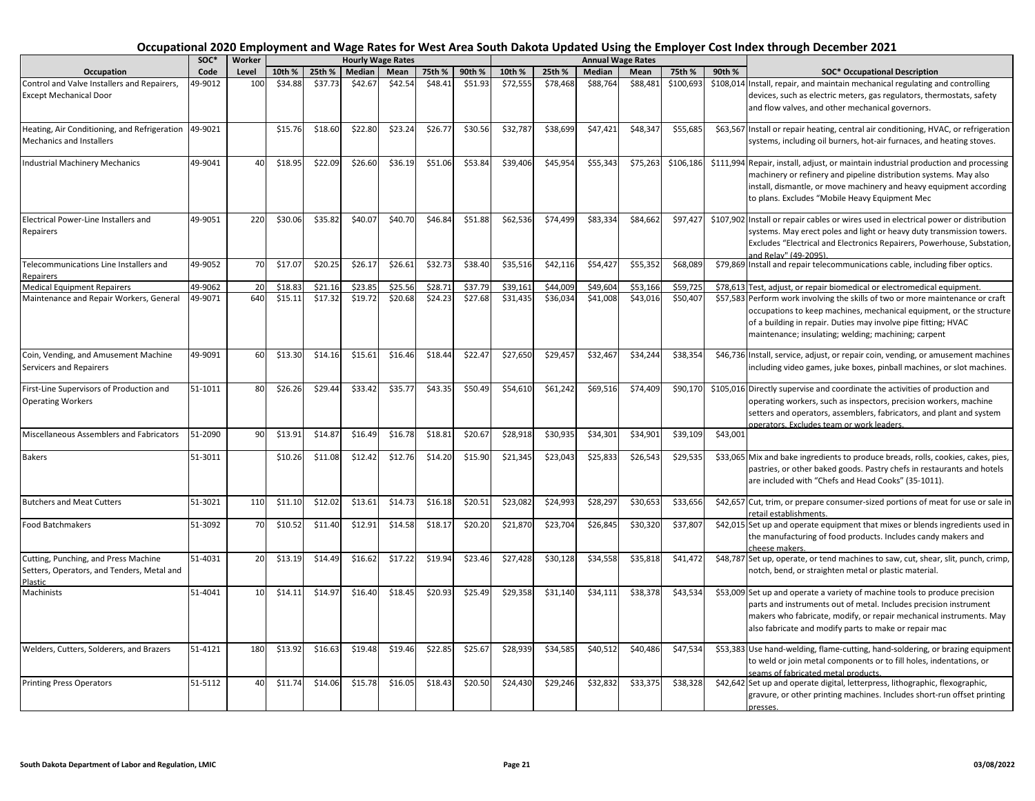|                                                                                               | soc*    | Worker |         |         |         | <b>Hourly Wage Rates</b> |         |         |          |          | <b>Annual Wage Rates</b> |          |           |          |                                                                                                                                                                                                                                                                                   |
|-----------------------------------------------------------------------------------------------|---------|--------|---------|---------|---------|--------------------------|---------|---------|----------|----------|--------------------------|----------|-----------|----------|-----------------------------------------------------------------------------------------------------------------------------------------------------------------------------------------------------------------------------------------------------------------------------------|
| Occupation                                                                                    | Code    | Level  | 10th %  | 25th %  | Median  | Mean                     | 75th %  | 90th %  | 10th %   | 25th %   | <b>Median</b>            | Mean     | 75th %    | 90th %   | <b>SOC* Occupational Description</b>                                                                                                                                                                                                                                              |
| Control and Valve Installers and Repairers,<br><b>Except Mechanical Door</b>                  | 49-9012 | 100    | \$34.88 | \$37.73 | \$42.67 | \$42.54                  | \$48.41 | \$51.93 | \$72,555 | \$78,468 | \$88,764                 | \$88,481 | \$100,693 |          | \$108,014 Install, repair, and maintain mechanical regulating and controlling<br>devices, such as electric meters, gas regulators, thermostats, safety<br>and flow valves, and other mechanical governors.                                                                        |
| Heating, Air Conditioning, and Refrigeration<br><b>Mechanics and Installers</b>               | 49-9021 |        | \$15.76 | \$18.60 | \$22.80 | \$23.24                  | \$26.77 | \$30.56 | \$32,787 | \$38,699 | \$47,421                 | \$48,347 | \$55,685  |          | \$63,567 Install or repair heating, central air conditioning, HVAC, or refrigeration<br>systems, including oil burners, hot-air furnaces, and heating stoves.                                                                                                                     |
| <b>Industrial Machinery Mechanics</b>                                                         | 49-9041 | 40     | \$18.95 | \$22.09 | \$26.60 | \$36.19                  | \$51.06 | \$53.84 | \$39,406 | \$45,954 | \$55,343                 | \$75,263 | \$106,186 |          | \$111,994 Repair, install, adjust, or maintain industrial production and processing<br>machinery or refinery and pipeline distribution systems. May also<br>install, dismantle, or move machinery and heavy equipment according<br>to plans. Excludes "Mobile Heavy Equipment Mec |
| Electrical Power-Line Installers and<br>Repairers                                             | 49-9051 | 220    | \$30.06 | \$35.82 | \$40.07 | \$40.70                  | \$46.84 | \$51.88 | \$62,536 | \$74,499 | \$83,334                 | \$84,662 | \$97,427  |          | \$107,902 Install or repair cables or wires used in electrical power or distribution<br>systems. May erect poles and light or heavy duty transmission towers.<br>Excludes "Electrical and Electronics Repairers, Powerhouse, Substation,<br>and Relay" (49-2095).                 |
| Telecommunications Line Installers and<br>Repairers                                           | 49-9052 | 70     | \$17.07 | \$20.25 | \$26.17 | \$26.61                  | \$32.73 | \$38.40 | \$35,516 | \$42,116 | \$54,427                 | \$55,352 | \$68,089  |          | \$79,869 Install and repair telecommunications cable, including fiber optics.                                                                                                                                                                                                     |
| <b>Medical Equipment Repairers</b>                                                            | 49-9062 | 20     | \$18.8  | \$21.16 | \$23.85 | \$25.56                  | \$28.71 | \$37.79 | \$39,161 | \$44,009 | \$49,604                 | \$53,166 | \$59,72   |          | \$78,613 Test, adjust, or repair biomedical or electromedical equipment.                                                                                                                                                                                                          |
| Maintenance and Repair Workers, General                                                       | 49-9071 | 640    | \$15.11 | \$17.32 | \$19.72 | \$20.68                  | \$24.23 | \$27.68 | \$31,435 | \$36,034 | \$41,008                 | \$43,016 | \$50,407  |          | \$57,583 Perform work involving the skills of two or more maintenance or craft<br>occupations to keep machines, mechanical equipment, or the structure<br>of a building in repair. Duties may involve pipe fitting; HVAC<br>maintenance; insulating; welding; machining; carpent  |
| Coin, Vending, and Amusement Machine<br>Servicers and Repairers                               | 49-9091 | 60     | \$13.30 | \$14.16 | \$15.61 | \$16.46                  | \$18.44 | \$22.47 | \$27,650 | \$29,457 | \$32,467                 | \$34,244 | \$38,354  |          | \$46,736 Install, service, adjust, or repair coin, vending, or amusement machines<br>including video games, juke boxes, pinball machines, or slot machines.                                                                                                                       |
| First-Line Supervisors of Production and<br><b>Operating Workers</b>                          | 51-1011 | 80     | \$26.26 | \$29.44 | \$33.42 | \$35.77                  | \$43.35 | \$50.49 | \$54,610 | \$61,242 | \$69,516                 | \$74,409 | \$90,170  |          | \$105,016 Directly supervise and coordinate the activities of production and<br>operating workers, such as inspectors, precision workers, machine<br>setters and operators, assemblers, fabricators, and plant and system<br>operators. Excludes team or work leaders.            |
| Miscellaneous Assemblers and Fabricators                                                      | 51-2090 | 90     | \$13.91 | \$14.87 | \$16.49 | \$16.78                  | \$18.81 | \$20.67 | \$28,918 | \$30,935 | \$34,301                 | \$34,901 | \$39,109  | \$43,001 |                                                                                                                                                                                                                                                                                   |
| <b>Bakers</b>                                                                                 | 51-3011 |        | \$10.26 | \$11.08 | \$12.42 | \$12.76                  | \$14.20 | \$15.90 | \$21,345 | \$23,043 | \$25,833                 | \$26,543 | \$29,535  |          | \$33,065 Mix and bake ingredients to produce breads, rolls, cookies, cakes, pies,<br>pastries, or other baked goods. Pastry chefs in restaurants and hotels<br>are included with "Chefs and Head Cooks" (35-1011).                                                                |
| <b>Butchers and Meat Cutters</b>                                                              | 51-3021 | 110    | \$11.10 | \$12.02 | \$13.61 | \$14.73                  | \$16.18 | \$20.51 | \$23,082 | \$24,993 | \$28,297                 | \$30,653 | \$33,656  |          | \$42,657 Cut, trim, or prepare consumer-sized portions of meat for use or sale in<br>retail establishments.                                                                                                                                                                       |
| <b>Food Batchmakers</b>                                                                       | 51-3092 | 70     | \$10.52 | \$11.40 | \$12.91 | \$14.58                  | \$18.17 | \$20.20 | \$21,870 | \$23,704 | \$26,845                 | \$30,320 | \$37,807  |          | \$42,015 Set up and operate equipment that mixes or blends ingredients used in<br>the manufacturing of food products. Includes candy makers and<br>cheese makers.                                                                                                                 |
| Cutting, Punching, and Press Machine<br>Setters, Operators, and Tenders, Metal and<br>Plastic | 51-4031 | 20     | \$13.19 | \$14.49 | \$16.62 | \$17.22                  | \$19.94 | \$23.46 | \$27,428 | \$30,128 | \$34,558                 | \$35,818 | \$41,472  |          | \$48,787 Set up, operate, or tend machines to saw, cut, shear, slit, punch, crimp,<br>notch, bend, or straighten metal or plastic material.                                                                                                                                       |
| Machinists                                                                                    | 51-4041 | 10     | \$14.11 | \$14.97 | \$16.40 | \$18.45                  | \$20.93 | \$25.49 | \$29,358 | \$31,140 | \$34,111                 | \$38,378 | \$43,534  |          | \$53,009 Set up and operate a variety of machine tools to produce precision<br>parts and instruments out of metal. Includes precision instrument<br>makers who fabricate, modify, or repair mechanical instruments. May<br>also fabricate and modify parts to make or repair mac  |
| Welders, Cutters, Solderers, and Brazers                                                      | 51-4121 | 180    | \$13.92 | \$16.63 | \$19.48 | \$19.46                  | \$22.85 | \$25.67 | \$28,939 | \$34,585 | \$40,512                 | \$40,486 | \$47,534  |          | \$53,383 Use hand-welding, flame-cutting, hand-soldering, or brazing equipment<br>to weld or join metal components or to fill holes, indentations, or<br>seams of fabricated metal products.                                                                                      |
| <b>Printing Press Operators</b>                                                               | 51-5112 | 40     | \$11.74 | \$14.06 | \$15.78 | \$16.05                  | \$18.43 | \$20.50 | \$24,430 | \$29,246 | \$32,832                 | \$33,375 | \$38,328  |          | \$42,642 Set up and operate digital, letterpress, lithographic, flexographic,<br>gravure, or other printing machines. Includes short-run offset printing<br>presses.                                                                                                              |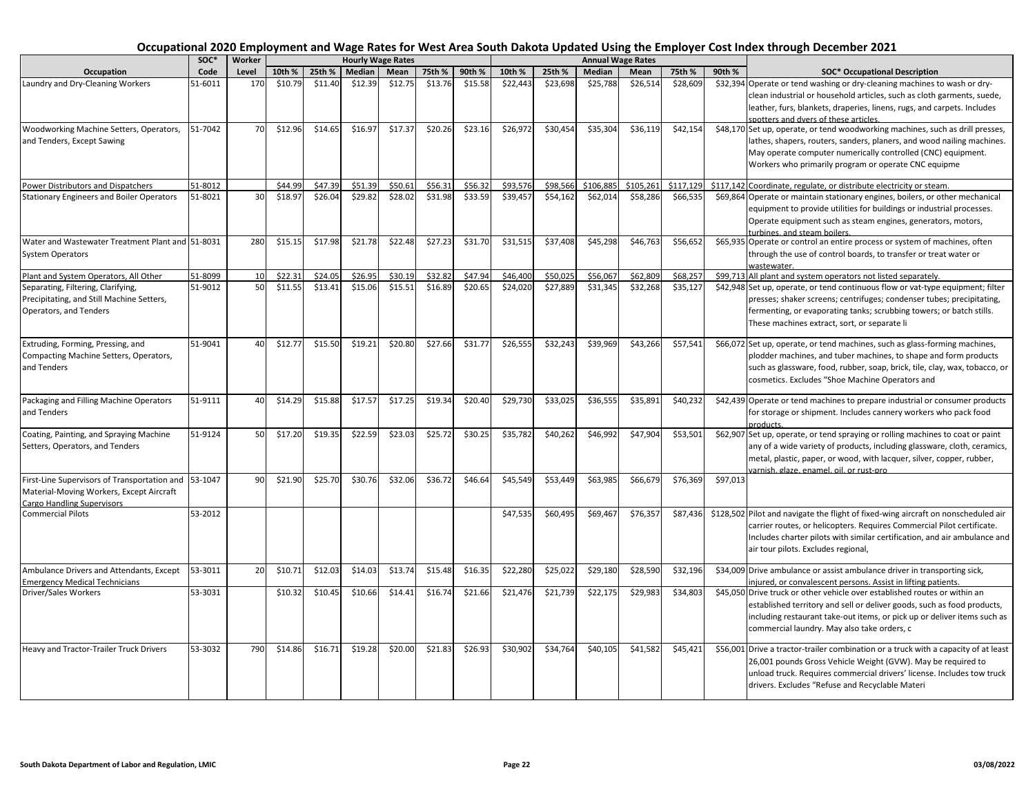|                                                                                                                                | $SOC*$  | Worker |         |         |         | <b>Hourly Wage Rates</b> |         |         |          |          |           | <b>Annual Wage Rates</b> |           |          |                                                                                                                                                                                                                                                                                                                              |
|--------------------------------------------------------------------------------------------------------------------------------|---------|--------|---------|---------|---------|--------------------------|---------|---------|----------|----------|-----------|--------------------------|-----------|----------|------------------------------------------------------------------------------------------------------------------------------------------------------------------------------------------------------------------------------------------------------------------------------------------------------------------------------|
| Occupation                                                                                                                     | Code    | Level  | 10th %  | 25th %  | Median  | Mean                     | 75th %  | 90th %  | 10th %   | 25th %   | Median    | Mean                     | 75th %    | 90th %   | <b>SOC* Occupational Description</b>                                                                                                                                                                                                                                                                                         |
| Laundry and Dry-Cleaning Workers                                                                                               | 51-6011 | 170    | \$10.79 | \$11.40 | \$12.39 | \$12.75                  | \$13.76 | \$15.58 | \$22,443 | \$23,698 | \$25,788  | \$26,514                 | \$28,609  |          | \$32,394 Operate or tend washing or dry-cleaning machines to wash or dry-<br>clean industrial or household articles, such as cloth garments, suede,<br>leather, furs, blankets, draperies, linens, rugs, and carpets. Includes                                                                                               |
| Woodworking Machine Setters, Operators,<br>and Tenders, Except Sawing                                                          | 51-7042 | 70     | \$12.96 | \$14.65 | \$16.97 | \$17.37                  | \$20.26 | \$23.16 | \$26,972 | \$30,454 | \$35,304  | \$36,119                 | \$42,154  |          | spotters and dvers of these articles.<br>\$48,170 Set up, operate, or tend woodworking machines, such as drill presses,<br>lathes, shapers, routers, sanders, planers, and wood nailing machines.<br>May operate computer numerically controlled (CNC) equipment.<br>Workers who primarily program or operate CNC equipme    |
|                                                                                                                                | 51-8012 |        | \$44.99 | \$47.39 | \$51.39 | \$50.61                  | \$56.31 | \$56.32 | \$93,576 | \$98,566 | \$106,885 | \$105,261                | \$117.129 |          |                                                                                                                                                                                                                                                                                                                              |
| Power Distributors and Dispatchers<br><b>Stationary Engineers and Boiler Operators</b>                                         | 51-8021 | 30     | \$18.97 | \$26.04 | \$29.82 | \$28.02                  | \$31.98 | \$33.59 | \$39,457 | \$54,162 | \$62,014  | \$58,286                 | \$66,535  |          | \$117,142 Coordinate, regulate, or distribute electricity or steam.<br>\$69,864 Operate or maintain stationary engines, boilers, or other mechanical<br>equipment to provide utilities for buildings or industrial processes.<br>Operate equipment such as steam engines, generators, motors,<br>urbines, and steam boilers. |
| Water and Wastewater Treatment Plant and 51-8031<br><b>System Operators</b>                                                    |         | 280    | \$15.15 | \$17.98 | \$21.78 | \$22.48                  | \$27.23 | \$31.70 | \$31,515 | \$37,408 | \$45,298  | \$46,763                 | \$56,652  |          | \$65,935 Operate or control an entire process or system of machines, often<br>through the use of control boards, to transfer or treat water or<br>wastewater.                                                                                                                                                                |
| Plant and System Operators, All Other                                                                                          | 51-8099 | 10     | \$22.31 | \$24.05 | \$26.95 | \$30.19                  | \$32.82 | \$47.94 | \$46,400 | \$50,025 | \$56,067  | \$62,809                 | \$68,25   |          | \$99,713 All plant and system operators not listed separately.                                                                                                                                                                                                                                                               |
| Separating, Filtering, Clarifying,<br>Precipitating, and Still Machine Setters,<br>Operators, and Tenders                      | 51-9012 | 50     | \$11.55 | \$13.41 | \$15.06 | \$15.51                  | \$16.89 | \$20.65 | \$24,020 | \$27,889 | \$31,345  | \$32,268                 | \$35,127  |          | \$42,948 Set up, operate, or tend continuous flow or vat-type equipment; filter<br>presses; shaker screens; centrifuges; condenser tubes; precipitating,<br>fermenting, or evaporating tanks; scrubbing towers; or batch stills.<br>These machines extract, sort, or separate li                                             |
| Extruding, Forming, Pressing, and<br>Compacting Machine Setters, Operators,<br>and Tenders                                     | 51-9041 | 40     | \$12.77 | \$15.50 | \$19.21 | \$20.80                  | \$27.66 | \$31.77 | \$26,555 | \$32,243 | \$39,969  | \$43,266                 | \$57,541  |          | \$66,072 Set up, operate, or tend machines, such as glass-forming machines,<br>plodder machines, and tuber machines, to shape and form products<br>such as glassware, food, rubber, soap, brick, tile, clay, wax, tobacco, or<br>cosmetics. Excludes "Shoe Machine Operators and                                             |
| Packaging and Filling Machine Operators<br>and Tenders                                                                         | 51-9111 | 40     | \$14.29 | \$15.88 | \$17.57 | \$17.25                  | \$19.34 | \$20.40 | \$29,730 | \$33,025 | \$36,555  | \$35,891                 | \$40,232  |          | \$42,439 Operate or tend machines to prepare industrial or consumer products<br>for storage or shipment. Includes cannery workers who pack food<br>products.                                                                                                                                                                 |
| Coating, Painting, and Spraying Machine<br>Setters, Operators, and Tenders                                                     | 51-9124 | 50     | \$17.20 | \$19.35 | \$22.59 | \$23.03                  | \$25.72 | \$30.25 | \$35,782 | \$40,262 | \$46,992  | \$47,904                 | \$53,501  |          | \$62,907 Set up, operate, or tend spraying or rolling machines to coat or paint<br>any of a wide variety of products, including glassware, cloth, ceramics,<br>metal, plastic, paper, or wood, with lacquer, silver, copper, rubber,<br>varnish, glaze, enamel, oil, or rust-pro                                             |
| First-Line Supervisors of Transportation and 53-1047<br>Material-Moving Workers, Except Aircraft<br>Cargo Handling Supervisors |         | 90     | \$21.90 | \$25.70 | \$30.76 | \$32.06                  | \$36.72 | \$46.64 | \$45,549 | \$53,449 | \$63,985  | \$66,679                 | \$76,369  | \$97,013 |                                                                                                                                                                                                                                                                                                                              |
| <b>Commercial Pilots</b>                                                                                                       | 53-2012 |        |         |         |         |                          |         |         | \$47,535 | \$60,495 | \$69,467  | \$76,357                 | \$87,436  |          | \$128,502 Pilot and navigate the flight of fixed-wing aircraft on nonscheduled air<br>carrier routes, or helicopters. Requires Commercial Pilot certificate.<br>Includes charter pilots with similar certification, and air ambulance and<br>air tour pilots. Excludes regional,                                             |
| Ambulance Drivers and Attendants, Except<br><b>Emergency Medical Technicians</b>                                               | 53-3011 | 20     | \$10.71 | \$12.03 | \$14.03 | \$13.74                  | \$15.48 | \$16.35 | \$22,280 | \$25,022 | \$29,180  | \$28,590                 | \$32,196  |          | \$34,009 Drive ambulance or assist ambulance driver in transporting sick,<br>injured, or convalescent persons. Assist in lifting patients.                                                                                                                                                                                   |
| Driver/Sales Workers                                                                                                           | 53-3031 |        | \$10.32 | \$10.45 | \$10.66 | \$14.41                  | \$16.74 | \$21.66 | \$21,476 | \$21,739 | \$22,175  | \$29,983                 | \$34,803  |          | \$45,050 Drive truck or other vehicle over established routes or within an<br>established territory and sell or deliver goods, such as food products,<br>including restaurant take-out items, or pick up or deliver items such as<br>commercial laundry. May also take orders, c                                             |
| Heavy and Tractor-Trailer Truck Drivers                                                                                        | 53-3032 | 790    | \$14.86 | \$16.71 | \$19.28 | \$20.00                  | \$21.83 | \$26.93 | \$30,902 | \$34,764 | \$40,105  | \$41,582                 | \$45,421  |          | \$56,001 Drive a tractor-trailer combination or a truck with a capacity of at least<br>26,001 pounds Gross Vehicle Weight (GVW). May be required to<br>unload truck. Requires commercial drivers' license. Includes tow truck<br>drivers. Excludes "Refuse and Recyclable Materi                                             |